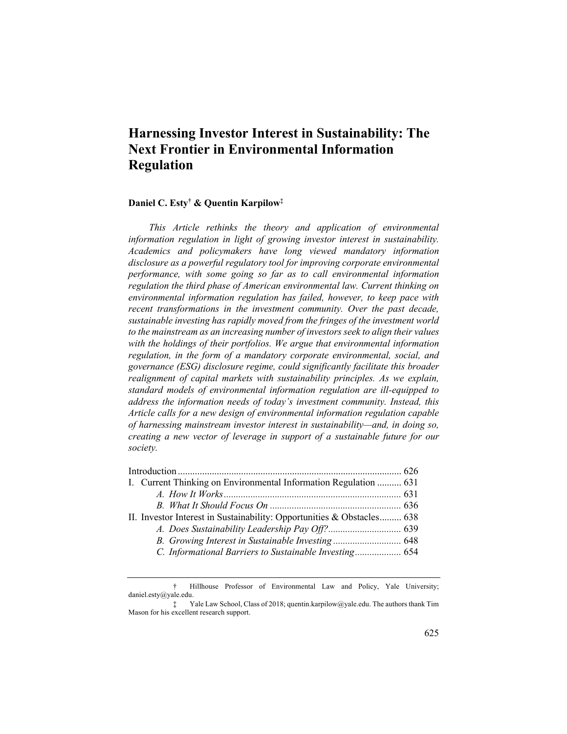# **Harnessing Investor Interest in Sustainability: The Next Frontier in Environmental Information Regulation**

# **Daniel C. Esty† & Quentin Karpilow‡**

*This Article rethinks the theory and application of environmental information regulation in light of growing investor interest in sustainability. Academics and policymakers have long viewed mandatory information disclosure as a powerful regulatory tool for improving corporate environmental performance, with some going so far as to call environmental information regulation the third phase of American environmental law. Current thinking on environmental information regulation has failed, however, to keep pace with recent transformations in the investment community. Over the past decade, sustainable investing has rapidly moved from the fringes of the investment world to the mainstream as an increasing number of investors seek to align their values with the holdings of their portfolios. We argue that environmental information regulation, in the form of a mandatory corporate environmental, social, and governance (ESG) disclosure regime, could significantly facilitate this broader realignment of capital markets with sustainability principles. As we explain, standard models of environmental information regulation are ill-equipped to address the information needs of today's investment community. Instead, this Article calls for a new design of environmental information regulation capable of harnessing mainstream investor interest in sustainability—and, in doing so, creating a new vector of leverage in support of a sustainable future for our society.*

| I. Current Thinking on Environmental Information Regulation  631       |  |
|------------------------------------------------------------------------|--|
|                                                                        |  |
|                                                                        |  |
| II. Investor Interest in Sustainability: Opportunities & Obstacles 638 |  |
|                                                                        |  |
|                                                                        |  |
|                                                                        |  |
|                                                                        |  |

† Hillhouse Professor of Environmental Law and Policy, Yale University; daniel.esty@yale.edu.

<sup>‡</sup> Yale Law School, Class of 2018; quentin.karpilow@yale.edu. The authors thank Tim Mason for his excellent research support.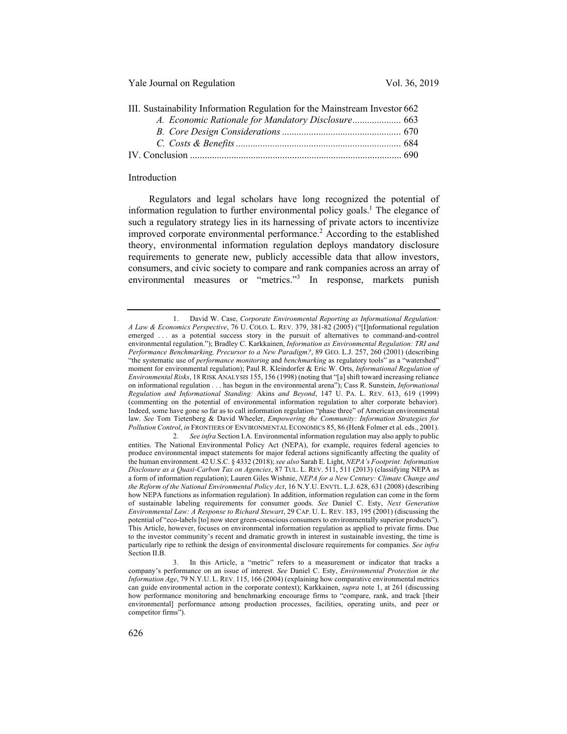| III. Sustainability Information Regulation for the Mainstream Investor 662 |  |
|----------------------------------------------------------------------------|--|
|                                                                            |  |
|                                                                            |  |
|                                                                            |  |
|                                                                            |  |
|                                                                            |  |

### Introduction

Regulators and legal scholars have long recognized the potential of information regulation to further environmental policy goals.<sup>1</sup> The elegance of such a regulatory strategy lies in its harnessing of private actors to incentivize improved corporate environmental performance.<sup>2</sup> According to the established theory, environmental information regulation deploys mandatory disclosure requirements to generate new, publicly accessible data that allow investors, consumers, and civic society to compare and rank companies across an array of environmental measures or "metrics."<sup>3</sup> In response, markets punish

<sup>1.</sup> David W. Case, *Corporate Environmental Reporting as Informational Regulation: A Law & Economics Perspective*, 76 U. COLO. L. REV. 379, 381-82 (2005) ("[I]nformational regulation emerged . . . as a potential success story in the pursuit of alternatives to command-and-control environmental regulation."); Bradley C. Karkkainen, *Information as Environmental Regulation: TRI and Performance Benchmarking, Precursor to a New Paradigm?*, 89 GEO. L.J. 257, 260 (2001) (describing "the systematic use of *performance monitoring* and *benchmarking* as regulatory tools" as a "watershed" moment for environmental regulation); Paul R. Kleindorfer & Eric W. Orts, *Informational Regulation of Environmental Risks*, 18 RISK ANALYSIS 155, 156 (1998) (noting that "[a] shift toward increasing reliance on informational regulation . . . has begun in the environmental arena"); Cass R. Sunstein, *Informational Regulation and Informational Standing:* Akins *and Beyond*, 147 U. PA. L. REV. 613, 619 (1999) (commenting on the potential of environmental information regulation to alter corporate behavior). Indeed, some have gone so far as to call information regulation "phase three" of American environmental law. *See* Tom Tietenberg & David Wheeler, *Empowering the Community: Information Strategies for Pollution Control*, *in* FRONTIERS OF ENVIRONMENTAL ECONOMICS 85, 86 (Henk Folmer et al. eds., 2001).

<sup>2</sup>*. See infra* Section I.A. Environmental information regulation may also apply to public entities. The National Environmental Policy Act (NEPA), for example, requires federal agencies to produce environmental impact statements for major federal actions significantly affecting the quality of the human environment. 42 U.S.C. § 4332 (2018); *see also* Sarah E. Light, *NEPA's Footprint: Information Disclosure as a Quasi-Carbon Tax on Agencies*, 87 TUL. L. REV. 511, 511 (2013) (classifying NEPA as a form of information regulation); Lauren Giles Wishnie, *NEPA for a New Century: Climate Change and the Reform of the National Environmental Policy Act*, 16 N.Y.U. ENVTL. L.J. 628, 631 (2008) (describing how NEPA functions as information regulation). In addition, information regulation can come in the form of sustainable labeling requirements for consumer goods. *See* Daniel C. Esty, *Next Generation Environmental Law: A Response to Richard Stewart*, 29 CAP. U. L. REV. 183, 195 (2001) (discussing the potential of "eco-labels [to] now steer green-conscious consumers to environmentally superior products"). This Article, however, focuses on environmental information regulation as applied to private firms. Due to the investor community's recent and dramatic growth in interest in sustainable investing, the time is particularly ripe to rethink the design of environmental disclosure requirements for companies. *See infra* Section II.B.

<sup>3.</sup> In this Article, a "metric" refers to a measurement or indicator that tracks a company's performance on an issue of interest. *See* Daniel C. Esty, *Environmental Protection in the Information Age*, 79 N.Y.U. L. REV. 115, 166 (2004) (explaining how comparative environmental metrics can guide environmental action in the corporate context); Karkkainen, *supra* note 1, at 261 (discussing how performance monitoring and benchmarking encourage firms to "compare, rank, and track [their environmental] performance among production processes, facilities, operating units, and peer or competitor firms").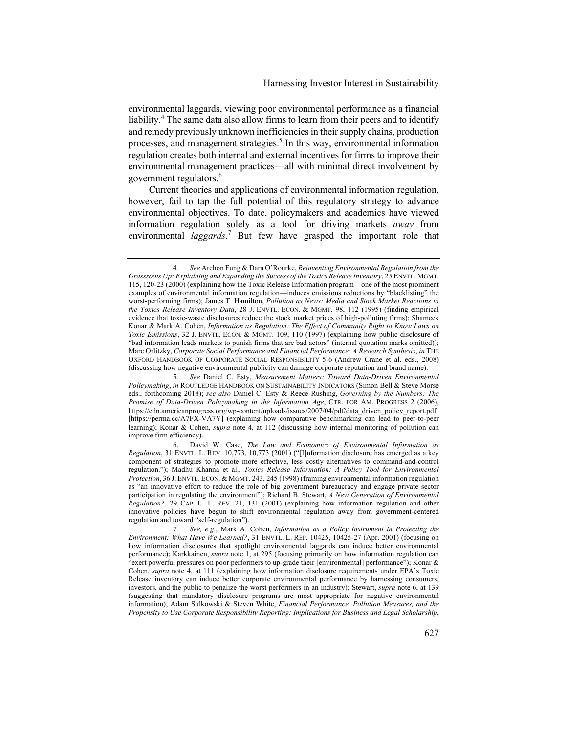environmental laggards, viewing poor environmental performance as a financial liability.<sup>4</sup> The same data also allow firms to learn from their peers and to identify and remedy previously unknown inefficiencies in their supply chains, production processes, and management strategies.<sup>5</sup> In this way, environmental information regulation creates both internal and external incentives for firms to improve their environmental management practices—all with minimal direct involvement by government regulators.<sup>6</sup>

Current theories and applications of environmental information regulation, however, fail to tap the full potential of this regulatory strategy to advance environmental objectives. To date, policymakers and academics have viewed information regulation solely as a tool for driving markets *away* from environmental *laggards*. <sup>7</sup> But few have grasped the important role that

<sup>4</sup>*. See* Archon Fung & Dara O'Rourke, *Reinventing Environmental Regulation from the Grassroots Up: Explaining and Expanding the Success of the Toxics Release Inventory*, 25 ENVTL. MGMT. 115, 120-23 (2000) (explaining how the Toxic Release Information program—one of the most prominent examples of environmental information regulation—induces emissions reductions by "blacklisting" the worst-performing firms); James T. Hamilton, *Pollution as News: Media and Stock Market Reactions to the Toxics Release Inventory Data*, 28 J. ENVTL. ECON. & MGMT. 98, 112 (1995) (finding empirical evidence that toxic-waste disclosures reduce the stock market prices of high-polluting firms); Shameek Konar & Mark A. Cohen, *Information as Regulation: The Effect of Community Right to Know Laws on Toxic Emissions*, 32 J. ENVTL. ECON. & MGMT. 109, 110 (1997) (explaining how public disclosure of "bad information leads markets to punish firms that are bad actors" (internal quotation marks omitted)); Marc Orlitzky, *Corporate Social Performance and Financial Performance: A Research Synthesis*, *in* THE OXFORD HANDBOOK OF CORPORATE SOCIAL RESPONSIBILITY 5-6 (Andrew Crane et al. eds., 2008) (discussing how negative environmental publicity can damage corporate reputation and brand name).

<sup>5</sup>*. See* Daniel C. Esty, *Measurement Matters: Toward Data-Driven Environmental Policymaking*, *in* ROUTLEDGE HANDBOOK ON SUSTAINABILITY INDICATORS (Simon Bell & Steve Morse eds., forthcoming 2018); *see also* Daniel C. Esty & Reece Rushing, *Governing by the Numbers: The Promise of Data-Driven Policymaking in the Information Age*, CTR. FOR AM. PROGRESS 2 (2006), https://cdn.americanprogress.org/wp-content/uploads/issues/2007/04/pdf/data\_driven\_policy\_report.pdf [https://perma.cc/A7FX-VA7Y] (explaining how comparative benchmarking can lead to peer-to-peer learning); Konar & Cohen, *supra* note 4, at 112 (discussing how internal monitoring of pollution can improve firm efficiency).

<sup>6.</sup> David W. Case, *The Law and Economics of Environmental Information as Regulation*, 31 ENVTL. L. REV. 10,773, 10,773 (2001) ("[I]nformation disclosure has emerged as a key component of strategies to promote more effective, less costly alternatives to command-and-control regulation."); Madhu Khanna et al., *Toxics Release Information: A Policy Tool for Environmental Protection*, 36 J. ENVTL. ECON. & MGMT. 243, 245 (1998) (framing environmental information regulation as "an innovative effort to reduce the role of big government bureaucracy and engage private sector participation in regulating the environment"); Richard B. Stewart, *A New Generation of Environmental Regulation?*, 29 CAP. U. L. REV. 21, 131 (2001) (explaining how information regulation and other innovative policies have begun to shift environmental regulation away from government-centered regulation and toward "self-regulation").

<sup>7</sup>*. See, e.g.*, Mark A. Cohen, *Information as a Policy Instrument in Protecting the Environment: What Have We Learned?*, 31 ENVTL. L. REP. 10425, 10425-27 (Apr. 2001) (focusing on how information disclosures that spotlight environmental laggards can induce better environmental performance); Karkkainen, *supra* note 1, at 295 (focusing primarily on how information regulation can "exert powerful pressures on poor performers to up-grade their [environmental] performance"); Konar & Cohen, *supra* note 4, at 111 (explaining how information disclosure requirements under EPA's Toxic Release inventory can induce better corporate environmental performance by harnessing consumers, investors, and the public to penalize the worst performers in an industry); Stewart, *supra* note 6, at 139 (suggesting that mandatory disclosure programs are most appropriate for negative environmental information); Adam Sulkowski & Steven White, *Financial Performance, Pollution Measures, and the Propensity to Use Corporate Responsibility Reporting: Implications for Business and Legal Scholarship*,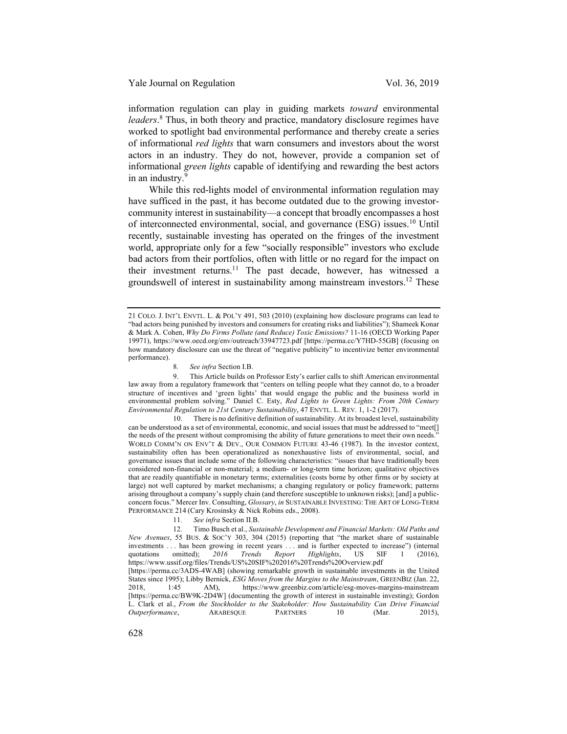information regulation can play in guiding markets *toward* environmental *leaders*. <sup>8</sup> Thus, in both theory and practice, mandatory disclosure regimes have worked to spotlight bad environmental performance and thereby create a series of informational *red lights* that warn consumers and investors about the worst actors in an industry. They do not, however, provide a companion set of informational *green lights* capable of identifying and rewarding the best actors in an industry.<sup>9</sup>

While this red-lights model of environmental information regulation may have sufficed in the past, it has become outdated due to the growing investorcommunity interest in sustainability—a concept that broadly encompasses a host of interconnected environmental, social, and governance (ESG) issues.<sup>10</sup> Until recently, sustainable investing has operated on the fringes of the investment world, appropriate only for a few "socially responsible" investors who exclude bad actors from their portfolios, often with little or no regard for the impact on their investment returns.<sup>11</sup> The past decade, however, has witnessed a groundswell of interest in sustainability among mainstream investors.<sup>12</sup> These

10. There is no definitive definition of sustainability. At its broadest level, sustainability can be understood as a set of environmental, economic, and social issues that must be addressed to "meet[] the needs of the present without compromising the ability of future generations to meet their own needs." WORLD COMM'N ON ENV'T & DEV., OUR COMMON FUTURE 43-46 (1987). In the investor context, sustainability often has been operationalized as nonexhaustive lists of environmental, social, and governance issues that include some of the following characteristics: "issues that have traditionally been considered non-financial or non-material; a medium- or long-term time horizon; qualitative objectives that are readily quantifiable in monetary terms; externalities (costs borne by other firms or by society at large) not well captured by market mechanisms; a changing regulatory or policy framework; patterns arising throughout a company's supply chain (and therefore susceptible to unknown risks); [and] a publicconcern focus." Mercer Inv. Consulting, *Glossary*, *in* SUSTAINABLE INVESTING: THE ART OF LONG-TERM PERFORMANCE 214 (Cary Krosinsky & Nick Robins eds., 2008).

<sup>21</sup> COLO. J. INT'L ENVTL. L. & POL'Y 491, 503 (2010) (explaining how disclosure programs can lead to "bad actors being punished by investors and consumers for creating risks and liabilities"); Shameek Konar & Mark A. Cohen, *Why Do Firms Pollute (and Reduce) Toxic Emissions?* 11-16 (OECD Working Paper 19971), https://www.oecd.org/env/outreach/33947723.pdf [https://perma.cc/Y7HD-55GB] (focusing on how mandatory disclosure can use the threat of "negative publicity" to incentivize better environmental performance).

<sup>8</sup>*. See infra* Section I.B.

<sup>9.</sup> This Article builds on Professor Esty's earlier calls to shift American environmental law away from a regulatory framework that "centers on telling people what they cannot do, to a broader structure of incentives and 'green lights' that would engage the public and the business world in environmental problem solving." Daniel C. Esty, *Red Lights to Green Lights: From 20th Century Environmental Regulation to 21st Century Sustainability*, 47 ENVTL. L. REV. 1, 1-2 (2017).

<sup>11</sup>*. See infra* Section II.B.

<sup>12.</sup> Timo Busch et al., *Sustainable Development and Financial Markets: Old Paths and New Avenues*, 55 BUS. & SOC'Y 303, 304 (2015) (reporting that "the market share of sustainable investments . . . has been growing in recent years . . . and is further expected to increase") (internal quotations omitted); *2016 Trends Report Highlights*, US SIF 1 (2016), https://www.ussif.org/files/Trends/US%20SIF%202016%20Trends%20Overview.pdf [https://perma.cc/3ADS-4WAB] (showing remarkable growth in sustainable investments in the United States since 1995); Libby Bernick, *ESG Moves from the Margins to the Mainstream*, GREENBIZ (Jan. 22, 2018, 1:45 AM), https://www.greenbiz.com/article/esg-moves-margins-mainstream [https://perma.cc/BW9K-2D4W] (documenting the growth of interest in sustainable investing); Gordon L. Clark et al., *From the Stockholder to the Stakeholder: How Sustainability Can Drive Financial Outperformance*, ARABESQUE PARTNERS 10 (Mar. 2015),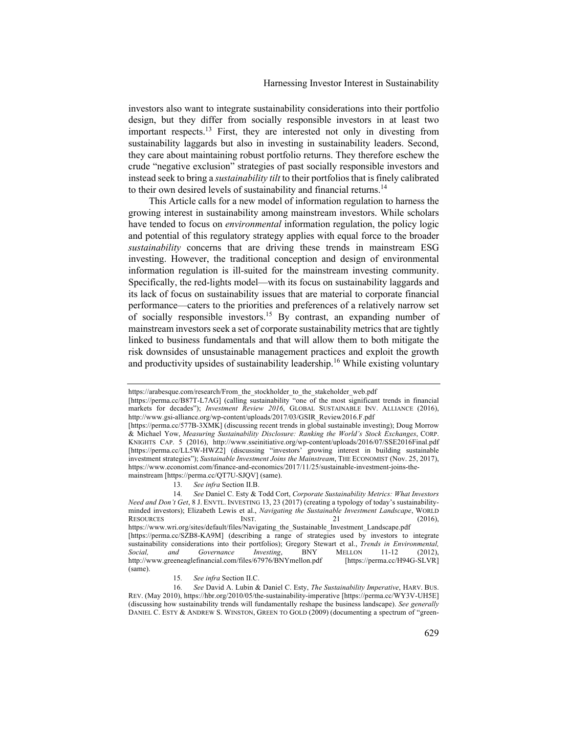investors also want to integrate sustainability considerations into their portfolio design, but they differ from socially responsible investors in at least two important respects.<sup>13</sup> First, they are interested not only in divesting from sustainability laggards but also in investing in sustainability leaders. Second, they care about maintaining robust portfolio returns. They therefore eschew the crude "negative exclusion" strategies of past socially responsible investors and instead seek to bring a *sustainability tilt* to their portfolios that is finely calibrated to their own desired levels of sustainability and financial returns.<sup>14</sup>

This Article calls for a new model of information regulation to harness the growing interest in sustainability among mainstream investors. While scholars have tended to focus on *environmental* information regulation, the policy logic and potential of this regulatory strategy applies with equal force to the broader *sustainability* concerns that are driving these trends in mainstream ESG investing. However, the traditional conception and design of environmental information regulation is ill-suited for the mainstream investing community. Specifically, the red-lights model—with its focus on sustainability laggards and its lack of focus on sustainability issues that are material to corporate financial performance—caters to the priorities and preferences of a relatively narrow set of socially responsible investors.15 By contrast, an expanding number of mainstream investors seek a set of corporate sustainability metrics that are tightly linked to business fundamentals and that will allow them to both mitigate the risk downsides of unsustainable management practices and exploit the growth and productivity upsides of sustainability leadership.<sup>16</sup> While existing voluntary

https://arabesque.com/research/From\_the\_stockholder\_to\_the\_stakeholder\_web.pdf

<sup>[</sup>https://perma.cc/B87T-L7AG] (calling sustainability "one of the most significant trends in financial markets for decades"); *Investment Review 2016*, GLOBAL SUSTAINABLE INV. ALLIANCE (2016), http://www.gsi-alliance.org/wp-content/uploads/2017/03/GSIR\_Review2016.F.pdf

<sup>[</sup>https://perma.cc/577B-3XMK] (discussing recent trends in global sustainable investing); Doug Morrow & Michael Yow, *Measuring Sustainability Disclosure: Ranking the World's Stock Exchanges*, CORP. KNIGHTS CAP. 5 (2016), http://www.sseinitiative.org/wp-content/uploads/2016/07/SSE2016Final.pdf [https://perma.cc/LL5W-HWZ2] (discussing "investors' growing interest in building sustainable investment strategies"); *Sustainable Investment Joins the Mainstream*, THE ECONOMIST (Nov. 25, 2017), https://www.economist.com/finance-and-economics/2017/11/25/sustainable-investment-joins-themainstream [https://perma.cc/QT7U-SJQV] (same).

<sup>13</sup>*. See infra* Section II.B.

<sup>14</sup>*. See* Daniel C. Esty & Todd Cort, *Corporate Sustainability Metrics: What Investors Need and Don't Get*, 8 J. ENVTL. INVESTING 13, 23 (2017) (creating a typology of today's sustainabilityminded investors); Elizabeth Lewis et al., *Navigating the Sustainable Investment Landscape*, WORLD<br>RESOURCES [NST. 21 (2016), RESOURCES INST. 21 (2016), https://www.wri.org/sites/default/files/Navigating\_the\_Sustainable\_Investment\_Landscape.pdf [https://perma.cc/SZB8-KA9M] (describing a range of strategies used by investors to integrate sustainability considerations into their portfolios); Gregory Stewart et al., *Trends in Environmental*, *Social*, *and Governance Investing*, *BNY MELLON* 11-12 (2012), *Social, and Governance Investing*, BNY MELLON 11-12 (2012), http://www.greeneaglefinancial.com/files/67976/BNYmellon.pdf (same).

<sup>15</sup>*. See infra* Section II.C.

<sup>16</sup>*. See* David A. Lubin & Daniel C. Esty, *The Sustainability Imperative*, HARV. BUS. REV. (May 2010), https://hbr.org/2010/05/the-sustainability-imperative [https://perma.cc/WY3V-UH5E] (discussing how sustainability trends will fundamentally reshape the business landscape). *See generally* DANIEL C. ESTY & ANDREW S. WINSTON, GREEN TO GOLD (2009) (documenting a spectrum of "green-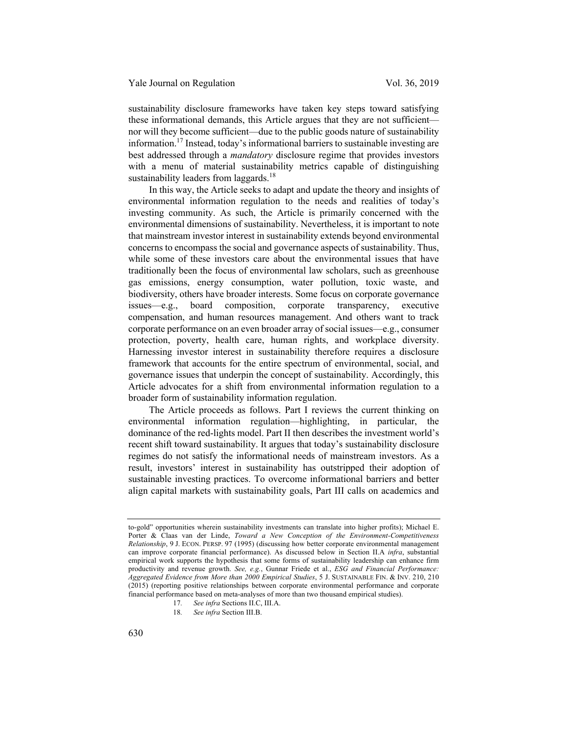sustainability disclosure frameworks have taken key steps toward satisfying these informational demands, this Article argues that they are not sufficient nor will they become sufficient—due to the public goods nature of sustainability information.17 Instead, today's informational barriers to sustainable investing are best addressed through a *mandatory* disclosure regime that provides investors with a menu of material sustainability metrics capable of distinguishing sustainability leaders from laggards.<sup>18</sup>

In this way, the Article seeks to adapt and update the theory and insights of environmental information regulation to the needs and realities of today's investing community. As such, the Article is primarily concerned with the environmental dimensions of sustainability. Nevertheless, it is important to note that mainstream investor interest in sustainability extends beyond environmental concerns to encompass the social and governance aspects of sustainability. Thus, while some of these investors care about the environmental issues that have traditionally been the focus of environmental law scholars, such as greenhouse gas emissions, energy consumption, water pollution, toxic waste, and biodiversity, others have broader interests. Some focus on corporate governance issues—e.g., board composition, corporate transparency, executive compensation, and human resources management. And others want to track corporate performance on an even broader array of social issues—e.g., consumer protection, poverty, health care, human rights, and workplace diversity. Harnessing investor interest in sustainability therefore requires a disclosure framework that accounts for the entire spectrum of environmental, social, and governance issues that underpin the concept of sustainability. Accordingly, this Article advocates for a shift from environmental information regulation to a broader form of sustainability information regulation.

The Article proceeds as follows. Part I reviews the current thinking on environmental information regulation—highlighting, in particular, the dominance of the red-lights model. Part II then describes the investment world's recent shift toward sustainability. It argues that today's sustainability disclosure regimes do not satisfy the informational needs of mainstream investors. As a result, investors' interest in sustainability has outstripped their adoption of sustainable investing practices. To overcome informational barriers and better align capital markets with sustainability goals, Part III calls on academics and

to-gold" opportunities wherein sustainability investments can translate into higher profits); Michael E. Porter & Claas van der Linde, *Toward a New Conception of the Environment-Competitiveness Relationship*, 9 J. ECON. PERSP. 97 (1995) (discussing how better corporate environmental management can improve corporate financial performance). As discussed below in Section II.A *infra*, substantial empirical work supports the hypothesis that some forms of sustainability leadership can enhance firm productivity and revenue growth. *See, e.g.*, Gunnar Friede et al., *ESG and Financial Performance: Aggregated Evidence from More than 2000 Empirical Studies*, 5 J. SUSTAINABLE FIN. & INV. 210, 210 (2015) (reporting positive relationships between corporate environmental performance and corporate financial performance based on meta-analyses of more than two thousand empirical studies).

<sup>17</sup>*. See infra* Sections II.C, III.A.

<sup>18</sup>*. See infra* Section III.B.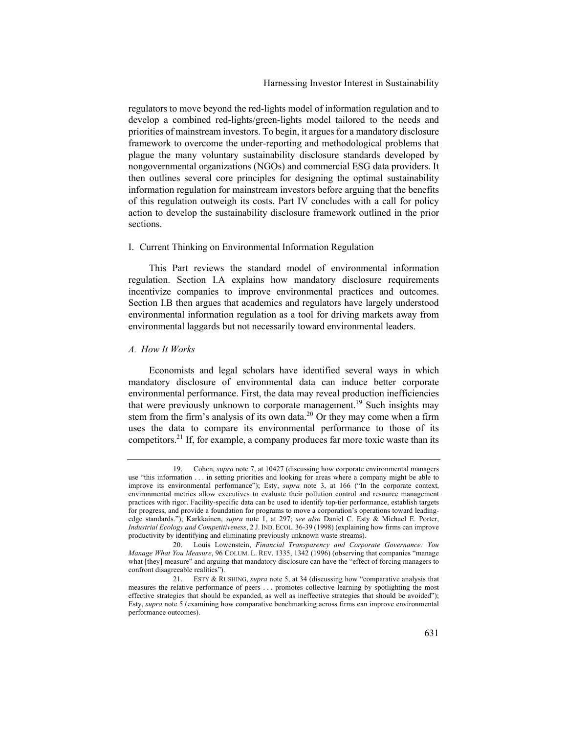regulators to move beyond the red-lights model of information regulation and to develop a combined red-lights/green-lights model tailored to the needs and priorities of mainstream investors. To begin, it argues for a mandatory disclosure framework to overcome the under-reporting and methodological problems that plague the many voluntary sustainability disclosure standards developed by nongovernmental organizations (NGOs) and commercial ESG data providers. It then outlines several core principles for designing the optimal sustainability information regulation for mainstream investors before arguing that the benefits of this regulation outweigh its costs. Part IV concludes with a call for policy action to develop the sustainability disclosure framework outlined in the prior sections.

#### I. Current Thinking on Environmental Information Regulation

This Part reviews the standard model of environmental information regulation. Section I.A explains how mandatory disclosure requirements incentivize companies to improve environmental practices and outcomes. Section I.B then argues that academics and regulators have largely understood environmental information regulation as a tool for driving markets away from environmental laggards but not necessarily toward environmental leaders.

#### *A. How It Works*

Economists and legal scholars have identified several ways in which mandatory disclosure of environmental data can induce better corporate environmental performance. First, the data may reveal production inefficiencies that were previously unknown to corporate management.<sup>19</sup> Such insights may stem from the firm's analysis of its own data.<sup>20</sup> Or they may come when a firm uses the data to compare its environmental performance to those of its competitors.<sup>21</sup> If, for example, a company produces far more toxic waste than its

<sup>19.</sup> Cohen, *supra* note 7, at 10427 (discussing how corporate environmental managers use "this information . . . in setting priorities and looking for areas where a company might be able to improve its environmental performance"); Esty, *supra* note 3, at 166 ("In the corporate context, environmental metrics allow executives to evaluate their pollution control and resource management practices with rigor. Facility-specific data can be used to identify top-tier performance, establish targets for progress, and provide a foundation for programs to move a corporation's operations toward leadingedge standards."); Karkkainen, *supra* note 1, at 297; *see also* Daniel C. Esty & Michael E. Porter, *Industrial Ecology and Competitiveness*, 2 J. IND. ECOL. 36-39 (1998) (explaining how firms can improve productivity by identifying and eliminating previously unknown waste streams).

<sup>20.</sup> Louis Lowenstein, *Financial Transparency and Corporate Governance: You Manage What You Measure*, 96 COLUM. L. REV. 1335, 1342 (1996) (observing that companies "manage what [they] measure" and arguing that mandatory disclosure can have the "effect of forcing managers to confront disagreeable realities").

<sup>21.</sup> ESTY & RUSHING, *supra* note 5, at 34 (discussing how "comparative analysis that measures the relative performance of peers . . . promotes collective learning by spotlighting the most effective strategies that should be expanded, as well as ineffective strategies that should be avoided"); Esty, *supra* note 5 (examining how comparative benchmarking across firms can improve environmental performance outcomes).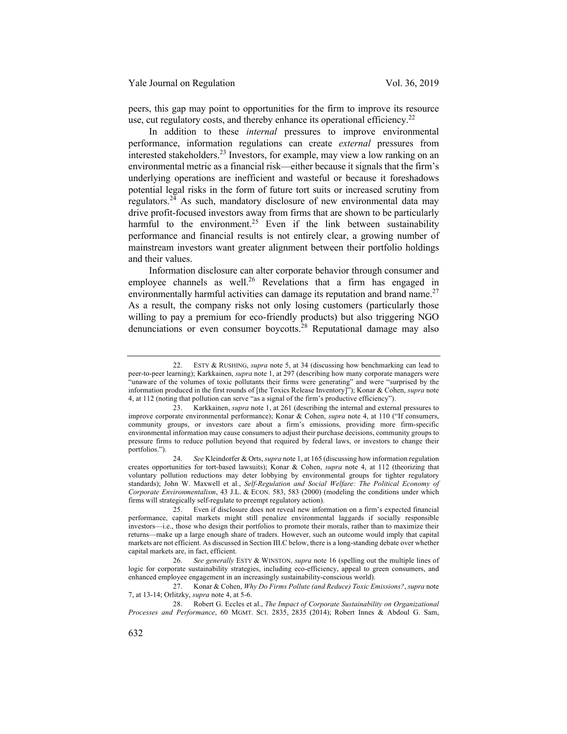peers, this gap may point to opportunities for the firm to improve its resource use, cut regulatory costs, and thereby enhance its operational efficiency.<sup>22</sup>

In addition to these *internal* pressures to improve environmental performance, information regulations can create *external* pressures from interested stakeholders.<sup>23</sup> Investors, for example, may view a low ranking on an environmental metric as a financial risk—either because it signals that the firm's underlying operations are inefficient and wasteful or because it foreshadows potential legal risks in the form of future tort suits or increased scrutiny from regulators.<sup>24</sup> As such, mandatory disclosure of new environmental data may drive profit-focused investors away from firms that are shown to be particularly harmful to the environment.<sup>25</sup> Even if the link between sustainability performance and financial results is not entirely clear, a growing number of mainstream investors want greater alignment between their portfolio holdings and their values.

Information disclosure can alter corporate behavior through consumer and employee channels as well.<sup>26</sup> Revelations that a firm has engaged in environmentally harmful activities can damage its reputation and brand name.<sup>27</sup> As a result, the company risks not only losing customers (particularly those willing to pay a premium for eco-friendly products) but also triggering NGO denunciations or even consumer boycotts.<sup>28</sup> Reputational damage may also

<sup>22.</sup> ESTY & RUSHING, *supra* note 5, at 34 (discussing how benchmarking can lead to peer-to-peer learning); Karkkainen, *supra* note 1, at 297 (describing how many corporate managers were "unaware of the volumes of toxic pollutants their firms were generating" and were "surprised by the information produced in the first rounds of [the Toxics Release Inventory]"); Konar & Cohen, *supra* note 4, at 112 (noting that pollution can serve "as a signal of the firm's productive efficiency").

<sup>23.</sup> Karkkainen, *supra* note 1, at 261 (describing the internal and external pressures to improve corporate environmental performance); Konar & Cohen, *supra* note 4, at 110 ("If consumers, community groups, or investors care about a firm's emissions, providing more firm-specific environmental information may cause consumers to adjust their purchase decisions, community groups to pressure firms to reduce pollution beyond that required by federal laws, or investors to change their portfolios.").

<sup>24</sup>*. See* Kleindorfer & Orts, *supra* note 1, at 165 (discussing how information regulation creates opportunities for tort-based lawsuits); Konar & Cohen, *supra* note 4, at 112 (theorizing that voluntary pollution reductions may deter lobbying by environmental groups for tighter regulatory standards); John W. Maxwell et al., *Self-Regulation and Social Welfare: The Political Economy of Corporate Environmentalism*, 43 J.L. & ECON. 583, 583 (2000) (modeling the conditions under which firms will strategically self-regulate to preempt regulatory action).

<sup>25.</sup> Even if disclosure does not reveal new information on a firm's expected financial performance, capital markets might still penalize environmental laggards if socially responsible investors—i.e., those who design their portfolios to promote their morals, rather than to maximize their returns—make up a large enough share of traders. However, such an outcome would imply that capital markets are not efficient. As discussed in Section III.C below, there is a long-standing debate over whether capital markets are, in fact, efficient.

<sup>26</sup>*. See generally* ESTY & WINSTON, *supra* note 16 (spelling out the multiple lines of logic for corporate sustainability strategies, including eco-efficiency, appeal to green consumers, and enhanced employee engagement in an increasingly sustainability-conscious world).

<sup>27.</sup> Konar & Cohen, *Why Do Firms Pollute (and Reduce) Toxic Emissions?*, *supra* note 7, at 13-14; Orlitzky, *supra* note 4, at 5-6.

<sup>28.</sup> Robert G. Eccles et al., *The Impact of Corporate Sustainability on Organizational Processes and Performance*, 60 MGMT. SCI. 2835, 2835 (2014); Robert Innes & Abdoul G. Sam,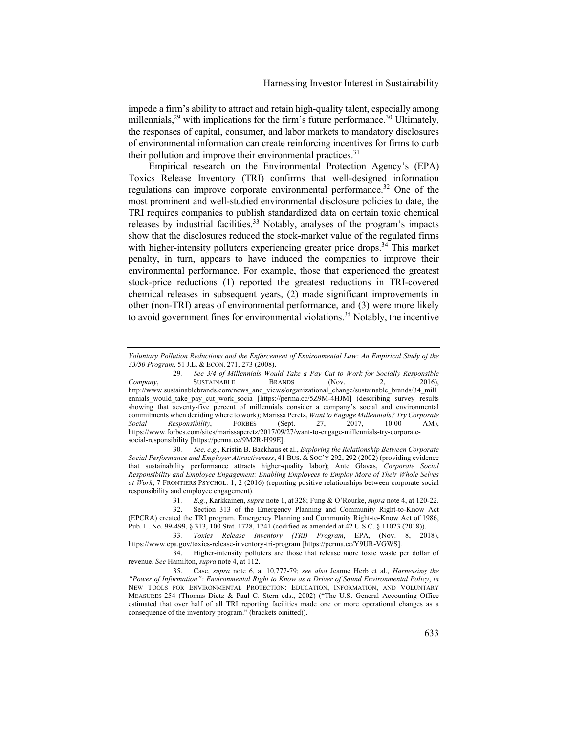impede a firm's ability to attract and retain high-quality talent, especially among millennials,  $29$  with implications for the firm's future performance.  $30$  Ultimately, the responses of capital, consumer, and labor markets to mandatory disclosures of environmental information can create reinforcing incentives for firms to curb their pollution and improve their environmental practices.<sup>31</sup>

Empirical research on the Environmental Protection Agency's (EPA) Toxics Release Inventory (TRI) confirms that well-designed information regulations can improve corporate environmental performance.<sup>32</sup> One of the most prominent and well-studied environmental disclosure policies to date, the TRI requires companies to publish standardized data on certain toxic chemical releases by industrial facilities.<sup>33</sup> Notably, analyses of the program's impacts show that the disclosures reduced the stock-market value of the regulated firms with higher-intensity polluters experiencing greater price drops.<sup>34</sup> This market penalty, in turn, appears to have induced the companies to improve their environmental performance. For example, those that experienced the greatest stock-price reductions (1) reported the greatest reductions in TRI-covered chemical releases in subsequent years, (2) made significant improvements in other (non-TRI) areas of environmental performance, and (3) were more likely to avoid government fines for environmental violations.<sup>35</sup> Notably, the incentive

30*. See, e.g.*, Kristin B. Backhaus et al., *Exploring the Relationship Between Corporate Social Performance and Employer Attractiveness*, 41 BUS. & SOC'Y 292, 292 (2002) (providing evidence that sustainability performance attracts higher-quality labor); Ante Glavas, *Corporate Social Responsibility and Employee Engagement: Enabling Employees to Employ More of Their Whole Selves at Work*, 7 FRONTIERS PSYCHOL. 1, 2 (2016) (reporting positive relationships between corporate social responsibility and employee engagement).

*Voluntary Pollution Reductions and the Enforcement of Environmental Law: An Empirical Study of the 33/50 Program*, 51 J.L. & ECON. 271, 273 (2008).

<sup>29</sup>*. See 3/4 of Millennials Would Take a Pay Cut to Work for Socially Responsible Company*, SUSTAINABLE BRANDS (Nov. 2, 2016), http://www.sustainablebrands.com/news\_and\_views/organizational\_change/sustainable\_brands/34\_mill ennials\_would\_take\_pay\_cut\_work\_socia [https://perma.cc/5Z9M-4HJM] (describing survey results showing that seventy-five percent of millennials consider a company's social and environmental commitments when deciding where to work); Marissa Peretz, *Want to Engage Millennials? Try Corporate Social Responsibility*, FORBES (Sept. 27, 2017, 10:00 AM), https://www.forbes.com/sites/marissaperetz/2017/09/27/want-to-engage-millennials-try-corporatesocial-responsibility [https://perma.cc/9M2R-H99E].

<sup>31</sup>*. E.g.*, Karkkainen, *supra* note 1, at 328; Fung & O'Rourke, *supra* note 4, at 120-22.

<sup>32.</sup> Section 313 of the Emergency Planning and Community Right-to-Know Act (EPCRA) created the TRI program. Emergency Planning and Community Right-to-Know Act of 1986, Pub. L. No. 99-499, § 313, 100 Stat. 1728, 1741 (codified as amended at 42 U.S.C. § 11023 (2018)).

<sup>33</sup>*. Toxics Release Inventory (TRI) Program*, EPA, (Nov. 8, 2018), https://www.epa.gov/toxics-release-inventory-tri-program [https://perma.cc/Y9UR-VGWS].

<sup>34.</sup> Higher-intensity polluters are those that release more toxic waste per dollar of revenue. *See* Hamilton, *supra* note 4, at 112.

<sup>35.</sup> Case, *supra* note 6, at 10,777-79; *see also* Jeanne Herb et al., *Harnessing the "Power of Information": Environmental Right to Know as a Driver of Sound Environmental Policy*, *in*  NEW TOOLS FOR ENVIRONMENTAL PROTECTION: EDUCATION, INFORMATION, AND VOLUNTARY MEASURES 254 (Thomas Dietz & Paul C. Stern eds., 2002) ("The U.S. General Accounting Office estimated that over half of all TRI reporting facilities made one or more operational changes as a consequence of the inventory program." (brackets omitted)).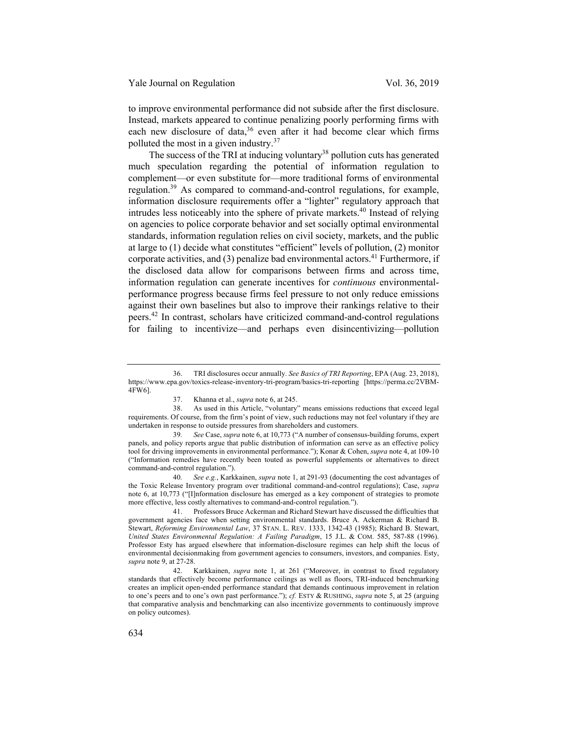to improve environmental performance did not subside after the first disclosure. Instead, markets appeared to continue penalizing poorly performing firms with each new disclosure of data,<sup>36</sup> even after it had become clear which firms polluted the most in a given industry.<sup>37</sup>

The success of the TRI at inducing voluntary<sup>38</sup> pollution cuts has generated much speculation regarding the potential of information regulation to complement—or even substitute for—more traditional forms of environmental regulation.<sup>39</sup> As compared to command-and-control regulations, for example, information disclosure requirements offer a "lighter" regulatory approach that intrudes less noticeably into the sphere of private markets.40 Instead of relying on agencies to police corporate behavior and set socially optimal environmental standards, information regulation relies on civil society, markets, and the public at large to (1) decide what constitutes "efficient" levels of pollution, (2) monitor corporate activities, and (3) penalize bad environmental actors.<sup>41</sup> Furthermore, if the disclosed data allow for comparisons between firms and across time, information regulation can generate incentives for *continuous* environmentalperformance progress because firms feel pressure to not only reduce emissions against their own baselines but also to improve their rankings relative to their peers.42 In contrast, scholars have criticized command-and-control regulations for failing to incentivize—and perhaps even disincentivizing—pollution

40*. See e.g.*, Karkkainen, *supra* note 1, at 291-93 (documenting the cost advantages of the Toxic Release Inventory program over traditional command-and-control regulations); Case, *supra*  note 6, at 10,773 ("[I]nformation disclosure has emerged as a key component of strategies to promote more effective, less costly alternatives to command-and-control regulation.").

41. Professors Bruce Ackerman and Richard Stewart have discussed the difficulties that government agencies face when setting environmental standards. Bruce A. Ackerman & Richard B. Stewart, *Reforming Environmental Law*, 37 STAN. L. REV. 1333, 1342-43 (1985); Richard B. Stewart, *United States Environmental Regulation: A Failing Paradigm*, 15 J.L. & COM. 585, 587-88 (1996). Professor Esty has argued elsewhere that information-disclosure regimes can help shift the locus of environmental decisionmaking from government agencies to consumers, investors, and companies. Esty, *supra* note 9, at 27-28.

42. Karkkainen, *supra* note 1, at 261 ("Moreover, in contrast to fixed regulatory standards that effectively become performance ceilings as well as floors, TRI-induced benchmarking creates an implicit open-ended performance standard that demands continuous improvement in relation to one's peers and to one's own past performance."); *cf.* ESTY & RUSHING, *supra* note 5, at 25 (arguing that comparative analysis and benchmarking can also incentivize governments to continuously improve on policy outcomes).

<sup>36.</sup> TRI disclosures occur annually. *See Basics of TRI Reporting*, EPA (Aug. 23, 2018), https://www.epa.gov/toxics-release-inventory-tri-program/basics-tri-reporting [https://perma.cc/2VBM-4FW6].

<sup>37.</sup> Khanna et al., *supra* note 6, at 245.

<sup>38.</sup> As used in this Article, "voluntary" means emissions reductions that exceed legal requirements. Of course, from the firm's point of view, such reductions may not feel voluntary if they are undertaken in response to outside pressures from shareholders and customers.

<sup>39</sup>*. See* Case, *supra* note 6, at 10,773 ("A number of consensus-building forums, expert panels, and policy reports argue that public distribution of information can serve as an effective policy tool for driving improvements in environmental performance."); Konar & Cohen, *supra* note 4, at 109-10 ("Information remedies have recently been touted as powerful supplements or alternatives to direct command-and-control regulation.").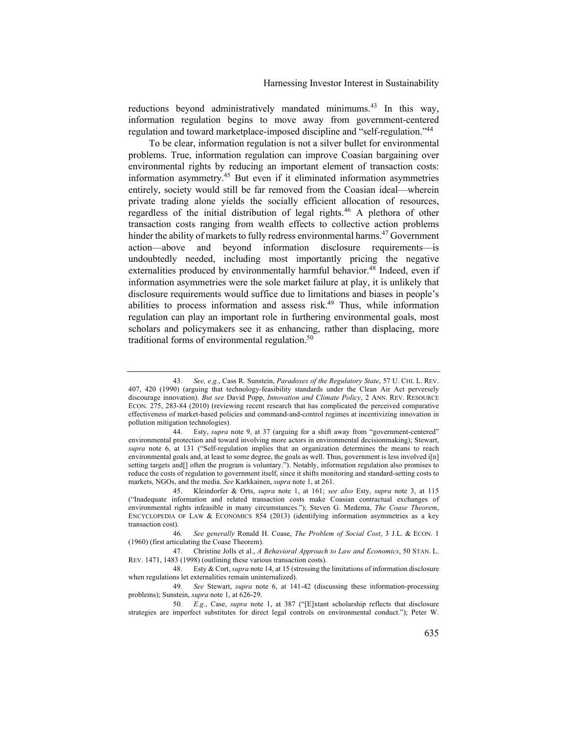reductions beyond administratively mandated minimums.<sup>43</sup> In this way, information regulation begins to move away from government-centered regulation and toward marketplace-imposed discipline and "self-regulation."44

To be clear, information regulation is not a silver bullet for environmental problems. True, information regulation can improve Coasian bargaining over environmental rights by reducing an important element of transaction costs: information asymmetry.45 But even if it eliminated information asymmetries entirely, society would still be far removed from the Coasian ideal—wherein private trading alone yields the socially efficient allocation of resources, regardless of the initial distribution of legal rights.<sup>46</sup> A plethora of other transaction costs ranging from wealth effects to collective action problems hinder the ability of markets to fully redress environmental harms.<sup>47</sup> Government action—above and beyond information disclosure requirements—is undoubtedly needed, including most importantly pricing the negative externalities produced by environmentally harmful behavior.<sup>48</sup> Indeed, even if information asymmetries were the sole market failure at play, it is unlikely that disclosure requirements would suffice due to limitations and biases in people's abilities to process information and assess risk.<sup>49</sup> Thus, while information regulation can play an important role in furthering environmental goals, most scholars and policymakers see it as enhancing, rather than displacing, more traditional forms of environmental regulation. $50$ 

<sup>43</sup>*. See, e.g.*, Cass R. Sunstein, *Paradoxes of the Regulatory State*, 57 U. CHI. L. REV. 407, 420 (1990) (arguing that technology-feasibility standards under the Clean Air Act perversely discourage innovation). *But see* David Popp, *Innovation and Climate Policy*, 2 ANN. REV. RESOURCE ECON. 275, 283-84 (2010) (reviewing recent research that has complicated the perceived comparative effectiveness of market-based policies and command-and-control regimes at incentivizing innovation in pollution mitigation technologies).

<sup>44.</sup> Esty, *supra* note 9, at 37 (arguing for a shift away from "government-centered" environmental protection and toward involving more actors in environmental decisionmaking); Stewart, *supra* note 6, at 131 ("Self-regulation implies that an organization determines the means to reach environmental goals and, at least to some degree, the goals as well. Thus, government is less involved i[n] setting targets and[] often the program is voluntary."). Notably, information regulation also promises to reduce the costs of regulation to government itself, since it shifts monitoring and standard-setting costs to markets, NGOs, and the media. *See* Karkkainen, *supra* note 1, at 261.

<sup>45.</sup> Kleindorfer & Orts, *supra* note 1, at 161; *see also* Esty, *supra* note 3, at 115 ("Inadequate information and related transaction costs make Coasian contractual exchanges of environmental rights infeasible in many circumstances."); Steven G. Medema, *The Coase Theorem*, ENCYCLOPEDIA OF LAW & ECONOMICS 854 (2013) (identifying information asymmetries as a key transaction cost).

<sup>46</sup>*. See generally* Ronald H. Coase, *The Problem of Social Cost*, 3 J.L. & ECON. 1 (1960) (first articulating the Coase Theorem).

<sup>47.</sup> Christine Jolls et al., *A Behavioral Approach to Law and Economics*, 50 STAN. L. REV. 1471, 1483 (1998) (outlining these various transaction costs).

<sup>48.</sup> Esty & Cort, *supra* note 14, at 15 (stressing the limitations of information disclosure when regulations let externalities remain uninternalized).

<sup>49</sup>*. See* Stewart, *supra* note 6, at 141-42 (discussing these information-processing problems); Sunstein, *supra* note 1, at 626-29.

<sup>50</sup>*. E.g.*, Case, *supra* note 1, at 387 ("[E]xtant scholarship reflects that disclosure strategies are imperfect substitutes for direct legal controls on environmental conduct."); Peter W.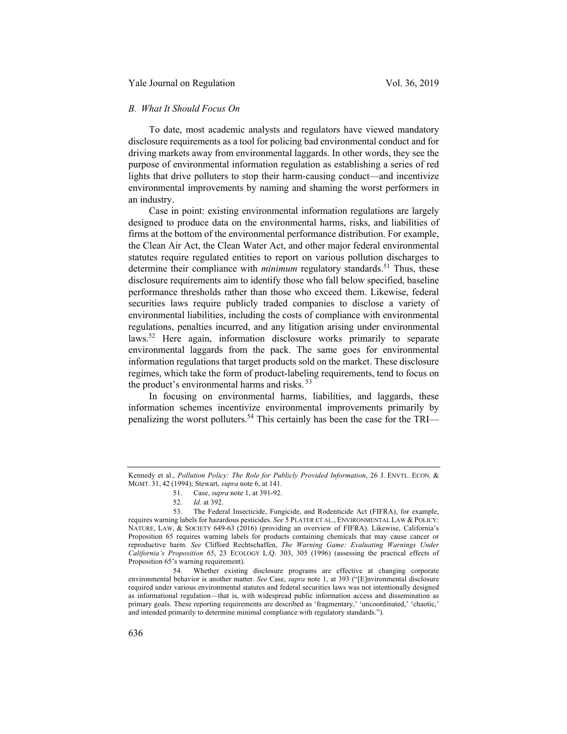### *B. What It Should Focus On*

To date, most academic analysts and regulators have viewed mandatory disclosure requirements as a tool for policing bad environmental conduct and for driving markets away from environmental laggards. In other words, they see the purpose of environmental information regulation as establishing a series of red lights that drive polluters to stop their harm-causing conduct—and incentivize environmental improvements by naming and shaming the worst performers in an industry.

Case in point: existing environmental information regulations are largely designed to produce data on the environmental harms, risks, and liabilities of firms at the bottom of the environmental performance distribution. For example, the Clean Air Act, the Clean Water Act, and other major federal environmental statutes require regulated entities to report on various pollution discharges to determine their compliance with *minimum* regulatory standards.<sup>51</sup> Thus, these disclosure requirements aim to identify those who fall below specified, baseline performance thresholds rather than those who exceed them. Likewise, federal securities laws require publicly traded companies to disclose a variety of environmental liabilities, including the costs of compliance with environmental regulations, penalties incurred, and any litigation arising under environmental laws.<sup>52</sup> Here again, information disclosure works primarily to separate environmental laggards from the pack. The same goes for environmental information regulations that target products sold on the market. These disclosure regimes, which take the form of product-labeling requirements, tend to focus on the product's environmental harms and risks.<sup>53</sup>

In focusing on environmental harms, liabilities, and laggards, these information schemes incentivize environmental improvements primarily by penalizing the worst polluters.<sup>54</sup> This certainly has been the case for the TRI—

52*. Id.* at 392.

Kennedy et al., *Pollution Policy: The Role for Publicly Provided Information*, 26 J. ENVTL. ECON. & MGMT. 31, 42 (1994); Stewart, *supra* note 6, at 141.

<sup>51.</sup> Case, *supra* note 1, at 391-92.

<sup>53.</sup> The Federal Insecticide, Fungicide, and Rodenticide Act (FIFRA), for example, requires warning labels for hazardous pesticides. *See* 5 PLATER ET AL., ENVIRONMENTAL LAW & POLICY: NATURE, LAW, & SOCIETY 649-63 (2016) (providing an overview of FIFRA). Likewise, California's Proposition 65 requires warning labels for products containing chemicals that may cause cancer or reproductive harm. *See* Clifford Rechtschaffen, *The Warning Game: Evaluating Warnings Under California's Proposition 65*, 23 ECOLOGY L.Q. 303, 305 (1996) (assessing the practical effects of Proposition 65's warning requirement).

<sup>54.</sup> Whether existing disclosure programs are effective at changing corporate environmental behavior is another matter. *See* Case, *supra* note 1, at 393 ("[E]nvironmental disclosure required under various environmental statutes and federal securities laws was not intentionally designed as informational regulation—that is, with widespread public information access and dissemination as primary goals. These reporting requirements are described as 'fragmentary,' 'uncoordinated,' 'chaotic,' and intended primarily to determine minimal compliance with regulatory standards.").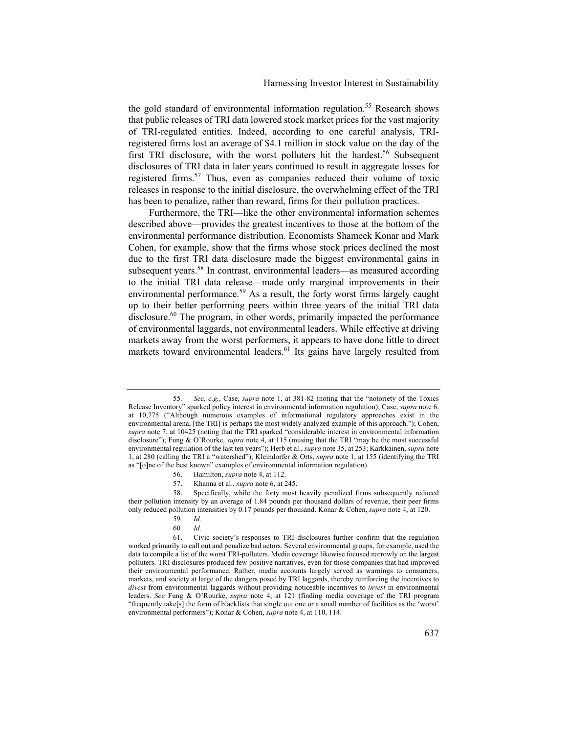the gold standard of environmental information regulation.<sup>55</sup> Research shows that public releases of TRI data lowered stock market prices for the vast majority of TRI-regulated entities. Indeed, according to one careful analysis, TRIregistered firms lost an average of \$4.1 million in stock value on the day of the first TRI disclosure, with the worst polluters hit the hardest.<sup>56</sup> Subsequent disclosures of TRI data in later years continued to result in aggregate losses for registered firms.<sup>57</sup> Thus, even as companies reduced their volume of toxic releases in response to the initial disclosure, the overwhelming effect of the TRI has been to penalize, rather than reward, firms for their pollution practices.

Furthermore, the TRI—like the other environmental information schemes described above—provides the greatest incentives to those at the bottom of the environmental performance distribution. Economists Shameek Konar and Mark Cohen, for example, show that the firms whose stock prices declined the most due to the first TRI data disclosure made the biggest environmental gains in subsequent years.<sup>58</sup> In contrast, environmental leaders—as measured according to the initial TRI data release—made only marginal improvements in their environmental performance.<sup>59</sup> As a result, the forty worst firms largely caught up to their better performing peers within three years of the initial TRI data disclosure.<sup>60</sup> The program, in other words, primarily impacted the performance of environmental laggards, not environmental leaders. While effective at driving markets away from the worst performers, it appears to have done little to direct markets toward environmental leaders.<sup>61</sup> Its gains have largely resulted from

<sup>55</sup>*. See, e.g.*, Case, *supra* note 1, at 381-82 (noting that the "notoriety of the Toxics Release Inventory" sparked policy interest in environmental information regulation); Case, *supra* note 6, at 10,775 ("Although numerous examples of informational regulatory approaches exist in the environmental arena, [the TRI] is perhaps the most widely analyzed example of this approach."); Cohen, *supra* note 7, at 10425 (noting that the TRI sparked "considerable interest in environmental information disclosure"); Fung & O'Rourke, *supra* note 4, at 115 (musing that the TRI "may be the most successful environmental regulation of the last ten years"); Herb et al., *supra* note 35, at 253; Karkkainen, *supra* note 1, at 280 (calling the TRI a "watershed"); Kleindorfer & Orts, *supra* note 1, at 155 (identifying the TRI as "[o]ne of the best known" examples of environmental information regulation).

<sup>56.</sup> Hamilton, *supra* note 4, at 112.

<sup>57.</sup> Khanna et al., *supra* note 6, at 245.

<sup>58.</sup> Specifically, while the forty most heavily penalized firms subsequently reduced their pollution intensity by an average of 1.84 pounds per thousand dollars of revenue, their peer firms only reduced pollution intensities by 0.17 pounds per thousand. Konar & Cohen, *supra* note 4, at 120.

<sup>59</sup>*. Id.*

<sup>60</sup>*. Id.*

<sup>61.</sup> Civic society's responses to TRI disclosures further confirm that the regulation worked primarily to call out and penalize bad actors. Several environmental groups, for example, used the data to compile a list of the worst TRI-polluters. Media coverage likewise focused narrowly on the largest polluters. TRI disclosures produced few positive narratives, even for those companies that had improved their environmental performance. Rather, media accounts largely served as warnings to consumers, markets, and society at large of the dangers posed by TRI laggards, thereby reinforcing the incentives to *divest* from environmental laggards without providing noticeable incentives to *invest* in environmental leaders. *See* Fung & O'Rourke, *supra* note 4, at 121 (finding media coverage of the TRI program "frequently take[s] the form of blacklists that single out one or a small number of facilities as the 'worst' environmental performers"); Konar & Cohen, *supra* note 4, at 110, 114.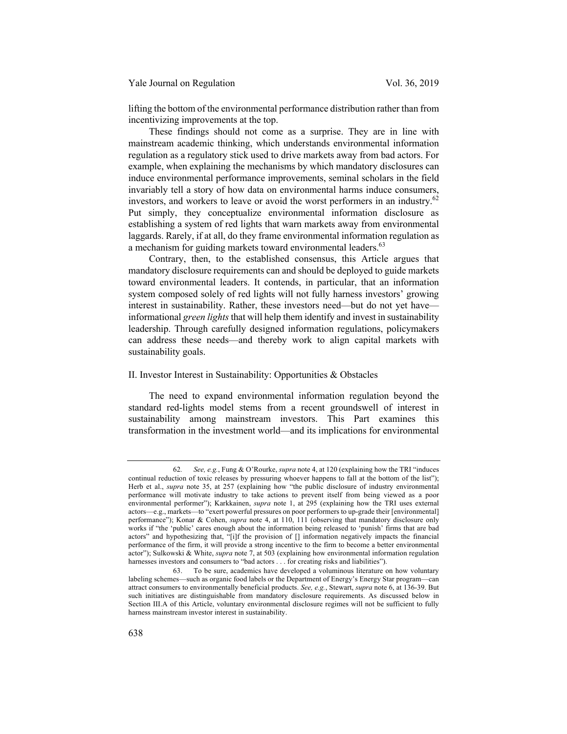lifting the bottom of the environmental performance distribution rather than from incentivizing improvements at the top.

These findings should not come as a surprise. They are in line with mainstream academic thinking, which understands environmental information regulation as a regulatory stick used to drive markets away from bad actors. For example, when explaining the mechanisms by which mandatory disclosures can induce environmental performance improvements, seminal scholars in the field invariably tell a story of how data on environmental harms induce consumers, investors, and workers to leave or avoid the worst performers in an industry.<sup>62</sup> Put simply, they conceptualize environmental information disclosure as establishing a system of red lights that warn markets away from environmental laggards. Rarely, if at all, do they frame environmental information regulation as a mechanism for guiding markets toward environmental leaders.<sup>63</sup>

Contrary, then, to the established consensus, this Article argues that mandatory disclosure requirements can and should be deployed to guide markets toward environmental leaders. It contends, in particular, that an information system composed solely of red lights will not fully harness investors' growing interest in sustainability. Rather, these investors need—but do not yet have informational *green lights* that will help them identify and invest in sustainability leadership. Through carefully designed information regulations, policymakers can address these needs—and thereby work to align capital markets with sustainability goals.

### II. Investor Interest in Sustainability: Opportunities & Obstacles

The need to expand environmental information regulation beyond the standard red-lights model stems from a recent groundswell of interest in sustainability among mainstream investors. This Part examines this transformation in the investment world—and its implications for environmental

<sup>62</sup>*. See, e.g.*, Fung & O'Rourke, *supra* note 4, at 120 (explaining how the TRI "induces continual reduction of toxic releases by pressuring whoever happens to fall at the bottom of the list"); Herb et al., *supra* note 35, at 257 (explaining how "the public disclosure of industry environmental performance will motivate industry to take actions to prevent itself from being viewed as a poor environmental performer"); Karkkainen, *supra* note 1, at 295 (explaining how the TRI uses external actors—e.g., markets—to "exert powerful pressures on poor performers to up-grade their [environmental] performance"); Konar & Cohen, *supra* note 4, at 110, 111 (observing that mandatory disclosure only works if "the 'public' cares enough about the information being released to 'punish' firms that are bad actors" and hypothesizing that, "[i]f the provision of [] information negatively impacts the financial performance of the firm, it will provide a strong incentive to the firm to become a better environmental actor"); Sulkowski & White, *supra* note 7, at 503 (explaining how environmental information regulation harnesses investors and consumers to "bad actors . . . for creating risks and liabilities").

<sup>63.</sup> To be sure, academics have developed a voluminous literature on how voluntary labeling schemes—such as organic food labels or the Department of Energy's Energy Star program—can attract consumers to environmentally beneficial products. *See, e.g.*, Stewart, *supra* note 6, at 136-39. But such initiatives are distinguishable from mandatory disclosure requirements. As discussed below in Section III.A of this Article, voluntary environmental disclosure regimes will not be sufficient to fully harness mainstream investor interest in sustainability.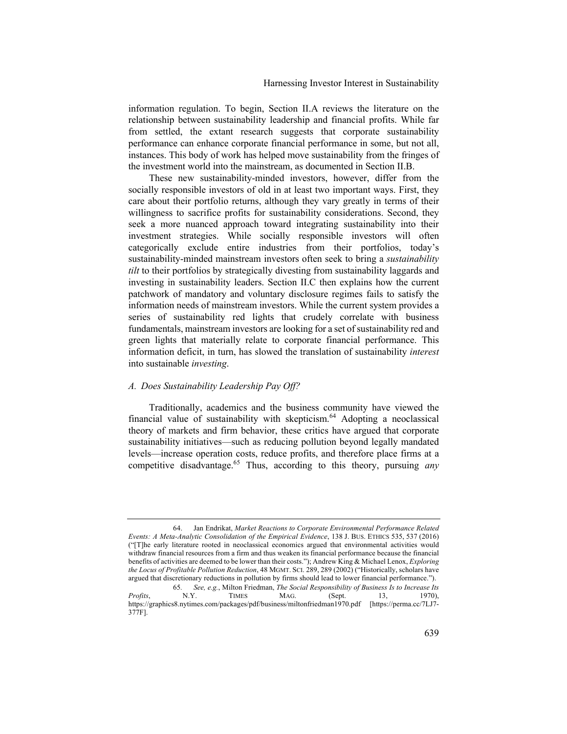information regulation. To begin, Section II.A reviews the literature on the relationship between sustainability leadership and financial profits. While far from settled, the extant research suggests that corporate sustainability performance can enhance corporate financial performance in some, but not all, instances. This body of work has helped move sustainability from the fringes of the investment world into the mainstream, as documented in Section II.B.

These new sustainability-minded investors, however, differ from the socially responsible investors of old in at least two important ways. First, they care about their portfolio returns, although they vary greatly in terms of their willingness to sacrifice profits for sustainability considerations. Second, they seek a more nuanced approach toward integrating sustainability into their investment strategies. While socially responsible investors will often categorically exclude entire industries from their portfolios, today's sustainability-minded mainstream investors often seek to bring a *sustainability tilt* to their portfolios by strategically divesting from sustainability laggards and investing in sustainability leaders. Section II.C then explains how the current patchwork of mandatory and voluntary disclosure regimes fails to satisfy the information needs of mainstream investors. While the current system provides a series of sustainability red lights that crudely correlate with business fundamentals, mainstream investors are looking for a set of sustainability red and green lights that materially relate to corporate financial performance. This information deficit, in turn, has slowed the translation of sustainability *interest* into sustainable *investing*.

#### *A. Does Sustainability Leadership Pay Off?*

Traditionally, academics and the business community have viewed the financial value of sustainability with skepticism. $64$  Adopting a neoclassical theory of markets and firm behavior, these critics have argued that corporate sustainability initiatives—such as reducing pollution beyond legally mandated levels—increase operation costs, reduce profits, and therefore place firms at a competitive disadvantage.<sup>65</sup> Thus, according to this theory, pursuing *any*

<sup>64.</sup> Jan Endrikat, *Market Reactions to Corporate Environmental Performance Related Events: A Meta-Analytic Consolidation of the Empirical Evidence*, 138 J. BUS. ETHICS 535, 537 (2016) ("[T]he early literature rooted in neoclassical economics argued that environmental activities would withdraw financial resources from a firm and thus weaken its financial performance because the financial benefits of activities are deemed to be lower than their costs."); Andrew King & Michael Lenox, *Exploring the Locus of Profitable Pollution Reduction*, 48 MGMT. SCI. 289, 289 (2002) ("Historically, scholars have argued that discretionary reductions in pollution by firms should lead to lower financial performance.").

<sup>65</sup>*. See, e.g.*, Milton Friedman, *The Social Responsibility of Business Is to Increase Its Profits*, N.Y. TIMES MAG. (Sept. 13, 1970), https://graphics8.nytimes.com/packages/pdf/business/miltonfriedman1970.pdf [https://perma.cc/7LJ7- 377F].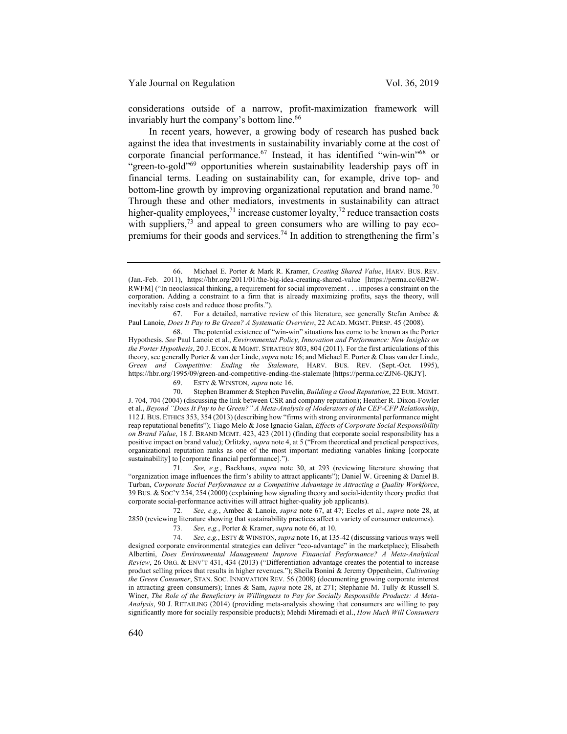considerations outside of a narrow, profit-maximization framework will invariably hurt the company's bottom line.<sup>66</sup>

In recent years, however, a growing body of research has pushed back against the idea that investments in sustainability invariably come at the cost of corporate financial performance.<sup>67</sup> Instead, it has identified "win-win"<sup>68</sup> or "green-to-gold"69 opportunities wherein sustainability leadership pays off in financial terms. Leading on sustainability can, for example, drive top- and bottom-line growth by improving organizational reputation and brand name.<sup>70</sup> Through these and other mediators, investments in sustainability can attract higher-quality employees,<sup>71</sup> increase customer loyalty,<sup>72</sup> reduce transaction costs with suppliers,  $73$  and appeal to green consumers who are willing to pay ecopremiums for their goods and services.<sup>74</sup> In addition to strengthening the firm's

69. ESTY & WINSTON, *supra* note 16.

70. Stephen Brammer & Stephen Pavelin, *Building a Good Reputation*, 22 EUR. MGMT. J. 704, 704 (2004) (discussing the link between CSR and company reputation); Heather R. Dixon-Fowler et al., *Beyond "Does It Pay to be Green?" A Meta-Analysis of Moderators of the CEP-CFP Relationship*, 112 J. BUS. ETHICS 353, 354 (2013) (describing how "firms with strong environmental performance might reap reputational benefits"); Tiago Melo & Jose Ignacio Galan, *Effects of Corporate Social Responsibility on Brand Value*, 18 J. BRAND MGMT. 423, 423 (2011) (finding that corporate social responsibility has a positive impact on brand value); Orlitzky, *supra* note 4, at 5 ("From theoretical and practical perspectives, organizational reputation ranks as one of the most important mediating variables linking [corporate sustainability] to [corporate financial performance].").

71*. See, e.g.*, Backhaus, *supra* note 30, at 293 (reviewing literature showing that "organization image influences the firm's ability to attract applicants"); Daniel W. Greening & Daniel B. Turban, *Corporate Social Performance as a Competitive Advantage in Attracting a Quality Workforce*, 39 BUS. & SOC'Y 254, 254 (2000) (explaining how signaling theory and social-identity theory predict that corporate social-performance activities will attract higher-quality job applicants).

72*. See, e.g.*, Ambec & Lanoie, *supra* note 67, at 47; Eccles et al., *supra* note 28, at 2850 (reviewing literature showing that sustainability practices affect a variety of consumer outcomes).

73*. See, e.g.*, Porter & Kramer, *supra* note 66, at 10.

74*. See, e.g.*, ESTY & WINSTON, *supra* note 16, at 135-42 (discussing various ways well designed corporate environmental strategies can deliver "eco-advantage" in the marketplace); Elisabeth Albertini, *Does Environmental Management Improve Financial Performance? A Meta-Analytical Review*, 26 ORG. & ENV'T 431, 434 (2013) ("Differentiation advantage creates the potential to increase product selling prices that results in higher revenues."); Sheila Bonini & Jeremy Oppenheim, *Cultivating the Green Consumer*, STAN. SOC. INNOVATION REV. 56 (2008) (documenting growing corporate interest in attracting green consumers); Innes & Sam, *supra* note 28, at 271; Stephanie M. Tully & Russell S. Winer, *The Role of the Beneficiary in Willingness to Pay for Socially Responsible Products: A Meta-Analysis*, 90 J. RETAILING (2014) (providing meta-analysis showing that consumers are willing to pay significantly more for socially responsible products); Mehdi Miremadi et al., *How Much Will Consumers* 

<sup>66.</sup> Michael E. Porter & Mark R. Kramer, *Creating Shared Value*, HARV. BUS. REV. (Jan.-Feb. 2011), https://hbr.org/2011/01/the-big-idea-creating-shared-value [https://perma.cc/6B2W-RWFM] ("In neoclassical thinking, a requirement for social improvement . . . imposes a constraint on the corporation. Adding a constraint to a firm that is already maximizing profits, says the theory, will inevitably raise costs and reduce those profits.").

<sup>67.</sup> For a detailed, narrative review of this literature, see generally Stefan Ambec & Paul Lanoie, *Does It Pay to Be Green? A Systematic Overview*, 22 ACAD. MGMT. PERSP. 45 (2008).

<sup>68.</sup> The potential existence of "win-win" situations has come to be known as the Porter Hypothesis. *See* Paul Lanoie et al., *Environmental Policy, Innovation and Performance: New Insights on the Porter Hypothesis*, 20 J. ECON. & MGMT. STRATEGY 803, 804 (2011). For the first articulations of this theory, see generally Porter & van der Linde, *supra* note 16; and Michael E. Porter & Claas van der Linde, *Green and Competitive: Ending the Stalemate*, HARV. BUS. REV. (Sept.-Oct. 1995), https://hbr.org/1995/09/green-and-competitive-ending-the-stalemate [https://perma.cc/ZJN6-QKJY].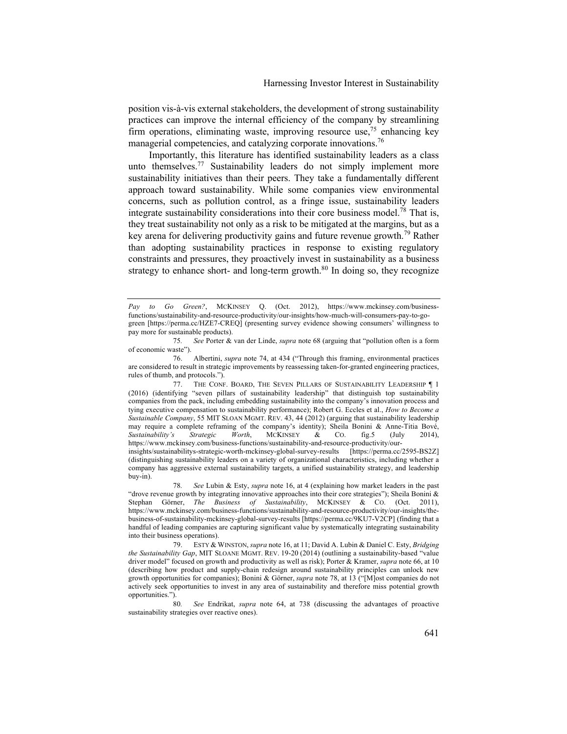position vis-à-vis external stakeholders, the development of strong sustainability practices can improve the internal efficiency of the company by streamlining firm operations, eliminating waste, improving resource use,75 enhancing key managerial competencies, and catalyzing corporate innovations.<sup>76</sup>

Importantly, this literature has identified sustainability leaders as a class unto themselves.<sup>77</sup> Sustainability leaders do not simply implement more sustainability initiatives than their peers. They take a fundamentally different approach toward sustainability. While some companies view environmental concerns, such as pollution control, as a fringe issue, sustainability leaders integrate sustainability considerations into their core business model.<sup>78</sup> That is, they treat sustainability not only as a risk to be mitigated at the margins, but as a key arena for delivering productivity gains and future revenue growth.<sup>79</sup> Rather than adopting sustainability practices in response to existing regulatory constraints and pressures, they proactively invest in sustainability as a business strategy to enhance short- and long-term growth. $80$  In doing so, they recognize

*Pay to Go Green?*, MCKINSEY Q. (Oct. 2012), https://www.mckinsey.com/businessfunctions/sustainability-and-resource-productivity/our-insights/how-much-will-consumers-pay-to-gogreen [https://perma.cc/HZE7-CREQ] (presenting survey evidence showing consumers' willingness to pay more for sustainable products).<br>75. See Porter &

<sup>75</sup>*. See* Porter & van der Linde, *supra* note 68 (arguing that "pollution often is a form of economic waste").

<sup>76.</sup> Albertini, *supra* note 74, at 434 ("Through this framing, environmental practices are considered to result in strategic improvements by reassessing taken-for-granted engineering practices, rules of thumb, and protocols.").

<sup>77.</sup> THE CONF. BOARD, THE SEVEN PILLARS OF SUSTAINABILITY LEADERSHIP ¶ 1 (2016) (identifying "seven pillars of sustainability leadership" that distinguish top sustainability companies from the pack, including embedding sustainability into the company's innovation process and tying executive compensation to sustainability performance); Robert G. Eccles et al., *How to Become a Sustainable Company*, 55 MIT SLOAN MGMT. REV. 43, 44 (2012) (arguing that sustainability leadership may require a complete reframing of the company's identity); Sheila Bonini & Anne-Titia Bové, *Sustainability's Strategic Worth*, MCKINSEY & CO. fig.5 (July 2014), https://www.mckinsey.com/business-functions/sustainability-and-resource-productivity/ourinsights/sustainabilitys-strategic-worth-mckinsey-global-survey-results [https://perma.cc/2595-BS2Z] (distinguishing sustainability leaders on a variety of organizational characteristics, including whether a company has aggressive external sustainability targets, a unified sustainability strategy, and leadership buy-in).

<sup>78</sup>*. See* Lubin & Esty, *supra* note 16, at 4 (explaining how market leaders in the past "drove revenue growth by integrating innovative approaches into their core strategies"); Sheila Bonini & Stephan Görner, *The Business of Sustainability*, MCKINSEY & CO. (Oct. 2011), https://www.mckinsey.com/business-functions/sustainability-and-resource-productivity/our-insights/thebusiness-of-sustainability-mckinsey-global-survey-results [https://perma.cc/9KU7-V2CP] (finding that a handful of leading companies are capturing significant value by systematically integrating sustainability into their business operations).

<sup>79.</sup> ESTY & WINSTON, *supra* note 16, at 11; David A. Lubin & Daniel C. Esty, *Bridging the Sustainability Gap*, MIT SLOANE MGMT. REV. 19-20 (2014) (outlining a sustainability-based "value driver model" focused on growth and productivity as well as risk); Porter & Kramer, *supra* note 66, at 10 (describing how product and supply-chain redesign around sustainability principles can unlock new growth opportunities for companies); Bonini & Görner, *supra* note 78, at 13 ("[M]ost companies do not actively seek opportunities to invest in any area of sustainability and therefore miss potential growth opportunities.").

<sup>80</sup>*. See* Endrikat, *supra* note 64, at 738 (discussing the advantages of proactive sustainability strategies over reactive ones).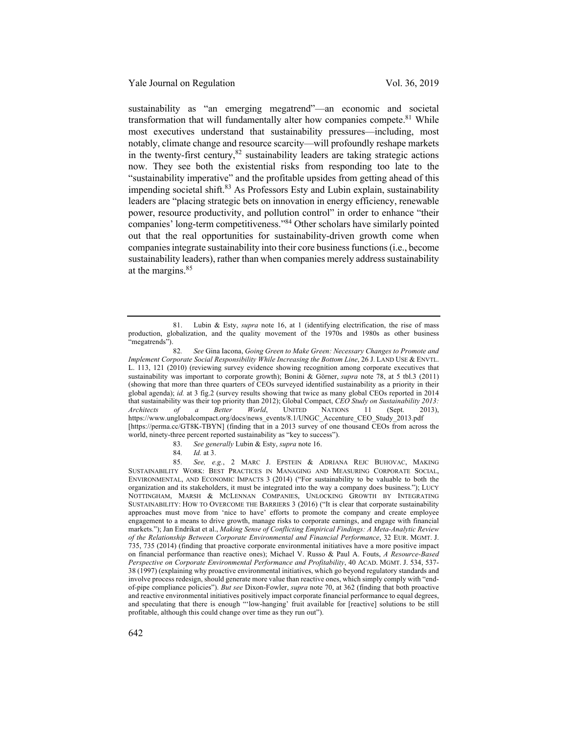sustainability as "an emerging megatrend"—an economic and societal transformation that will fundamentally alter how companies compete.<sup>81</sup> While most executives understand that sustainability pressures—including, most notably, climate change and resource scarcity—will profoundly reshape markets in the twenty-first century,  $82$  sustainability leaders are taking strategic actions now. They see both the existential risks from responding too late to the "sustainability imperative" and the profitable upsides from getting ahead of this impending societal shift. $83$  As Professors Esty and Lubin explain, sustainability leaders are "placing strategic bets on innovation in energy efficiency, renewable power, resource productivity, and pollution control" in order to enhance "their companies' long-term competitiveness."84 Other scholars have similarly pointed out that the real opportunities for sustainability-driven growth come when companies integrate sustainability into their core business functions (i.e., become sustainability leaders), rather than when companies merely address sustainability at the margins.<sup>85</sup>

<sup>81.</sup> Lubin & Esty, *supra* note 16, at 1 (identifying electrification, the rise of mass production, globalization, and the quality movement of the 1970s and 1980s as other business "megatrends").

<sup>82</sup>*. See* Gina Iacona, *Going Green to Make Green: Necessary Changes to Promote and Implement Corporate Social Responsibility While Increasing the Bottom Line*, 26 J. LAND USE & ENVTL. L. 113, 121 (2010) (reviewing survey evidence showing recognition among corporate executives that sustainability was important to corporate growth); Bonini & Görner, *supra* note 78, at 5 tbl.3 (2011) (showing that more than three quarters of CEOs surveyed identified sustainability as a priority in their global agenda); *id.* at 3 fig.2 (survey results showing that twice as many global CEOs reported in 2014 that sustainability was their top priority than 2012); Global Compact, *CEO Study on Sustainability 2013: Architects of a Better World*, UNITED NATIONS 11 (Sept. 2013), https://www.unglobalcompact.org/docs/news\_events/8.1/UNGC\_Accenture\_CEO\_Study\_2013.pdf [https://perma.cc/GT8K-TBYN] (finding that in a 2013 survey of one thousand CEOs from across the world, ninety-three percent reported sustainability as "key to success").

<sup>83</sup>*. See generally* Lubin & Esty, *supra* note 16.

<sup>84</sup>*. Id.* at 3.

<sup>85</sup>*. See, e.g.*, 2 MARC J. EPSTEIN & ADRIANA REJC BUHOVAC, MAKING SUSTAINABILITY WORK: BEST PRACTICES IN MANAGING AND MEASURING CORPORATE SOCIAL, ENVIRONMENTAL, AND ECONOMIC IMPACTS 3 (2014) ("For sustainability to be valuable to both the organization and its stakeholders, it must be integrated into the way a company does business."); LUCY NOTTINGHAM, MARSH & MCLENNAN COMPANIES, UNLOCKING GROWTH BY INTEGRATING SUSTAINABILITY: HOW TO OVERCOME THE BARRIERS 3 (2016) ("It is clear that corporate sustainability approaches must move from 'nice to have' efforts to promote the company and create employee engagement to a means to drive growth, manage risks to corporate earnings, and engage with financial markets."); Jan Endrikat et al., *Making Sense of Conflicting Empirical Findings: A Meta-Analytic Review of the Relationship Between Corporate Environmental and Financial Performance*, 32 EUR. MGMT. J. 735, 735 (2014) (finding that proactive corporate environmental initiatives have a more positive impact on financial performance than reactive ones); Michael V. Russo & Paul A. Fouts, *A Resource-Based Perspective on Corporate Environmental Performance and Profitability*, 40 ACAD. MGMT. J. 534, 537- 38 (1997) (explaining why proactive environmental initiatives, which go beyond regulatory standards and involve process redesign, should generate more value than reactive ones, which simply comply with "endof-pipe compliance policies"). *But see* Dixon-Fowler, *supra* note 70, at 362 (finding that both proactive and reactive environmental initiatives positively impact corporate financial performance to equal degrees, and speculating that there is enough "'low-hanging' fruit available for [reactive] solutions to be still profitable, although this could change over time as they run out").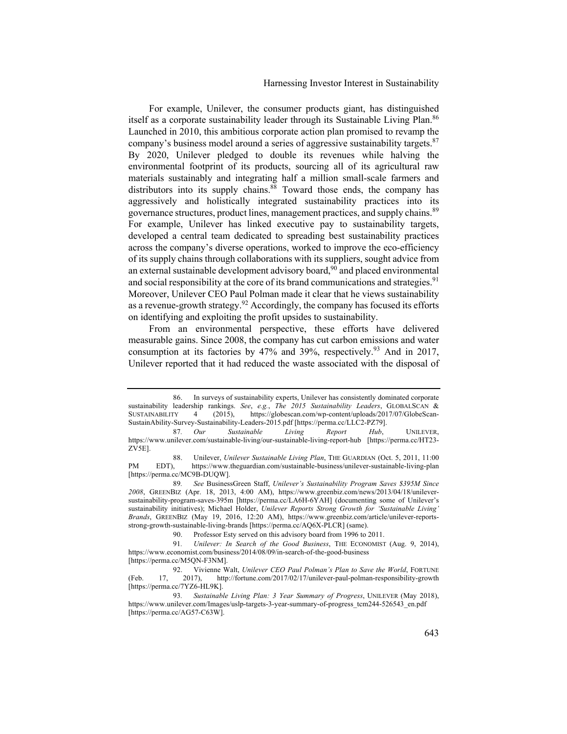For example, Unilever, the consumer products giant, has distinguished itself as a corporate sustainability leader through its Sustainable Living Plan.<sup>86</sup> Launched in 2010, this ambitious corporate action plan promised to revamp the company's business model around a series of aggressive sustainability targets. $87$ By 2020, Unilever pledged to double its revenues while halving the environmental footprint of its products, sourcing all of its agricultural raw materials sustainably and integrating half a million small-scale farmers and distributors into its supply chains.<sup>88</sup> Toward those ends, the company has aggressively and holistically integrated sustainability practices into its governance structures, product lines, management practices, and supply chains.<sup>89</sup> For example, Unilever has linked executive pay to sustainability targets, developed a central team dedicated to spreading best sustainability practices across the company's diverse operations, worked to improve the eco-efficiency of its supply chains through collaborations with its suppliers, sought advice from an external sustainable development advisory board,  $90$  and placed environmental and social responsibility at the core of its brand communications and strategies.<sup>91</sup> Moreover, Unilever CEO Paul Polman made it clear that he views sustainability as a revenue-growth strategy.<sup>92</sup> Accordingly, the company has focused its efforts on identifying and exploiting the profit upsides to sustainability.

From an environmental perspective, these efforts have delivered measurable gains. Since 2008, the company has cut carbon emissions and water consumption at its factories by  $47%$  and  $39%$ , respectively.<sup>93</sup> And in 2017, Unilever reported that it had reduced the waste associated with the disposal of

<sup>86.</sup> In surveys of sustainability experts, Unilever has consistently dominated corporate sustainability leadership rankings. *See*, *e.g.*, *The 2015 Sustainability Leaders*, GLOBALSCAN &<br>SUSTAINABILITY 4 (2015), https://globescan.com/wp-content/uploads/2017/07/GlobeScan-4 (2015), https://globescan.com/wp-content/uploads/2017/07/GlobeScan-SustainAbility-Survey-Sustainability-Leaders-2015.pdf [https://perma.cc/LLC2-PZ79].

<sup>87</sup>*. Our Sustainable Living Report Hub*, UNILEVER, https://www.unilever.com/sustainable-living/our-sustainable-living-report-hub [https://perma.cc/HT23- ZV5E].

<sup>88.</sup> Unilever, *Unilever Sustainable Living Plan*, THE GUARDIAN (Oct. 5, 2011, 11:00 EDT), https://www.theguardian.com/sustainable-business/unilever-sustainable-living-plan PM EDT), https://www.theguardian.com/sustainable-business/unilever-sustainable-living-plan [https://perma.cc/MC9B-DUQW].

<sup>89</sup>*. See* BusinessGreen Staff, *Unilever's Sustainability Program Saves \$395M Since 2008*, GREENBIZ (Apr. 18, 2013, 4:00 AM), https://www.greenbiz.com/news/2013/04/18/unileversustainability-program-saves-395m [https://perma.cc/LA6H-6YAH] (documenting some of Unilever's sustainability initiatives); Michael Holder, *Unilever Reports Strong Growth for 'Sustainable Living' Brands*, GREENBIZ (May 19, 2016, 12:20 AM), https://www.greenbiz.com/article/unilever-reportsstrong-growth-sustainable-living-brands [https://perma.cc/AQ6X-PLCR] (same).

<sup>90.</sup> Professor Esty served on this advisory board from 1996 to 2011.

<sup>91</sup>*. Unilever: In Search of the Good Business*, THE ECONOMIST (Aug. 9, 2014), https://www.economist.com/business/2014/08/09/in-search-of-the-good-business [https://perma.cc/M5QN-F3NM].

<sup>92.</sup> Vivienne Walt, *Unilever CEO Paul Polman's Plan to Save the World*, FORTUNE (Feb. 17, 2017), http://fortune.com/2017/02/17/unilever-paul-polman-responsibility-growth [https://perma.cc/7YZ6-HL9K].

<sup>93</sup>*. Sustainable Living Plan: 3 Year Summary of Progress*, UNILEVER (May 2018), https://www.unilever.com/Images/uslp-targets-3-year-summary-of-progress\_tcm244-526543\_en.pdf [https://perma.cc/AG57-C63W].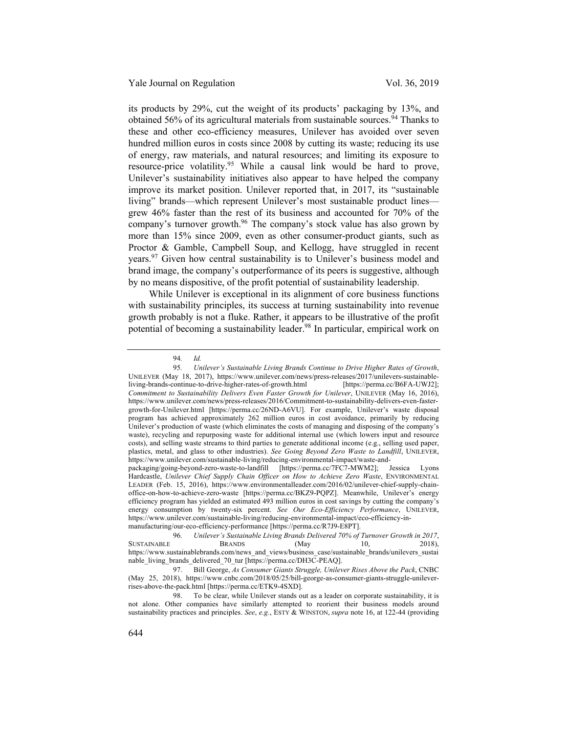its products by 29%, cut the weight of its products' packaging by 13%, and obtained 56% of its agricultural materials from sustainable sources.<sup>94</sup> Thanks to these and other eco-efficiency measures, Unilever has avoided over seven hundred million euros in costs since 2008 by cutting its waste; reducing its use of energy, raw materials, and natural resources; and limiting its exposure to resource-price volatility.<sup>95</sup> While a causal link would be hard to prove, Unilever's sustainability initiatives also appear to have helped the company improve its market position. Unilever reported that, in 2017, its "sustainable living" brands—which represent Unilever's most sustainable product lines grew 46% faster than the rest of its business and accounted for 70% of the company's turnover growth. $96$  The company's stock value has also grown by more than 15% since 2009, even as other consumer-product giants, such as Proctor & Gamble, Campbell Soup, and Kellogg, have struggled in recent years.<sup>97</sup> Given how central sustainability is to Unilever's business model and brand image, the company's outperformance of its peers is suggestive, although by no means dispositive, of the profit potential of sustainability leadership.

While Unilever is exceptional in its alignment of core business functions with sustainability principles, its success at turning sustainability into revenue growth probably is not a fluke. Rather, it appears to be illustrative of the profit potential of becoming a sustainability leader.<sup>98</sup> In particular, empirical work on

<sup>94</sup>*. Id.*

<sup>95</sup>*. Unilever's Sustainable Living Brands Continue to Drive Higher Rates of Growth*, UNILEVER (May 18, 2017), https://www.unilever.com/news/press-releases/2017/unilevers-sustainableliving-brands-continue-to-drive-higher-rates-of-growth.html [https://perma.cc/B6FA-UWJ2]; *Commitment to Sustainability Delivers Even Faster Growth for Unilever*, UNILEVER (May 16, 2016), https://www.unilever.com/news/press-releases/2016/Commitment-to-sustainability-delivers-even-fastergrowth-for-Unilever.html [https://perma.cc/26ND-A6VU]. For example, Unilever's waste disposal program has achieved approximately 262 million euros in cost avoidance, primarily by reducing Unilever's production of waste (which eliminates the costs of managing and disposing of the company's waste), recycling and repurposing waste for additional internal use (which lowers input and resource costs), and selling waste streams to third parties to generate additional income (e.g., selling used paper, plastics, metal, and glass to other industries). *See Going Beyond Zero Waste to Landfill*, UNILEVER, https://www.unilever.com/sustainable-living/reducing-environmental-impact/waste-and-

packaging/going-beyond-zero-waste-to-landfill [https://perma.cc/7FC7-MWM2]; Jessica Lyons Hardcastle, *Unilever Chief Supply Chain Officer on How to Achieve Zero Waste*, ENVIRONMENTAL LEADER (Feb. 15, 2016), https://www.environmentalleader.com/2016/02/unilever-chief-supply-chainoffice-on-how-to-achieve-zero-waste [https://perma.cc/BKZ9-PQPZ]. Meanwhile, Unilever's energy efficiency program has yielded an estimated 493 million euros in cost savings by cutting the company's energy consumption by twenty-six percent. *See Our Eco-Efficiency Performance*, UNILEVER, https://www.unilever.com/sustainable-living/reducing-environmental-impact/eco-efficiency-inmanufacturing/our-eco-efficiency-performance [https://perma.cc/R7J9-E8PT].

<sup>96</sup>*. Unilever's Sustainable Living Brands Delivered 70% of Turnover Growth in 2017*, SUSTAINABLE https://www.sustainablebrands.com/news\_and\_views/business\_case/sustainable\_brands/unilevers\_sustai nable\_living\_brands\_delivered\_70\_tur [https://perma.cc/DH3C-PEAQ].

<sup>97.</sup> Bill George, *As Consumer Giants Struggle, Unilever Rises Above the Pack*, CNBC (May 25, 2018), https://www.cnbc.com/2018/05/25/bill-george-as-consumer-giants-struggle-unileverrises-above-the-pack.html [https://perma.cc/ETK9-4SXD].

<sup>98.</sup> To be clear, while Unilever stands out as a leader on corporate sustainability, it is not alone. Other companies have similarly attempted to reorient their business models around sustainability practices and principles. *See*, *e.g.*, ESTY & WINSTON, *supra* note 16, at 122-44 (providing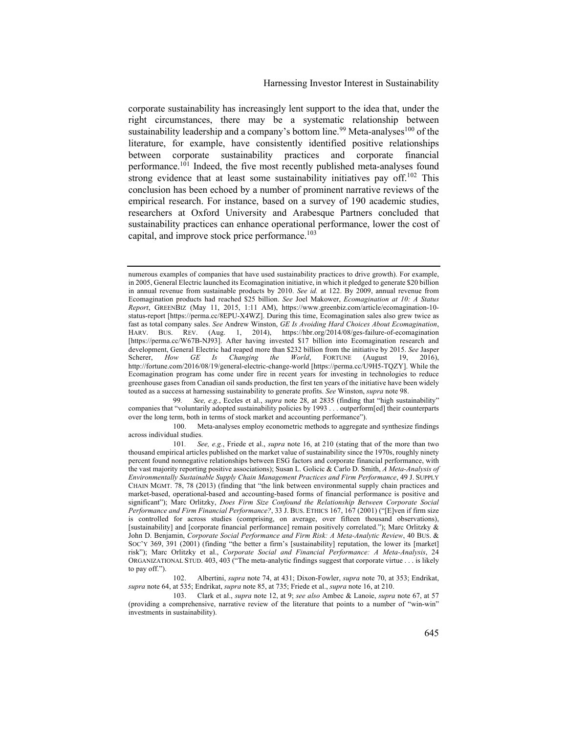corporate sustainability has increasingly lent support to the idea that, under the right circumstances, there may be a systematic relationship between sustainability leadership and a company's bottom line.<sup>99</sup> Meta-analyses<sup>100</sup> of the literature, for example, have consistently identified positive relationships between corporate sustainability practices and corporate financial performance.<sup>101</sup> Indeed, the five most recently published meta-analyses found strong evidence that at least some sustainability initiatives pay off.<sup>102</sup> This conclusion has been echoed by a number of prominent narrative reviews of the empirical research. For instance, based on a survey of 190 academic studies, researchers at Oxford University and Arabesque Partners concluded that sustainability practices can enhance operational performance, lower the cost of capital, and improve stock price performance.<sup>103</sup>

99*. See, e.g.*, Eccles et al., *supra* note 28, at 2835 (finding that "high sustainability" companies that "voluntarily adopted sustainability policies by 1993 . . . outperform[ed] their counterparts over the long term, both in terms of stock market and accounting performance").

100. Meta-analyses employ econometric methods to aggregate and synthesize findings across individual studies.

103. Clark et al., *supra* note 12, at 9; *see also* Ambec & Lanoie, *supra* note 67, at 57 (providing a comprehensive, narrative review of the literature that points to a number of "win-win" investments in sustainability).

numerous examples of companies that have used sustainability practices to drive growth). For example, in 2005, General Electric launched its Ecomagination initiative, in which it pledged to generate \$20 billion in annual revenue from sustainable products by 2010. *See id.* at 122. By 2009, annual revenue from Ecomagination products had reached \$25 billion. *See* Joel Makower, *Ecomagination at 10: A Status Report*, GREENBIZ (May 11, 2015, 1:11 AM), https://www.greenbiz.com/article/ecomagination-10 status-report [https://perma.cc/8EPU-X4WZ]. During this time, Ecomagination sales also grew twice as fast as total company sales. *See* Andrew Winston, *GE Is Avoiding Hard Choices About Ecomagination*, HARV. BUS. REV. (Aug. 1, 2014), https://hbr.org/2014/08/ges-failure-of-ecomagination [https://perma.cc/W67B-NJ93]. After having invested \$17 billion into Ecomagination research and development, General Electric had reaped more than \$232 billion from the initiative by 2015. *See* Jasper Scherer, *How GE Is Changing the World*, FORTUNE (August 19, 2016), GE Is Changing the World, http://fortune.com/2016/08/19/general-electric-change-world [https://perma.cc/U9H5-TQZY]. While the Ecomagination program has come under fire in recent years for investing in technologies to reduce greenhouse gases from Canadian oil sands production, the first ten years of the initiative have been widely touted as a success at harnessing sustainability to generate profits. *See* Winston, *supra* note 98.

<sup>101</sup>*. See, e.g.*, Friede et al., *supra* note 16, at 210 (stating that of the more than two thousand empirical articles published on the market value of sustainability since the 1970s, roughly ninety percent found nonnegative relationships between ESG factors and corporate financial performance, with the vast majority reporting positive associations); Susan L. Golicic & Carlo D. Smith, *A Meta-Analysis of Environmentally Sustainable Supply Chain Management Practices and Firm Performance*, 49 J. SUPPLY CHAIN MGMT. 78, 78 (2013) (finding that "the link between environmental supply chain practices and market-based, operational-based and accounting-based forms of financial performance is positive and significant"); Marc Orlitzky, *Does Firm Size Confound the Relationship Between Corporate Social Performance and Firm Financial Performance?*, 33 J. BUS. ETHICS 167, 167 (2001) ("[E]ven if firm size is controlled for across studies (comprising, on average, over fifteen thousand observations), [sustainability] and [corporate financial performance] remain positively correlated."); Marc Orlitzky & John D. Benjamin, *Corporate Social Performance and Firm Risk: A Meta-Analytic Review*, 40 BUS. & SOC'Y 369, 391 (2001) (finding "the better a firm's [sustainability] reputation, the lower its [market] risk"); Marc Orlitzky et al., *Corporate Social and Financial Performance: A Meta-Analysis*, 24 ORGANIZATIONAL STUD. 403, 403 ("The meta-analytic findings suggest that corporate virtue . . . is likely to pay off.").

<sup>102.</sup> Albertini, *supra* note 74, at 431; Dixon-Fowler, *supra* note 70, at 353; Endrikat, *supra* note 64, at 535; Endrikat, *supra* note 85, at 735; Friede et al., *supra* note 16, at 210.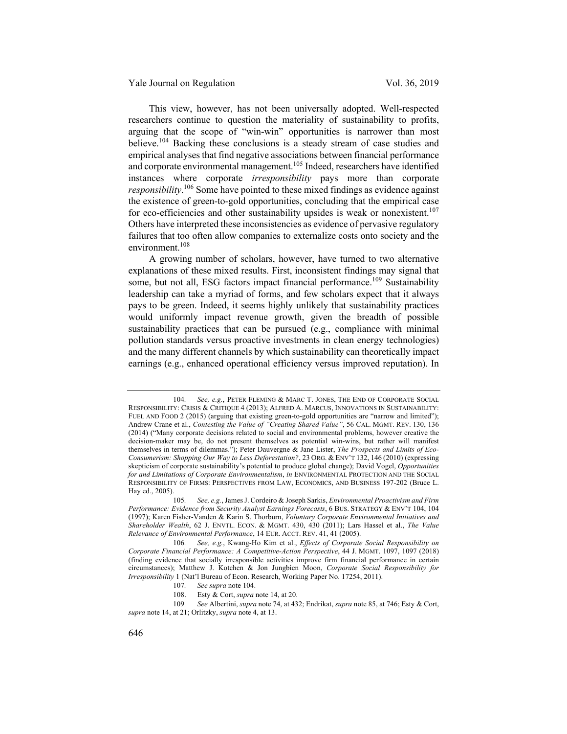This view, however, has not been universally adopted. Well-respected researchers continue to question the materiality of sustainability to profits, arguing that the scope of "win-win" opportunities is narrower than most believe.<sup>104</sup> Backing these conclusions is a steady stream of case studies and empirical analyses that find negative associations between financial performance and corporate environmental management.<sup>105</sup> Indeed, researchers have identified instances where corporate *irresponsibility* pays more than corporate responsibility.<sup>106</sup> Some have pointed to these mixed findings as evidence against the existence of green-to-gold opportunities, concluding that the empirical case for eco-efficiencies and other sustainability upsides is weak or nonexistent.<sup>107</sup> Others have interpreted these inconsistencies as evidence of pervasive regulatory failures that too often allow companies to externalize costs onto society and the environment.<sup>108</sup>

A growing number of scholars, however, have turned to two alternative explanations of these mixed results. First, inconsistent findings may signal that some, but not all, ESG factors impact financial performance.<sup>109</sup> Sustainability leadership can take a myriad of forms, and few scholars expect that it always pays to be green. Indeed, it seems highly unlikely that sustainability practices would uniformly impact revenue growth, given the breadth of possible sustainability practices that can be pursued (e.g., compliance with minimal pollution standards versus proactive investments in clean energy technologies) and the many different channels by which sustainability can theoretically impact earnings (e.g., enhanced operational efficiency versus improved reputation). In

<sup>104</sup>*. See, e.g.*, PETER FLEMING & MARC T. JONES, THE END OF CORPORATE SOCIAL RESPONSIBILITY: CRISIS & CRITIQUE 4 (2013); ALFRED A. MARCUS, INNOVATIONS IN SUSTAINABILITY: FUEL AND FOOD 2 (2015) (arguing that existing green-to-gold opportunities are "narrow and limited"); Andrew Crane et al., *Contesting the Value of "Creating Shared Value"*, 56 CAL. MGMT. REV. 130, 136 (2014) ("Many corporate decisions related to social and environmental problems, however creative the decision-maker may be, do not present themselves as potential win-wins, but rather will manifest themselves in terms of dilemmas."); Peter Dauvergne & Jane Lister, *The Prospects and Limits of Eco-Consumerism: Shopping Our Way to Less Deforestation?*, 23 ORG. & ENV'T 132, 146 (2010) (expressing skepticism of corporate sustainability's potential to produce global change); David Vogel, *Opportunities for and Limitations of Corporate Environmentalism*, *in* ENVIRONMENTAL PROTECTION AND THE SOCIAL RESPONSIBILITY OF FIRMS: PERSPECTIVES FROM LAW, ECONOMICS, AND BUSINESS 197-202 (Bruce L. Hay ed., 2005).

<sup>105</sup>*. See, e.g.*, James J. Cordeiro & Joseph Sarkis, *Environmental Proactivism and Firm Performance: Evidence from Security Analyst Earnings Forecasts*, 6 BUS. STRATEGY & ENV'T 104, 104 (1997); Karen Fisher-Vanden & Karin S. Thorburn, *Voluntary Corporate Environmental Initiatives and Shareholder Wealth*, 62 J. ENVTL. ECON. & MGMT. 430, 430 (2011); Lars Hassel et al., *The Value Relevance of Environmental Performance*, 14 EUR. ACCT. REV. 41, 41 (2005).

<sup>106</sup>*. See, e.g.*, Kwang-Ho Kim et al., *Effects of Corporate Social Responsibility on Corporate Financial Performance: A Competitive-Action Perspective*, 44 J. MGMT. 1097, 1097 (2018) (finding evidence that socially irresponsible activities improve firm financial performance in certain circumstances); Matthew J. Kotchen & Jon Jungbien Moon, *Corporate Social Responsibility for Irresponsibility* 1 (Nat'l Bureau of Econ. Research, Working Paper No. 17254, 2011).

<sup>107</sup>*. See supra* note 104.

<sup>108.</sup> Esty & Cort, *supra* note 14, at 20.

<sup>109</sup>*. See* Albertini, *supra* note 74, at 432; Endrikat, *supra* note 85, at 746; Esty & Cort, *supra* note 14, at 21; Orlitzky, *supra* note 4, at 13.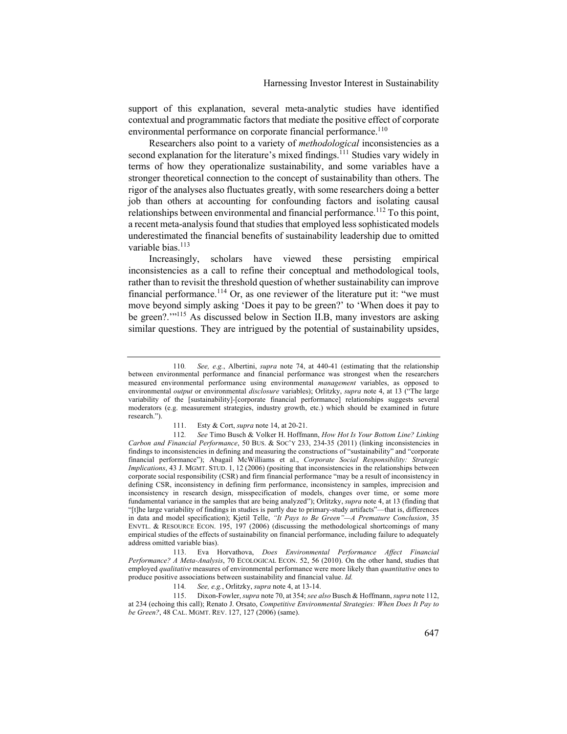support of this explanation, several meta-analytic studies have identified contextual and programmatic factors that mediate the positive effect of corporate environmental performance on corporate financial performance.<sup>110</sup>

Researchers also point to a variety of *methodological* inconsistencies as a second explanation for the literature's mixed findings.<sup> $111$ </sup> Studies vary widely in terms of how they operationalize sustainability, and some variables have a stronger theoretical connection to the concept of sustainability than others. The rigor of the analyses also fluctuates greatly, with some researchers doing a better job than others at accounting for confounding factors and isolating causal relationships between environmental and financial performance.<sup>112</sup> To this point, a recent meta-analysis found that studies that employed less sophisticated models underestimated the financial benefits of sustainability leadership due to omitted variable bias.<sup>113</sup>

Increasingly, scholars have viewed these persisting empirical inconsistencies as a call to refine their conceptual and methodological tools, rather than to revisit the threshold question of whether sustainability can improve financial performance.<sup>114</sup> Or, as one reviewer of the literature put it: "we must move beyond simply asking 'Does it pay to be green?' to 'When does it pay to be green?.'"115 As discussed below in Section II.B, many investors are asking similar questions. They are intrigued by the potential of sustainability upsides,

114*. See, e.g.*, Orlitzky, *supra* note 4, at 13-14.

115. Dixon-Fowler, *supra* note 70, at 354; *see also* Busch & Hoffmann, *supra* note 112, at 234 (echoing this call); Renato J. Orsato, *Competitive Environmental Strategies: When Does It Pay to be Green?*, 48 CAL. MGMT. REV. 127, 127 (2006) (same).

<sup>110</sup>*. See, e.g.*, Albertini, *supra* note 74, at 440-41 (estimating that the relationship between environmental performance and financial performance was strongest when the researchers measured environmental performance using environmental *management* variables, as opposed to environmental *output* or environmental *disclosure* variables); Orlitzky, *supra* note 4, at 13 ("The large variability of the [sustainability]-[corporate financial performance] relationships suggests several moderators (e.g. measurement strategies, industry growth, etc.) which should be examined in future research.").

<sup>111.</sup> Esty & Cort, *supra* note 14, at 20-21.

<sup>112</sup>*. See* Timo Busch & Volker H. Hoffmann, *How Hot Is Your Bottom Line? Linking Carbon and Financial Performance*, 50 BUS. & SOC'Y 233, 234-35 (2011) (linking inconsistencies in findings to inconsistencies in defining and measuring the constructions of "sustainability" and "corporate financial performance"); Abagail McWilliams et al., *Corporate Social Responsibility: Strategic Implications*, 43 J. MGMT. STUD. 1, 12 (2006) (positing that inconsistencies in the relationships between corporate social responsibility (CSR) and firm financial performance "may be a result of inconsistency in defining CSR, inconsistency in defining firm performance, inconsistency in samples, imprecision and inconsistency in research design, misspecification of models, changes over time, or some more fundamental variance in the samples that are being analyzed"); Orlitzky, *supra* note 4, at 13 (finding that "[t]he large variability of findings in studies is partly due to primary‐study artifacts"—that is, differences in data and model specification); Kjetil Telle, *"It Pays to Be Green"—A Premature Conclusion*, 35 ENVTL. & RESOURCE ECON. 195, 197 (2006) (discussing the methodological shortcomings of many empirical studies of the effects of sustainability on financial performance, including failure to adequately address omitted variable bias).

<sup>113.</sup> Eva Horvathova, *Does Environmental Performance Affect Financial Performance? A Meta-Analysis*, 70 ECOLOGICAL ECON. 52, 56 (2010). On the other hand, studies that employed *qualitative* measures of environmental performance were more likely than *quantitative* ones to produce positive associations between sustainability and financial value. *Id.*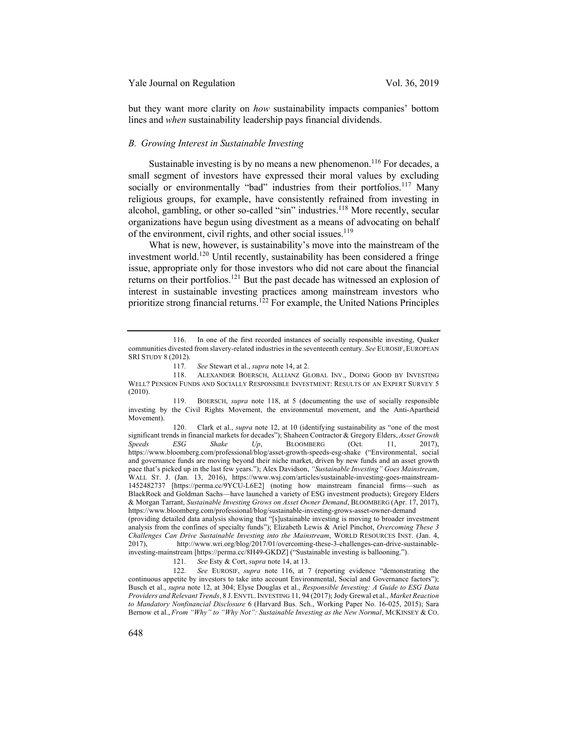but they want more clarity on *how* sustainability impacts companies' bottom lines and *when* sustainability leadership pays financial dividends.

#### *B. Growing Interest in Sustainable Investing*

Sustainable investing is by no means a new phenomenon.<sup>116</sup> For decades, a small segment of investors have expressed their moral values by excluding socially or environmentally "bad" industries from their portfolios.<sup>117</sup> Many religious groups, for example, have consistently refrained from investing in alcohol, gambling, or other so-called "sin" industries.<sup>118</sup> More recently, secular organizations have begun using divestment as a means of advocating on behalf of the environment, civil rights, and other social issues.<sup>119</sup>

What is new, however, is sustainability's move into the mainstream of the investment world.<sup>120</sup> Until recently, sustainability has been considered a fringe issue, appropriate only for those investors who did not care about the financial returns on their portfolios.<sup>121</sup> But the past decade has witnessed an explosion of interest in sustainable investing practices among mainstream investors who prioritize strong financial returns.<sup>122</sup> For example, the United Nations Principles

120. Clark et al., *supra* note 12, at 10 (identifying sustainability as "one of the most significant trends in financial markets for decades"); Shaheen Contractor & Gregory Elders, *Asset Growth Speeds ESG Shake Up*, BLOOMBERG (Oct. 11, 2017), https://www.bloomberg.com/professional/blog/asset-growth-speeds-esg-shake ("Environmental, social and governance funds are moving beyond their niche market, driven by new funds and an asset growth pace that's picked up in the last few years."); Alex Davidson, *"Sustainable Investing" Goes Mainstream*, WALL ST. J. (Jan. 13, 2016), https://www.wsj.com/articles/sustainable-investing-goes-mainstream-1452482737 [https://perma.cc/9YCU-L6E2] (noting how mainstream financial firms—such as BlackRock and Goldman Sachs—have launched a variety of ESG investment products); Gregory Elders & Morgan Tarrant, *Sustainable Investing Grows on Asset Owner Demand*, BLOOMBERG (Apr. 17, 2017), https://www.bloomberg.com/professional/blog/sustainable-investing-grows-asset-owner-demand (providing detailed data analysis showing that "[s]ustainable investing is moving to broader investment analysis from the confines of specialty funds"); Elizabeth Lewis & Ariel Pinchot, *Overcoming These 3 Challenges Can Drive Sustainable Investing into the Mainstream*, WORLD RESOURCES INST. (Jan. 4, http://www.wri.org/blog/2017/01/overcoming-these-3-challenges-can-drive-sustainable-

investing-mainstream [https://perma.cc/8H49-GKDZ] ("Sustainable investing is ballooning.").

121*. See* Esty & Cort, *supra* note 14, at 13.

122*. See* EUROSIF, *supra* note 116, at 7 (reporting evidence "demonstrating the continuous appetite by investors to take into account Environmental, Social and Governance factors"); Busch et al., *supra* note 12, at 304; Elyse Douglas et al., *Responsible Investing: A Guide to ESG Data Providers and Relevant Trends*, 8 J. ENVTL.INVESTING 11, 94 (2017); Jody Grewal et al., *Market Reaction to Mandatory Nonfinancial Disclosure* 6 (Harvard Bus. Sch., Working Paper No. 16-025, 2015); Sara Bernow et al., *From "Why" to "Why Not": Sustainable Investing as the New Normal*, MCKINSEY & CO.

<sup>116.</sup> In one of the first recorded instances of socially responsible investing, Quaker communities divested from slavery-related industries in the seventeenth century. *See* EUROSIF, EUROPEAN SRI STUDY 8 (2012).

<sup>117</sup>*. See* Stewart et al., *supra* note 14, at 2.

<sup>118.</sup> ALEXANDER BOERSCH, ALLIANZ GLOBAL INV., DOING GOOD BY INVESTING WELL? PENSION FUNDS AND SOCIALLY RESPONSIBLE INVESTMENT: RESULTS OF AN EXPERT SURVEY 5 (2010).

<sup>119.</sup> BOERSCH, *supra* note 118, at 5 (documenting the use of socially responsible investing by the Civil Rights Movement, the environmental movement, and the Anti-Apartheid Movement).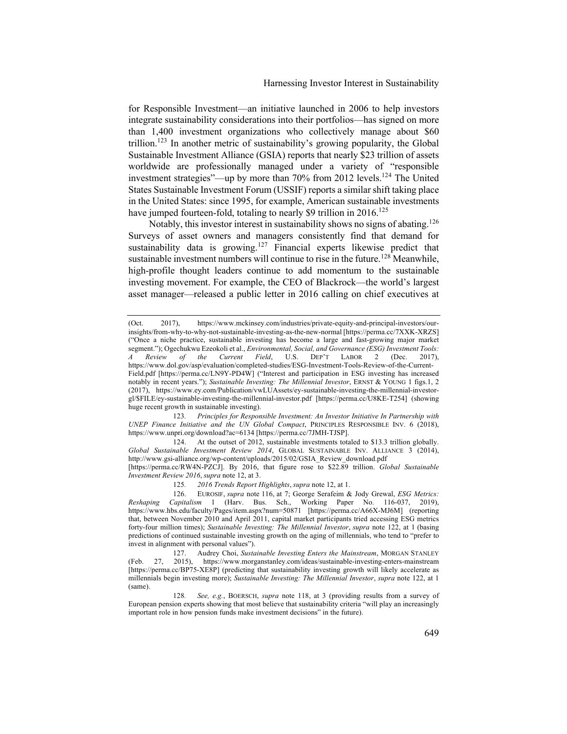for Responsible Investment—an initiative launched in 2006 to help investors integrate sustainability considerations into their portfolios—has signed on more than 1,400 investment organizations who collectively manage about \$60 trillion.<sup>123</sup> In another metric of sustainability's growing popularity, the Global Sustainable Investment Alliance (GSIA) reports that nearly \$23 trillion of assets worldwide are professionally managed under a variety of "responsible investment strategies"—up by more than 70% from 2012 levels.<sup>124</sup> The United States Sustainable Investment Forum (USSIF) reports a similar shift taking place in the United States: since 1995, for example, American sustainable investments have jumped fourteen-fold, totaling to nearly \$9 trillion in  $2016$ <sup>125</sup>

Notably, this investor interest in sustainability shows no signs of abating.<sup>126</sup> Surveys of asset owners and managers consistently find that demand for sustainability data is growing.<sup>127</sup> Financial experts likewise predict that sustainable investment numbers will continue to rise in the future.<sup>128</sup> Meanwhile, high-profile thought leaders continue to add momentum to the sustainable investing movement. For example, the CEO of Blackrock—the world's largest asset manager—released a public letter in 2016 calling on chief executives at

123*. Principles for Responsible Investment: An Investor Initiative In Partnership with UNEP Finance Initiative and the UN Global Compact*, PRINCIPLES RESPONSIBLE INV. 6 (2018), https://www.unpri.org/download?ac=6134 [https://perma.cc/7JMH-TJSP].

124. At the outset of 2012, sustainable investments totaled to \$13.3 trillion globally. *Global Sustainable Investment Review 2014*, GLOBAL SUSTAINABLE INV. ALLIANCE 3 (2014), http://www.gsi-alliance.org/wp-content/uploads/2015/02/GSIA\_Review\_download.pdf [https://perma.cc/RW4N-PZCJ]. By 2016, that figure rose to \$22.89 trillion. *Global Sustainable Investment Review 2016*, *supra* note 12, at 3.

125*. 2016 Trends Report Highlights*, *supra* note 12, at 1.

126. EUROSIF, *supra* note 116, at 7; George Serafeim & Jody Grewal, *ESG Metrics: Reshaping Capitalism* 1 (Harv. Bus. Sch., Working Paper No. 116-037, 2019), https://www.hbs.edu/faculty/Pages/item.aspx?num=50871 [https://perma.cc/A66X-MJ6M] (reporting that, between November 2010 and April 2011, capital market participants tried accessing ESG metrics forty-four million times); *Sustainable Investing: The Millennial Investor*, *supra* note 122, at 1 (basing predictions of continued sustainable investing growth on the aging of millennials, who tend to "prefer to invest in alignment with personal values").

127. Audrey Choi, *Sustainable Investing Enters the Mainstream*, MORGAN STANLEY (Feb. 27, 2015), https://www.morganstanley.com/ideas/sustainable-investing-enters-mainstream [https://perma.cc/BP75-XE8P] (predicting that sustainability investing growth will likely accelerate as millennials begin investing more); *Sustainable Investing: The Millennial Investor*, *supra* note 122, at 1 (same).

128*. See, e.g.*, BOERSCH, *supra* note 118, at 3 (providing results from a survey of European pension experts showing that most believe that sustainability criteria "will play an increasingly important role in how pension funds make investment decisions" in the future).

<sup>(</sup>Oct. 2017), https://www.mckinsey.com/industries/private-equity-and-principal-investors/ourinsights/from-why-to-why-not-sustainable-investing-as-the-new-normal [https://perma.cc/7XXK-XRZS] ("Once a niche practice, sustainable investing has become a large and fast-growing major market segment."); Ogechukwu Ezeokoli et al., *Environmental, Social, and Governance (ESG) Investment Tools:* <br> *A* Review of the Current Field, U.S. DEP'T LABOR 2 (Dec. 2017), *A Review of the Current Field*, U.S. DEP'T LABOR 2 (Dec. 2017), https://www.dol.gov/asp/evaluation/completed-studies/ESG-Investment-Tools-Review-of-the-Current-Field.pdf [https://perma.cc/LN9Y-PD4W] ("Interest and participation in ESG investing has increased notably in recent years."); *Sustainable Investing: The Millennial Investor*, ERNST & YOUNG 1 figs.1, 2 (2017), https://www.ey.com/Publication/vwLUAssets/ey-sustainable-investing-the-millennial-investorgl/\$FILE/ey-sustainable-investing-the-millennial-investor.pdf [https://perma.cc/U8KE-T254] (showing huge recent growth in sustainable investing).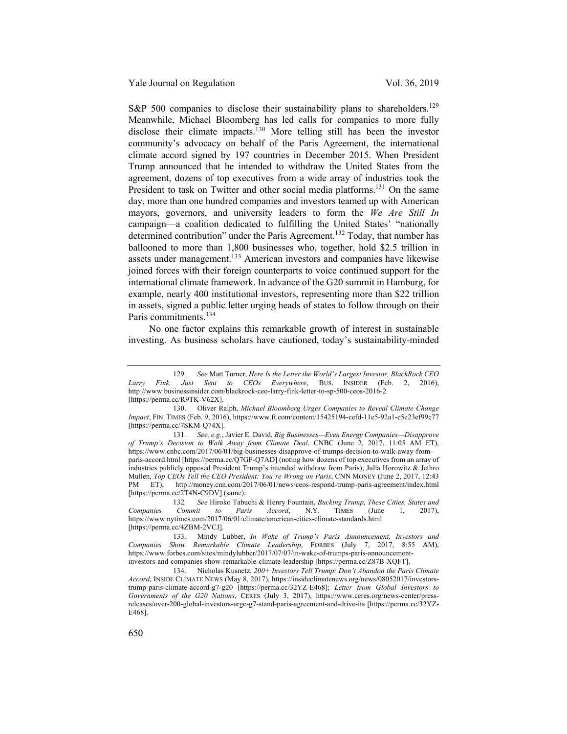S&P 500 companies to disclose their sustainability plans to shareholders.<sup>129</sup> Meanwhile, Michael Bloomberg has led calls for companies to more fully disclose their climate impacts.<sup>130</sup> More telling still has been the investor community's advocacy on behalf of the Paris Agreement, the international climate accord signed by 197 countries in December 2015. When President Trump announced that he intended to withdraw the United States from the agreement, dozens of top executives from a wide array of industries took the President to task on Twitter and other social media platforms.<sup>131</sup> On the same day, more than one hundred companies and investors teamed up with American mayors, governors, and university leaders to form the *We Are Still In* campaign—a coalition dedicated to fulfilling the United States' "nationally determined contribution" under the Paris Agreement.<sup>132</sup> Today, that number has ballooned to more than 1,800 businesses who, together, hold \$2.5 trillion in assets under management.<sup>133</sup> American investors and companies have likewise joined forces with their foreign counterparts to voice continued support for the international climate framework. In advance of the G20 summit in Hamburg, for example, nearly 400 institutional investors, representing more than \$22 trillion in assets, signed a public letter urging heads of states to follow through on their Paris commitments.<sup>134</sup>

No one factor explains this remarkable growth of interest in sustainable investing. As business scholars have cautioned, today's sustainability-minded

<sup>129</sup>*. See* Matt Turner, *Here Is the Letter the World's Largest Investor, BlackRock CEO Larry Fink, Just Sent to CEOs Everywhere*, BUS. INSIDER (Feb. 2, 2016), http://www.businessinsider.com/blackrock-ceo-larry-fink-letter-to-sp-500-ceos-2016-2 [https://perma.cc/R9TK-V62X].

<sup>130.</sup> Oliver Ralph, *Michael Bloomberg Urges Companies to Reveal Climate Change Impact*, FIN. TIMES (Feb. 9, 2016), https://www.ft.com/content/15425194-cefd-11e5-92a1-c5e23ef99c77 [https://perma.cc/7SKM-Q74X].

<sup>131</sup>*. See, e.g.*, Javier E. David, *Big Businesses—Even Energy Companies—Disapprove of Trump's Decision to Walk Away from Climate Deal*, CNBC (June 2, 2017, 11:05 AM ET), https://www.cnbc.com/2017/06/01/big-businesses-disapprove-of-trumps-decision-to-walk-away-fromparis-accord.html [https://perma.cc/Q7GF-Q7AD] (noting how dozens of top executives from an array of industries publicly opposed President Trump's intended withdraw from Paris); Julia Horowitz & Jethro Mullen, *Top CEOs Tell the CEO President: You're Wrong on Paris*, CNN MONEY (June 2, 2017, 12:43 PM ET), http://money.cnn.com/2017/06/01/news/ceos-respond-trump-paris-agreement/index.html http://money.cnn.com/2017/06/01/news/ceos-respond-trump-paris-agreement/index.html [https://perma.cc/2T4N-C9DV] (same).

<sup>132</sup>*. See* Hiroko Tabuchi & Henry Fountain, *Bucking Trump, These Cities, States and Companies Commit to Paris Accord*, N.Y. TIMES (June 1, 2017), https://www.nytimes.com/2017/06/01/climate/american-cities-climate-standards.html [https://perma.cc/4ZBM-2VCJ].

<sup>133.</sup> Mindy Lubber, *In Wake of Trump's Paris Announcement, Investors and Companies Show Remarkable Climate Leadership*, FORBES (July 7, 2017, 8:55 AM), https://www.forbes.com/sites/mindylubber/2017/07/07/in-wake-of-trumps-paris-announcementinvestors-and-companies-show-remarkable-climate-leadership [https://perma.cc/Z87B-XQFT].

<sup>134.</sup> Nicholas Kusnetz, *200+ Investors Tell Trump: Don't Abandon the Paris Climate Accord*, INSIDE CLIMATE NEWS (May 8, 2017), https://insideclimatenews.org/news/08052017/investorstrump-paris-climate-accord-g7-g20 [https://perma.cc/32YZ-E468]; *Letter from Global Investors to Governments of the G20 Nations*, CERES (July 3, 2017), https://www.ceres.org/news-center/pressreleases/over-200-global-investors-urge-g7-stand-paris-agreement-and-drive-its [https://perma.cc/32YZ-E468].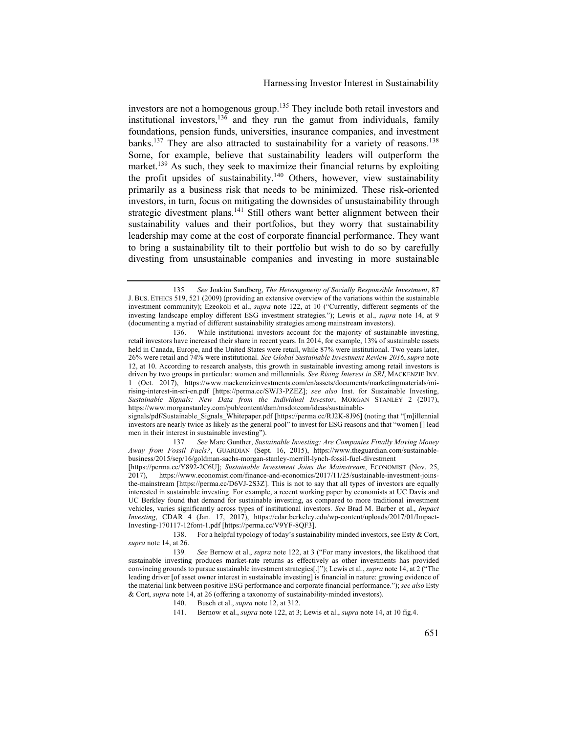investors are not a homogenous group.<sup>135</sup> They include both retail investors and institutional investors,  $13\overline{6}$  and they run the gamut from individuals, family foundations, pension funds, universities, insurance companies, and investment banks.<sup>137</sup> They are also attracted to sustainability for a variety of reasons.<sup>138</sup> Some, for example, believe that sustainability leaders will outperform the market.<sup>139</sup> As such, they seek to maximize their financial returns by exploiting the profit upsides of sustainability.<sup>140</sup> Others, however, view sustainability primarily as a business risk that needs to be minimized. These risk-oriented investors, in turn, focus on mitigating the downsides of unsustainability through strategic divestment plans.<sup>141</sup> Still others want better alignment between their sustainability values and their portfolios, but they worry that sustainability leadership may come at the cost of corporate financial performance. They want to bring a sustainability tilt to their portfolio but wish to do so by carefully divesting from unsustainable companies and investing in more sustainable

signals/pdf/Sustainable\_Signals\_Whitepaper.pdf [https://perma.cc/RJ2K-8J96] (noting that "[m]illennial investors are nearly twice as likely as the general pool" to invest for ESG reasons and that "women [] lead men in their interest in sustainable investing").

137*. See* Marc Gunther, *Sustainable Investing: Are Companies Finally Moving Money Away from Fossil Fuels?*, GUARDIAN (Sept. 16, 2015), https://www.theguardian.com/sustainablebusiness/2015/sep/16/goldman-sachs-morgan-stanley-merrill-lynch-fossil-fuel-divestment

[https://perma.cc/Y892-2C6U]; *Sustainable Investment Joins the Mainstream*, ECONOMIST (Nov. 25, 2017), https://www.economist.com/finance-and-economics/2017/11/25/sustainable-investment-joinsthe-mainstream [https://perma.cc/D6VJ-2S3Z]. This is not to say that all types of investors are equally interested in sustainable investing. For example, a recent working paper by economists at UC Davis and UC Berkley found that demand for sustainable investing, as compared to more traditional investment vehicles, varies significantly across types of institutional investors. *See* Brad M. Barber et al., *Impact Investing*, CDAR 4 (Jan. 17, 2017), https://cdar.berkeley.edu/wp-content/uploads/2017/01/Impact-Investing-170117-12font-1.pdf [https://perma.cc/V9YF-8QF3].

138. For a helpful typology of today's sustainability minded investors, see Esty & Cort, *supra* note 14, at 26.

<sup>135</sup>*. See* Joakim Sandberg, *The Heterogeneity of Socially Responsible Investment*, 87 J. BUS. ETHICS 519, 521 (2009) (providing an extensive overview of the variations within the sustainable investment community); Ezeokoli et al., *supra* note 122, at 10 ("Currently, different segments of the investing landscape employ different ESG investment strategies."); Lewis et al., *supra* note 14, at 9 (documenting a myriad of different sustainability strategies among mainstream investors).

<sup>136.</sup> While institutional investors account for the majority of sustainable investing, retail investors have increased their share in recent years. In 2014, for example, 13% of sustainable assets held in Canada, Europe, and the United States were retail, while 87% were institutional. Two years later, 26% were retail and 74% were institutional. *See Global Sustainable Investment Review 2016*, *supra* note 12, at 10. According to research analysts, this growth in sustainable investing among retail investors is driven by two groups in particular: women and millennials. *See Rising Interest in SRI*, MACKENZIE INV. 1 (Oct. 2017), https://www.mackenzieinvestments.com/en/assets/documents/marketingmaterials/mirising-interest-in-sri-en.pdf [https://perma.cc/SWJ3-PZEZ]; *see also* Inst. for Sustainable Investing, *Sustainable Signals: New Data from the Individual Investor*, MORGAN STANLEY 2 (2017), https://www.morganstanley.com/pub/content/dam/msdotcom/ideas/sustainable-

<sup>139</sup>*. See* Bernow et al., *supra* note 122, at 3 ("For many investors, the likelihood that sustainable investing produces market-rate returns as effectively as other investments has provided convincing grounds to pursue sustainable investment strategies[.]"); Lewis et al., *supra* note 14, at 2 ("The leading driver [of asset owner interest in sustainable investing] is financial in nature: growing evidence of the material link between positive ESG performance and corporate financial performance."); *see also* Esty & Cort, *supra* note 14, at 26 (offering a taxonomy of sustainability-minded investors).

<sup>140.</sup> Busch et al., *supra* note 12, at 312.

<sup>141.</sup> Bernow et al., *supra* note 122, at 3; Lewis et al., *supra* note 14, at 10 fig.4.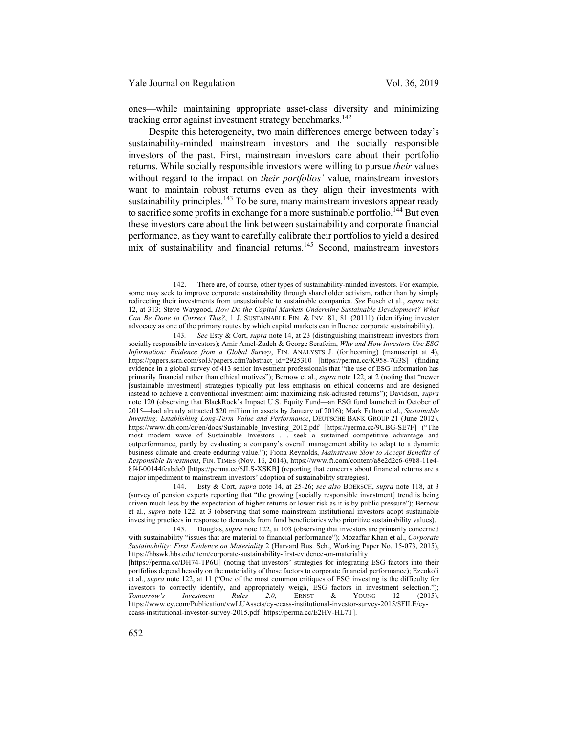ones—while maintaining appropriate asset-class diversity and minimizing tracking error against investment strategy benchmarks.<sup>142</sup>

Despite this heterogeneity, two main differences emerge between today's sustainability-minded mainstream investors and the socially responsible investors of the past. First, mainstream investors care about their portfolio returns. While socially responsible investors were willing to pursue *their* values without regard to the impact on *their portfolios'* value, mainstream investors want to maintain robust returns even as they align their investments with sustainability principles.<sup>143</sup> To be sure, many mainstream investors appear ready to sacrifice some profits in exchange for a more sustainable portfolio.<sup>144</sup> But even these investors care about the link between sustainability and corporate financial performance, as they want to carefully calibrate their portfolios to yield a desired mix of sustainability and financial returns.<sup>145</sup> Second, mainstream investors

143*. See* Esty & Cort, *supra* note 14, at 23 (distinguishing mainstream investors from socially responsible investors); Amir Amel-Zadeh & George Serafeim, *Why and How Investors Use ESG Information: Evidence from a Global Survey*, FIN. ANALYSTS J. (forthcoming) (manuscript at 4), https://papers.ssrn.com/sol3/papers.cfm?abstract\_id=2925310 [https://perma.cc/K958-7G3S] (finding evidence in a global survey of 413 senior investment professionals that "the use of ESG information has primarily financial rather than ethical motives"); Bernow et al., *supra* note 122, at 2 (noting that "newer [sustainable investment] strategies typically put less emphasis on ethical concerns and are designed instead to achieve a conventional investment aim: maximizing risk-adjusted returns"); Davidson, *supra*  note 120 (observing that BlackRock's Impact U.S. Equity Fund—an ESG fund launched in October of 2015—had already attracted \$20 million in assets by January of 2016); Mark Fulton et al., *Sustainable Investing: Establishing Long-Term Value and Performance*, DEUTSCHE BANK GROUP 21 (June 2012), https://www.db.com/cr/en/docs/Sustainable\_Investing\_2012.pdf [https://perma.cc/9UBG-SE7F] ("The most modern wave of Sustainable Investors . . . seek a sustained competitive advantage and outperformance, partly by evaluating a company's overall management ability to adapt to a dynamic business climate and create enduring value."); Fiona Reynolds, *Mainstream Slow to Accept Benefits of Responsible Investment*, FIN. TIMES (Nov. 16, 2014), https://www.ft.com/content/a8e2d2c6-69b8-11e4- 8f4f-00144feabdc0 [https://perma.cc/6JLS-XSKB] (reporting that concerns about financial returns are a major impediment to mainstream investors' adoption of sustainability strategies).

144. Esty & Cort, *supra* note 14, at 25-26; *see also* BOERSCH, *supra* note 118, at 3 (survey of pension experts reporting that "the growing [socially responsible investment] trend is being driven much less by the expectation of higher returns or lower risk as it is by public pressure"); Bernow et al., *supra* note 122, at 3 (observing that some mainstream institutional investors adopt sustainable investing practices in response to demands from fund beneficiaries who prioritize sustainability values).

145. Douglas, *supra* note 122, at 103 (observing that investors are primarily concerned with sustainability "issues that are material to financial performance"); Mozaffar Khan et al., *Corporate Sustainability: First Evidence on Materiality* 2 (Harvard Bus. Sch., Working Paper No. 15-073, 2015), https://hbswk.hbs.edu/item/corporate-sustainability-first-evidence-on-materiality

[https://perma.cc/DH74-TP6U] (noting that investors' strategies for integrating ESG factors into their portfolios depend heavily on the materiality of those factors to corporate financial performance); Ezeokoli et al., *supra* note 122, at 11 ("One of the most common critiques of ESG investing is the difficulty for investors to correctly identify, and appropriately weigh, ESG factors in investment selection."); *Tomorrow's Investment Rules 2.0*, ERNST & YOUNG 12 (2015), https://www.ey.com/Publication/vwLUAssets/ey-ccass-institutional-investor-survey-2015/\$FILE/eyccass-institutional-investor-survey-2015.pdf [https://perma.cc/E2HV-HL7T].

<sup>142.</sup> There are, of course, other types of sustainability-minded investors. For example, some may seek to improve corporate sustainability through shareholder activism, rather than by simply redirecting their investments from unsustainable to sustainable companies. *See* Busch et al., *supra* note 12, at 313; Steve Waygood, *How Do the Capital Markets Undermine Sustainable Development? What Can Be Done to Correct This?*, 1 J. SUSTAINABLE FIN. & INV. 81, 81 (20111) (identifying investor advocacy as one of the primary routes by which capital markets can influence corporate sustainability).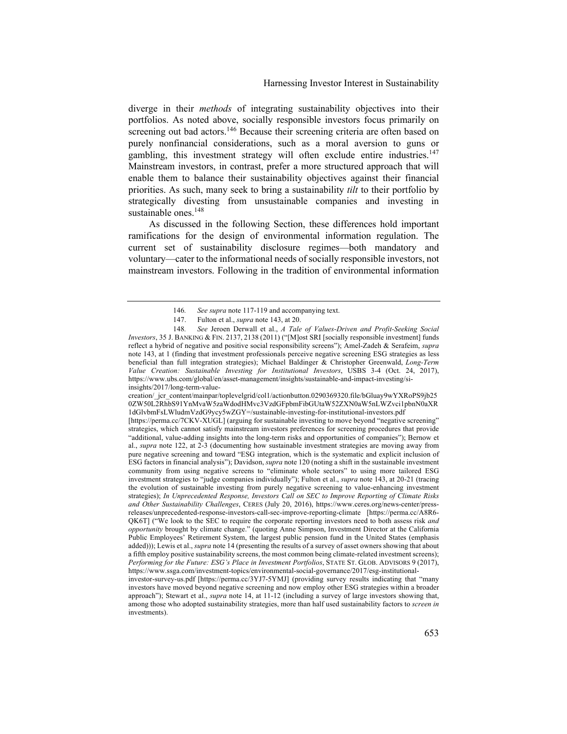diverge in their *methods* of integrating sustainability objectives into their portfolios. As noted above, socially responsible investors focus primarily on screening out bad actors.<sup>146</sup> Because their screening criteria are often based on purely nonfinancial considerations, such as a moral aversion to guns or gambling, this investment strategy will often exclude entire industries.<sup>147</sup> Mainstream investors, in contrast, prefer a more structured approach that will enable them to balance their sustainability objectives against their financial priorities. As such, many seek to bring a sustainability *tilt* to their portfolio by strategically divesting from unsustainable companies and investing in sustainable ones.<sup>148</sup>

As discussed in the following Section, these differences hold important ramifications for the design of environmental information regulation. The current set of sustainability disclosure regimes—both mandatory and voluntary—cater to the informational needs of socially responsible investors, not mainstream investors. Following in the tradition of environmental information

creation/ jcr\_content/mainpar/toplevelgrid/col1/actionbutton.0290369320.file/bGluay9wYXRoPS9jb25 0ZW50L2RhbS91YnMvaW5zaWdodHMvc3VzdGFpbmFibGUtaW52ZXN0aW5nLWZvci1pbnN0aXR 1dGlvbmFsLWludmVzdG9ycy5wZGY=/sustainable-investing-for-institutional-investors.pdf

[https://perma.cc/7CKV-XUGL] (arguing for sustainable investing to move beyond "negative screening" strategies, which cannot satisfy mainstream investors preferences for screening procedures that provide "additional, value-adding insights into the long-term risks and opportunities of companies"); Bernow et al., *supra* note 122, at 2-3 (documenting how sustainable investment strategies are moving away from pure negative screening and toward "ESG integration, which is the systematic and explicit inclusion of ESG factors in financial analysis"); Davidson, *supra* note 120 (noting a shift in the sustainable investment community from using negative screens to "eliminate whole sectors" to using more tailored ESG investment strategies to "judge companies individually"); Fulton et al., *supra* note 143, at 20-21 (tracing the evolution of sustainable investing from purely negative screening to value-enhancing investment strategies); *In Unprecedented Response, Investors Call on SEC to Improve Reporting of Climate Risks and Other Sustainability Challenges*, CERES (July 20, 2016), https://www.ceres.org/news-center/pressreleases/unprecedented-response-investors-call-sec-improve-reporting-climate [https://perma.cc/A8R6- QK6T] ("We look to the SEC to require the corporate reporting investors need to both assess risk *and opportunity* brought by climate change." (quoting Anne Simpson, Investment Director at the California Public Employees' Retirement System, the largest public pension fund in the United States (emphasis added))); Lewis et al., *supra* note 14 (presenting the results of a survey of asset owners showing that about a fifth employ positive sustainability screens, the most common being climate-related investment screens); *Performing for the Future: ESG's Place in Investment Portfolios*, STATE ST. GLOB. ADVISORS 9 (2017), https://www.ssga.com/investment-topics/environmental-social-governance/2017/esg-institutional-

investor-survey-us.pdf [https://perma.cc/3YJ7-5YMJ] (providing survey results indicating that "many investors have moved beyond negative screening and now employ other ESG strategies within a broader approach"); Stewart et al., *supra* note 14, at 11-12 (including a survey of large investors showing that, among those who adopted sustainability strategies, more than half used sustainability factors to *screen in* investments).

<sup>146</sup>*. See supra* note 117-119 and accompanying text.

<sup>147.</sup> Fulton et al., *supra* note 143, at 20.

<sup>148</sup>*. See* Jeroen Derwall et al., *A Tale of Values-Driven and Profit-Seeking Social Investors*, 35 J. BANKING & FIN. 2137, 2138 (2011) ("[M]ost SRI [socially responsible investment] funds reflect a hybrid of negative and positive social responsibility screens"); Amel-Zadeh & Serafeim, *supra*  note 143, at 1 (finding that investment professionals perceive negative screening ESG strategies as less beneficial than full integration strategies); Michael Baldinger & Christopher Greenwald, *Long-Term Value Creation: Sustainable Investing for Institutional Investors*, USBS 3-4 (Oct. 24, 2017), https://www.ubs.com/global/en/asset-management/insights/sustainable-and-impact-investing/siinsights/2017/long-term-value-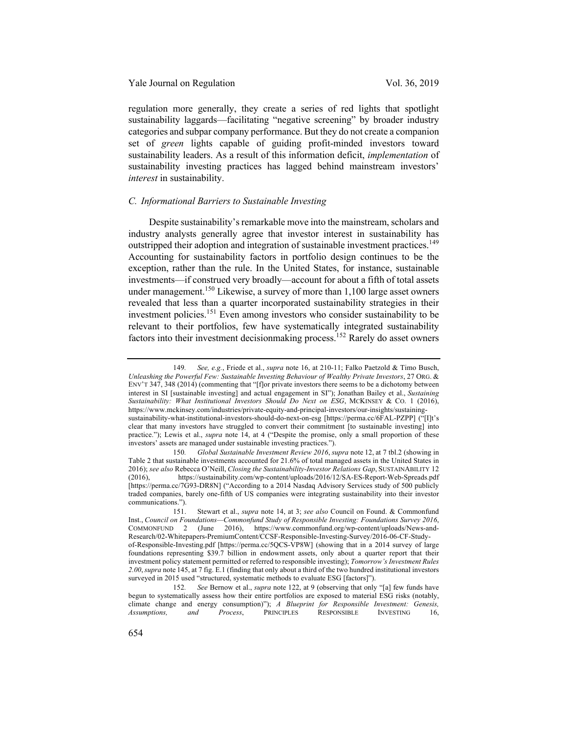regulation more generally, they create a series of red lights that spotlight sustainability laggards—facilitating "negative screening" by broader industry categories and subpar company performance. But they do not create a companion set of *green* lights capable of guiding profit-minded investors toward sustainability leaders. As a result of this information deficit, *implementation* of sustainability investing practices has lagged behind mainstream investors' *interest* in sustainability.

#### *C. Informational Barriers to Sustainable Investing*

Despite sustainability's remarkable move into the mainstream, scholars and industry analysts generally agree that investor interest in sustainability has outstripped their adoption and integration of sustainable investment practices.<sup>149</sup> Accounting for sustainability factors in portfolio design continues to be the exception, rather than the rule. In the United States, for instance, sustainable investments—if construed very broadly—account for about a fifth of total assets under management.<sup>150</sup> Likewise, a survey of more than  $1,100$  large asset owners revealed that less than a quarter incorporated sustainability strategies in their investment policies.<sup>151</sup> Even among investors who consider sustainability to be relevant to their portfolios, few have systematically integrated sustainability factors into their investment decisionmaking process.152 Rarely do asset owners

<sup>149</sup>*. See, e.g.*, Friede et al., *supra* note 16, at 210-11; Falko Paetzold & Timo Busch, *Unleashing the Powerful Few: Sustainable Investing Behaviour of Wealthy Private Investors*, 27 ORG. & ENV'T 347, 348 (2014) (commenting that "[f]or private investors there seems to be a dichotomy between interest in SI [sustainable investing] and actual engagement in SI"); Jonathan Bailey et al., *Sustaining Sustainability: What Institutional Investors Should Do Next on ESG*, MCKINSEY & CO. 1 (2016), https://www.mckinsey.com/industries/private-equity-and-principal-investors/our-insights/sustainingsustainability-what-institutional-investors-should-do-next-on-esg [https://perma.cc/6FAL-PZPP] ("[I]t's clear that many investors have struggled to convert their commitment [to sustainable investing] into practice."); Lewis et al., *supra* note 14, at 4 ("Despite the promise, only a small proportion of these investors' assets are managed under sustainable investing practices.").

<sup>150</sup>*. Global Sustainable Investment Review 2016*, *supra* note 12, at 7 tbl.2 (showing in Table 2 that sustainable investments accounted for 21.6% of total managed assets in the United States in 2016); *see also* Rebecca O'Neill, *Closing the Sustainability-Investor Relations Gap*, SUSTAINABILITY 12 (2016), https://sustainability.com/wp-content/uploads/2016/12/SA-ES-Report-Web-Spreads.pdf [https://perma.cc/7G93-DR8N] ("According to a 2014 Nasdaq Advisory Services study of 500 publicly traded companies, barely one-fifth of US companies were integrating sustainability into their investor communications.").

<sup>151.</sup> Stewart et al., *supra* note 14, at 3; *see also* Council on Found. & Commonfund Inst., *Council on Foundations—Commonfund Study of Responsible Investing: Foundations Survey 2016*, COMMONFUND 2 (June 2016), https://www.commonfund.org/wp-content/uploads/News-and-Research/02-Whitepapers-PremiumContent/CCSF-Responsible-Investing-Survey/2016-06-CF-Studyof-Responsible-Investing.pdf [https://perma.cc/5QCS-VP8W] (showing that in a 2014 survey of large foundations representing \$39.7 billion in endowment assets, only about a quarter report that their investment policy statement permitted or referred to responsible investing); *Tomorrow's Investment Rules 2.00*,*supra* note 145, at 7 fig. E.1 (finding that only about a third of the two hundred institutional investors surveyed in 2015 used "structured, systematic methods to evaluate ESG [factors]").

<sup>152</sup>*. See* Bernow et al., *supra* note 122, at 9 (observing that only "[a] few funds have begun to systematically assess how their entire portfolios are exposed to material ESG risks (notably, climate change and energy consumption)"); *A Blueprint for Responsible Investment: Genesis, Assumptions, and Process*, PRINCIPLES RESPONSIBLE INVESTING 16,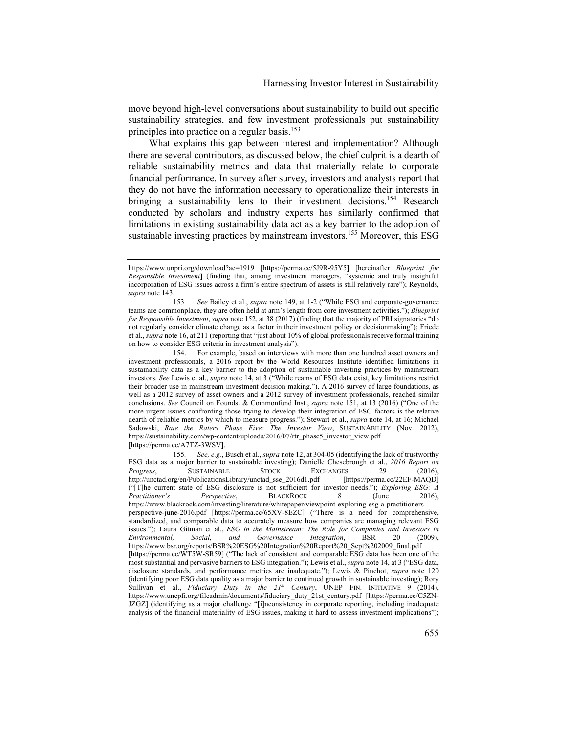move beyond high-level conversations about sustainability to build out specific sustainability strategies, and few investment professionals put sustainability principles into practice on a regular basis.<sup>153</sup>

What explains this gap between interest and implementation? Although there are several contributors, as discussed below, the chief culprit is a dearth of reliable sustainability metrics and data that materially relate to corporate financial performance. In survey after survey, investors and analysts report that they do not have the information necessary to operationalize their interests in bringing a sustainability lens to their investment decisions.<sup>154</sup> Research conducted by scholars and industry experts has similarly confirmed that limitations in existing sustainability data act as a key barrier to the adoption of sustainable investing practices by mainstream investors.<sup>155</sup> Moreover, this ESG

154. For example, based on interviews with more than one hundred asset owners and investment professionals, a 2016 report by the World Resources Institute identified limitations in sustainability data as a key barrier to the adoption of sustainable investing practices by mainstream investors. *See* Lewis et al., *supra* note 14, at 3 ("While reams of ESG data exist, key limitations restrict their broader use in mainstream investment decision making."). A 2016 survey of large foundations, as well as a 2012 survey of asset owners and a 2012 survey of investment professionals, reached similar conclusions. *See* Council on Founds. & Commonfund Inst., *supra* note 151, at 13 (2016) ("One of the more urgent issues confronting those trying to develop their integration of ESG factors is the relative dearth of reliable metrics by which to measure progress."); Stewart et al., *supra* note 14, at 16; Michael Sadowski, *Rate the Raters Phase Five: The Investor View*, SUSTAINABILITY (Nov. 2012), https://sustainability.com/wp-content/uploads/2016/07/rtr\_phase5\_investor\_view.pdf [https://perma.cc/A7TZ-3WSV].

https://www.unpri.org/download?ac=1919 [https://perma.cc/5J9R-95Y5] [hereinafter *Blueprint for Responsible Investment*] (finding that, among investment managers, "systemic and truly insightful incorporation of ESG issues across a firm's entire spectrum of assets is still relatively rare"); Reynolds, *supra* note 143.

<sup>153</sup>*. See* Bailey et al., *supra* note 149, at 1-2 ("While ESG and corporate-governance teams are commonplace, they are often held at arm's length from core investment activities."); *Blueprint for Responsible Investment*, *supra* note 152, at 38 (2017) (finding that the majority of PRI signatories "do not regularly consider climate change as a factor in their investment policy or decisionmaking"); Friede et al., *supra* note 16, at 211 (reporting that "just about 10% of global professionals receive formal training on how to consider ESG criteria in investment analysis").

<sup>155</sup>*. See, e.g.*, Busch et al., *supra* note 12, at 304-05 (identifying the lack of trustworthy ESG data as a major barrier to sustainable investing); Danielle Chesebrough et al., *2016 Report on Progress*, SUSTAINABLE STOCK EXCHANGES 29 (2016), http://unctad.org/en/PublicationsLibrary/unctad\_sse\_2016d1.pdf [https://perma.cc/22EF-MAQD] ("[T]he current state of ESG disclosure is not sufficient for investor needs."); *Exploring ESG: A Practitioner's Perspective*, BLACKROCK 8 (June 2016), https://www.blackrock.com/investing/literature/whitepaper/viewpoint-exploring-esg-a-practitionersperspective-june-2016.pdf [https://perma.cc/65XV-8EZC] ("There is a need for comprehensive, standardized, and comparable data to accurately measure how companies are managing relevant ESG issues."); Laura Gitman et al., *ESG in the Mainstream: The Role for Companies and Investors in Environmental, Social, and Governance Integration*, BSR 20 (2009), https://www.bsr.org/reports/BSR%20ESG%20Integration%20Report%20\_Sept%202009\_final.pdf [https://perma.cc/WT5W-SR59] ("The lack of consistent and comparable ESG data has been one of the most substantial and pervasive barriers to ESG integration."); Lewis et al., *supra* note 14, at 3 ("ESG data, disclosure standards, and performance metrics are inadequate."); Lewis & Pinchot, *supra* note 120 (identifying poor ESG data quality as a major barrier to continued growth in sustainable investing); Rory Sullivan et al., *Fiduciary Duty in the 21<sup>st</sup> Century*, UNEP FIN. INITIATIVE 9 (2014), https://www.unepfi.org/fileadmin/documents/fiduciary\_duty\_21st\_century.pdf [https://perma.cc/C5ZN-JZGZ] (identifying as a major challenge "[i]nconsistency in corporate reporting, including inadequate analysis of the financial materiality of ESG issues, making it hard to assess investment implications");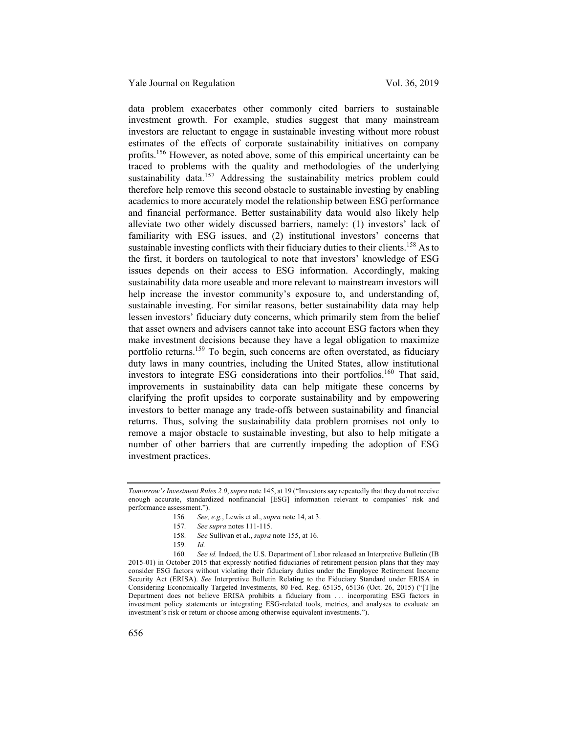data problem exacerbates other commonly cited barriers to sustainable investment growth. For example, studies suggest that many mainstream investors are reluctant to engage in sustainable investing without more robust estimates of the effects of corporate sustainability initiatives on company profits.<sup>156</sup> However, as noted above, some of this empirical uncertainty can be traced to problems with the quality and methodologies of the underlying sustainability data.<sup>157</sup> Addressing the sustainability metrics problem could therefore help remove this second obstacle to sustainable investing by enabling academics to more accurately model the relationship between ESG performance and financial performance. Better sustainability data would also likely help alleviate two other widely discussed barriers, namely: (1) investors' lack of familiarity with ESG issues, and (2) institutional investors' concerns that sustainable investing conflicts with their fiduciary duties to their clients.<sup>158</sup> As to the first, it borders on tautological to note that investors' knowledge of ESG issues depends on their access to ESG information. Accordingly, making sustainability data more useable and more relevant to mainstream investors will help increase the investor community's exposure to, and understanding of, sustainable investing. For similar reasons, better sustainability data may help lessen investors' fiduciary duty concerns, which primarily stem from the belief that asset owners and advisers cannot take into account ESG factors when they make investment decisions because they have a legal obligation to maximize portfolio returns.<sup>159</sup> To begin, such concerns are often overstated, as fiduciary duty laws in many countries, including the United States, allow institutional investors to integrate ESG considerations into their portfolios.<sup>160</sup> That said, improvements in sustainability data can help mitigate these concerns by clarifying the profit upsides to corporate sustainability and by empowering investors to better manage any trade-offs between sustainability and financial returns. Thus, solving the sustainability data problem promises not only to remove a major obstacle to sustainable investing, but also to help mitigate a number of other barriers that are currently impeding the adoption of ESG investment practices.

158*. See* Sullivan et al., *supra* note 155, at 16.

*Tomorrow's Investment Rules 2.0*, *supra* note 145, at 19 ("Investors say repeatedly that they do not receive enough accurate, standardized nonfinancial [ESG] information relevant to companies' risk and performance assessment.").

<sup>156</sup>*. See, e.g.*, Lewis et al., *supra* note 14, at 3.

<sup>157</sup>*. See supra* notes 111-115.

<sup>159</sup>*. Id.*

<sup>160</sup>*. See id.* Indeed, the U.S. Department of Labor released an Interpretive Bulletin (IB 2015-01) in October 2015 that expressly notified fiduciaries of retirement pension plans that they may consider ESG factors without violating their fiduciary duties under the Employee Retirement Income Security Act (ERISA). *See* Interpretive Bulletin Relating to the Fiduciary Standard under ERISA in Considering Economically Targeted Investments, 80 Fed. Reg. 65135, 65136 (Oct. 26, 2015) ("[T]he Department does not believe ERISA prohibits a fiduciary from . . . incorporating ESG factors in investment policy statements or integrating ESG-related tools, metrics, and analyses to evaluate an investment's risk or return or choose among otherwise equivalent investments.").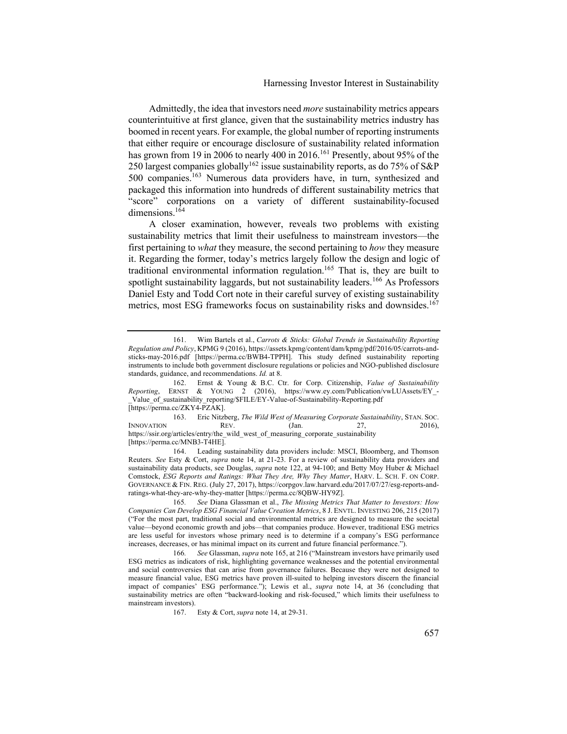Admittedly, the idea that investors need *more* sustainability metrics appears counterintuitive at first glance, given that the sustainability metrics industry has boomed in recent years. For example, the global number of reporting instruments that either require or encourage disclosure of sustainability related information has grown from 19 in 2006 to nearly 400 in 2016.<sup>161</sup> Presently, about 95% of the 250 largest companies globally<sup>162</sup> issue sustainability reports, as do 75% of S&P 500 companies.163 Numerous data providers have, in turn, synthesized and packaged this information into hundreds of different sustainability metrics that "score" corporations on a variety of different sustainability-focused dimensions.<sup>164</sup>

A closer examination, however, reveals two problems with existing sustainability metrics that limit their usefulness to mainstream investors—the first pertaining to *what* they measure, the second pertaining to *how* they measure it. Regarding the former, today's metrics largely follow the design and logic of traditional environmental information regulation.165 That is, they are built to spotlight sustainability laggards, but not sustainability leaders.<sup>166</sup> As Professors Daniel Esty and Todd Cort note in their careful survey of existing sustainability metrics, most ESG frameworks focus on sustainability risks and downsides.<sup>167</sup>

[https://perma.cc/ZKY4-PZAK].

163. Eric Nitzberg, *The Wild West of Measuring Corporate Sustainability*, STAN. SOC. INNOVATION REV. (Jan. 27, 2016), https://ssir.org/articles/entry/the\_wild\_west\_of\_measuring\_corporate\_sustainability

[https://perma.cc/MNB3-T4HE].

164. Leading sustainability data providers include: MSCI, Bloomberg, and Thomson Reuters. *See* Esty & Cort, *supra* note 14, at 21-23. For a review of sustainability data providers and sustainability data products, see Douglas, *supra* note 122, at 94-100; and Betty Moy Huber & Michael Comstock, *ESG Reports and Ratings: What They Are, Why They Matter*, HARV. L. SCH. F. ON CORP. GOVERNANCE & FIN. REG. (July 27, 2017), https://corpgov.law.harvard.edu/2017/07/27/esg-reports-andratings-what-they-are-why-they-matter [https://perma.cc/8QBW-HY9Z].

<sup>161.</sup> Wim Bartels et al., *Carrots & Sticks: Global Trends in Sustainability Reporting Regulation and Policy*, KPMG 9 (2016), https://assets.kpmg/content/dam/kpmg/pdf/2016/05/carrots-andsticks-may-2016.pdf [https://perma.cc/BWB4-TPPH]. This study defined sustainability reporting instruments to include both government disclosure regulations or policies and NGO-published disclosure standards, guidance, and recommendations. *Id.* at 8.

<sup>162.</sup> Ernst & Young & B.C. Ctr. for Corp. Citizenship, *Value of Sustainability Reporting*, ERNST & YOUNG 2 (2016), https://www.ey.com/Publication/vwLUAssets/EY\_- Value of sustainability reporting/\$FILE/EY-Value-of-Sustainability-Reporting.pdf

<sup>165</sup>*. See* Diana Glassman et al., *The Missing Metrics That Matter to Investors: How Companies Can Develop ESG Financial Value Creation Metrics*, 8 J. ENVTL. INVESTING 206, 215 (2017) ("For the most part, traditional social and environmental metrics are designed to measure the societal value—beyond economic growth and jobs—that companies produce. However, traditional ESG metrics are less useful for investors whose primary need is to determine if a company's ESG performance increases, decreases, or has minimal impact on its current and future financial performance.").

<sup>166</sup>*. See* Glassman, *supra* note 165, at 216 ("Mainstream investors have primarily used ESG metrics as indicators of risk, highlighting governance weaknesses and the potential environmental and social controversies that can arise from governance failures. Because they were not designed to measure financial value, ESG metrics have proven ill-suited to helping investors discern the financial impact of companies' ESG performance."); Lewis et al., *supra* note 14, at 36 (concluding that sustainability metrics are often "backward-looking and risk-focused," which limits their usefulness to mainstream investors).

<sup>167.</sup> Esty & Cort, *supra* note 14, at 29-31.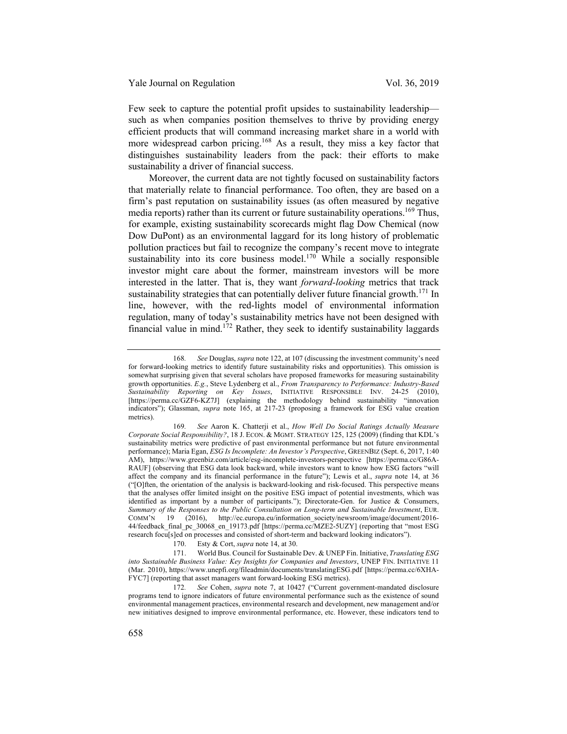Few seek to capture the potential profit upsides to sustainability leadership such as when companies position themselves to thrive by providing energy efficient products that will command increasing market share in a world with more widespread carbon pricing.<sup>168</sup> As a result, they miss a key factor that distinguishes sustainability leaders from the pack: their efforts to make sustainability a driver of financial success.

Moreover, the current data are not tightly focused on sustainability factors that materially relate to financial performance. Too often, they are based on a firm's past reputation on sustainability issues (as often measured by negative media reports) rather than its current or future sustainability operations.<sup>169</sup> Thus, for example, existing sustainability scorecards might flag Dow Chemical (now Dow DuPont) as an environmental laggard for its long history of problematic pollution practices but fail to recognize the company's recent move to integrate sustainability into its core business model.<sup>170</sup> While a socially responsible investor might care about the former, mainstream investors will be more interested in the latter. That is, they want *forward-looking* metrics that track sustainability strategies that can potentially deliver future financial growth.<sup>171</sup> In line, however, with the red-lights model of environmental information regulation, many of today's sustainability metrics have not been designed with financial value in mind.<sup>172</sup> Rather, they seek to identify sustainability laggards

170. Esty & Cort, *supra* note 14, at 30.

<sup>168</sup>*. See* Douglas, *supra* note 122, at 107 (discussing the investment community's need for forward-looking metrics to identify future sustainability risks and opportunities). This omission is somewhat surprising given that several scholars have proposed frameworks for measuring sustainability growth opportunities. *E.g.*, Steve Lydenberg et al., *From Transparency to Performance: Industry-Based Sustainability Reporting on Key Issues*, INITIATIVE RESPONSIBLE INV. 24-25 (2010), [https://perma.cc/GZF6-KZ7J] (explaining the methodology behind sustainability "innovation indicators"); Glassman, *supra* note 165, at 217-23 (proposing a framework for ESG value creation metrics).

<sup>169</sup>*. See* Aaron K. Chatterji et al., *How Well Do Social Ratings Actually Measure Corporate Social Responsibility?*, 18 J. ECON. & MGMT. STRATEGY 125, 125 (2009) (finding that KDL's sustainability metrics were predictive of past environmental performance but not future environmental performance); Maria Egan, *ESG Is Incomplete: An Investor's Perspective*, GREENBIZ (Sept. 6, 2017, 1:40 AM), https://www.greenbiz.com/article/esg-incomplete-investors-perspective [https://perma.cc/G86A-RAUF] (observing that ESG data look backward, while investors want to know how ESG factors "will affect the company and its financial performance in the future"); Lewis et al., *supra* note 14, at 36 ("[O]ften, the orientation of the analysis is backward-looking and risk-focused. This perspective means that the analyses offer limited insight on the positive ESG impact of potential investments, which was identified as important by a number of participants."); Directorate-Gen. for Justice & Consumers, *Summary of the Responses to the Public Consultation on Long-term and Sustainable Investment*, EUR.<br>COMM'N 19 (2016) http://ec.europa.eu/information\_society/newsroom/image/document/2016-(2016), http://ec.europa.eu/information\_society/newsroom/image/document/2016-44/feedback\_final\_pc\_30068\_en\_19173.pdf [https://perma.cc/MZE2-5UZY] (reporting that "most ESG research focu[s]ed on processes and consisted of short-term and backward looking indicators").

<sup>171.</sup> World Bus. Council for Sustainable Dev. & UNEP Fin. Initiative, *Translating ESG into Sustainable Business Value: Key Insights for Companies and Investors*, UNEP FIN. INITIATIVE 11 (Mar. 2010), https://www.unepfi.org/fileadmin/documents/translatingESG.pdf [https://perma.cc/6XHA-FYC7] (reporting that asset managers want forward-looking ESG metrics).

<sup>172</sup>*. See* Cohen, *supra* note 7, at 10427 ("Current government-mandated disclosure programs tend to ignore indicators of future environmental performance such as the existence of sound environmental management practices, environmental research and development, new management and/or new initiatives designed to improve environmental performance, etc. However, these indicators tend to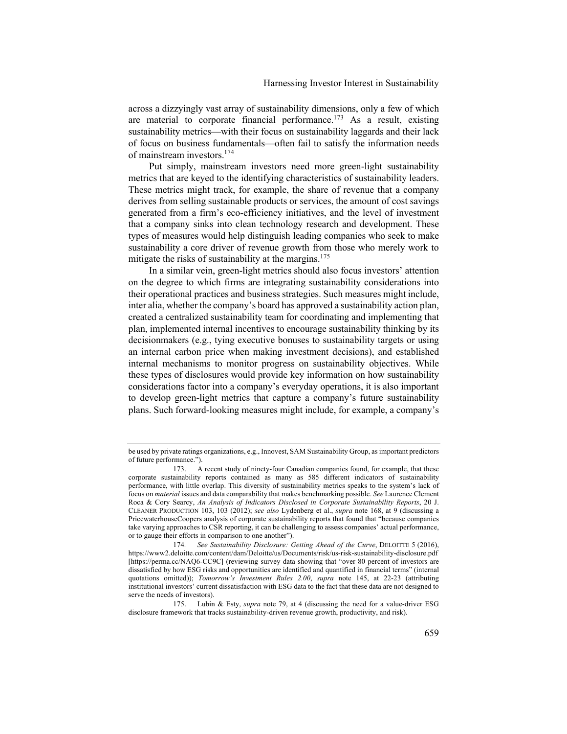across a dizzyingly vast array of sustainability dimensions, only a few of which are material to corporate financial performance.<sup>173</sup> As a result, existing sustainability metrics—with their focus on sustainability laggards and their lack of focus on business fundamentals—often fail to satisfy the information needs of mainstream investors.<sup>174</sup>

Put simply, mainstream investors need more green-light sustainability metrics that are keyed to the identifying characteristics of sustainability leaders. These metrics might track, for example, the share of revenue that a company derives from selling sustainable products or services, the amount of cost savings generated from a firm's eco-efficiency initiatives, and the level of investment that a company sinks into clean technology research and development. These types of measures would help distinguish leading companies who seek to make sustainability a core driver of revenue growth from those who merely work to mitigate the risks of sustainability at the margins.<sup>175</sup>

In a similar vein, green-light metrics should also focus investors' attention on the degree to which firms are integrating sustainability considerations into their operational practices and business strategies. Such measures might include, inter alia, whether the company's board has approved a sustainability action plan, created a centralized sustainability team for coordinating and implementing that plan, implemented internal incentives to encourage sustainability thinking by its decisionmakers (e.g., tying executive bonuses to sustainability targets or using an internal carbon price when making investment decisions), and established internal mechanisms to monitor progress on sustainability objectives. While these types of disclosures would provide key information on how sustainability considerations factor into a company's everyday operations, it is also important to develop green-light metrics that capture a company's future sustainability plans. Such forward-looking measures might include, for example, a company's

be used by private ratings organizations, e.g., Innovest, SAM Sustainability Group, as important predictors of future performance.").

<sup>173.</sup> A recent study of ninety-four Canadian companies found, for example, that these corporate sustainability reports contained as many as 585 different indicators of sustainability performance, with little overlap. This diversity of sustainability metrics speaks to the system's lack of focus on *material* issues and data comparability that makes benchmarking possible. *See* Laurence Clement Roca & Cory Searcy, *An Analysis of Indicators Disclosed in Corporate Sustainability Reports*, 20 J. CLEANER PRODUCTION 103, 103 (2012); *see also* Lydenberg et al., *supra* note 168, at 9 (discussing a PricewaterhouseCoopers analysis of corporate sustainability reports that found that "because companies take varying approaches to CSR reporting, it can be challenging to assess companies' actual performance, or to gauge their efforts in comparison to one another").

<sup>174</sup>*. See Sustainability Disclosure: Getting Ahead of the Curve*, DELOITTE 5 (2016), https://www2.deloitte.com/content/dam/Deloitte/us/Documents/risk/us-risk-sustainability-disclosure.pdf [https://perma.cc/NAQ6-CC9C] (reviewing survey data showing that "over 80 percent of investors are dissatisfied by how ESG risks and opportunities are identified and quantified in financial terms" (internal quotations omitted)); *Tomorrow's Investment Rules 2.00*, *supra* note 145, at 22-23 (attributing institutional investors' current dissatisfaction with ESG data to the fact that these data are not designed to serve the needs of investors).

<sup>175.</sup> Lubin & Esty, *supra* note 79, at 4 (discussing the need for a value-driver ESG disclosure framework that tracks sustainability-driven revenue growth, productivity, and risk).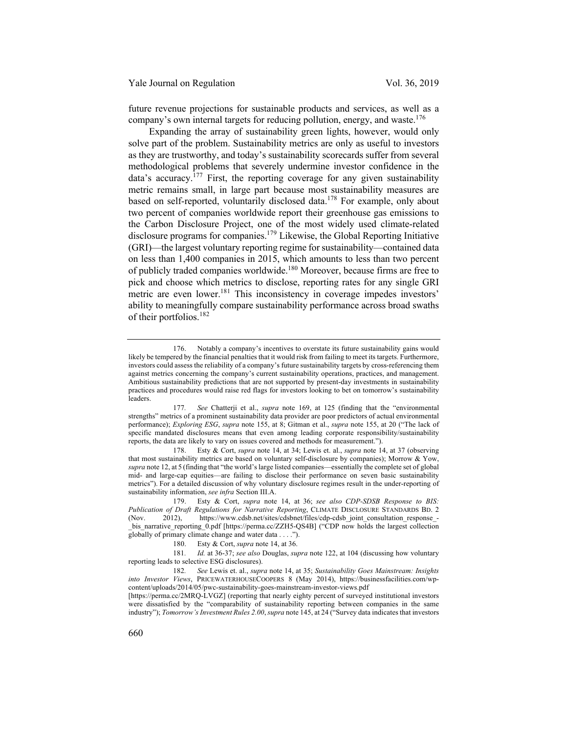future revenue projections for sustainable products and services, as well as a company's own internal targets for reducing pollution, energy, and waste.<sup>176</sup>

Expanding the array of sustainability green lights, however, would only solve part of the problem. Sustainability metrics are only as useful to investors as they are trustworthy, and today's sustainability scorecards suffer from several methodological problems that severely undermine investor confidence in the data's accuracy.<sup>177</sup> First, the reporting coverage for any given sustainability metric remains small, in large part because most sustainability measures are based on self-reported, voluntarily disclosed data.<sup>178</sup> For example, only about two percent of companies worldwide report their greenhouse gas emissions to the Carbon Disclosure Project, one of the most widely used climate-related disclosure programs for companies.<sup>179</sup> Likewise, the Global Reporting Initiative (GRI)—the largest voluntary reporting regime for sustainability—contained data on less than 1,400 companies in 2015, which amounts to less than two percent of publicly traded companies worldwide.<sup>180</sup> Moreover, because firms are free to pick and choose which metrics to disclose, reporting rates for any single GRI metric are even lower.<sup>181</sup> This inconsistency in coverage impedes investors' ability to meaningfully compare sustainability performance across broad swaths of their portfolios.<sup>182</sup>

<sup>176.</sup> Notably a company's incentives to overstate its future sustainability gains would likely be tempered by the financial penalties that it would risk from failing to meet its targets. Furthermore, investors could assess the reliability of a company's future sustainability targets by cross-referencing them against metrics concerning the company's current sustainability operations, practices, and management. Ambitious sustainability predictions that are not supported by present-day investments in sustainability practices and procedures would raise red flags for investors looking to bet on tomorrow's sustainability leaders.

<sup>177</sup>*. See* Chatterji et al., *supra* note 169, at 125 (finding that the "environmental strengths" metrics of a prominent sustainability data provider are poor predictors of actual environmental performance); *Exploring ESG*, *supra* note 155, at 8; Gitman et al., *supra* note 155, at 20 ("The lack of specific mandated disclosures means that even among leading corporate responsibility/sustainability reports, the data are likely to vary on issues covered and methods for measurement.").

<sup>178.</sup> Esty & Cort, *supra* note 14, at 34; Lewis et. al., *supra* note 14, at 37 (observing that most sustainability metrics are based on voluntary self-disclosure by companies); Morrow & Yow, *supra* note 12, at 5 (finding that "the world's large listed companies—essentially the complete set of global mid- and large-cap equities—are failing to disclose their performance on seven basic sustainability metrics"). For a detailed discussion of why voluntary disclosure regimes result in the under-reporting of sustainability information, *see infra* Section III.A.

<sup>179.</sup> Esty & Cort, *supra* note 14, at 36; *see also CDP-SDSB Response to BIS: Publication of Draft Regulations for Narrative Reporting*, CLIMATE DISCLOSURE STANDARDS BD. 2 (Nov. 2012), https://www.cdsb.net/sites/cdsbnet/files/cdp-cdsb\_joint\_consultation\_response\_ bis narrative reporting  $0$ .pdf [https://perma.cc/ZZH5-QS4B] ("CDP now holds the largest collection globally of primary climate change and water data . . . .").

<sup>180.</sup> Esty & Cort, *supra* note 14, at 36.

<sup>181</sup>*. Id.* at 36-37; *see also* Douglas, *supra* note 122, at 104 (discussing how voluntary reporting leads to selective ESG disclosures).

<sup>182</sup>*. See* Lewis et. al., *supra* note 14, at 35; *Sustainability Goes Mainstream: Insights into Investor Views*, PRICEWATERHOUSECOOPERS 8 (May 2014), https://businessfacilities.com/wpcontent/uploads/2014/05/pwc-sustainability-goes-mainstream-investor-views.pdf

<sup>[</sup>https://perma.cc/2MRQ-LVGZ] (reporting that nearly eighty percent of surveyed institutional investors were dissatisfied by the "comparability of sustainability reporting between companies in the same industry"); *Tomorrow's Investment Rules 2.00*, *supra* note 145, at 24 ("Survey data indicates that investors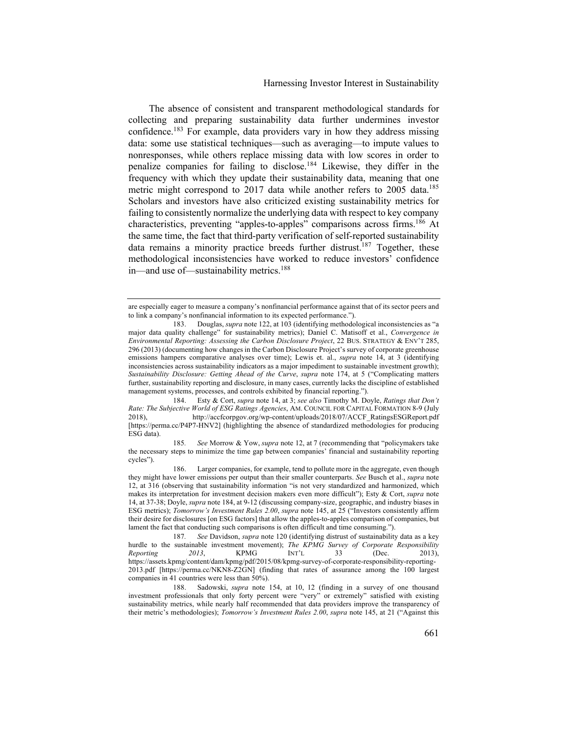The absence of consistent and transparent methodological standards for collecting and preparing sustainability data further undermines investor confidence.<sup>183</sup> For example, data providers vary in how they address missing data: some use statistical techniques—such as averaging—to impute values to nonresponses, while others replace missing data with low scores in order to penalize companies for failing to disclose.<sup>184</sup> Likewise, they differ in the frequency with which they update their sustainability data, meaning that one metric might correspond to 2017 data while another refers to 2005 data.<sup>185</sup> Scholars and investors have also criticized existing sustainability metrics for failing to consistently normalize the underlying data with respect to key company characteristics, preventing "apples-to-apples" comparisons across firms.<sup>186</sup> At the same time, the fact that third-party verification of self-reported sustainability data remains a minority practice breeds further distrust.<sup>187</sup> Together, these methodological inconsistencies have worked to reduce investors' confidence in—and use of—sustainability metrics.<sup>188</sup>

185*. See* Morrow & Yow, *supra* note 12, at 7 (recommending that "policymakers take the necessary steps to minimize the time gap between companies' financial and sustainability reporting cycles").

186. Larger companies, for example, tend to pollute more in the aggregate, even though they might have lower emissions per output than their smaller counterparts. *See* Busch et al., *supra* note 12, at 316 (observing that sustainability information "is not very standardized and harmonized, which makes its interpretation for investment decision makers even more difficult"); Esty & Cort, *supra* note 14, at 37-38; Doyle, *supra* note 184, at 9-12 (discussing company-size, geographic, and industry biases in ESG metrics); *Tomorrow's Investment Rules 2.00*, *supra* note 145, at 25 ("Investors consistently affirm their desire for disclosures [on ESG factors] that allow the apples-to-apples comparison of companies, but lament the fact that conducting such comparisons is often difficult and time consuming.").

are especially eager to measure a company's nonfinancial performance against that of its sector peers and to link a company's nonfinancial information to its expected performance.").

<sup>183.</sup> Douglas, *supra* note 122, at 103 (identifying methodological inconsistencies as "a major data quality challenge" for sustainability metrics); Daniel C. Matisoff et al., *Convergence in Environmental Reporting: Assessing the Carbon Disclosure Project*, 22 BUS. STRATEGY & ENV'T 285, 296 (2013) (documenting how changes in the Carbon Disclosure Project's survey of corporate greenhouse emissions hampers comparative analyses over time); Lewis et. al., *supra* note 14, at 3 (identifying inconsistencies across sustainability indicators as a major impediment to sustainable investment growth); *Sustainability Disclosure: Getting Ahead of the Curve*, *supra* note 174, at 5 ("Complicating matters further, sustainability reporting and disclosure, in many cases, currently lacks the discipline of established management systems, processes, and controls exhibited by financial reporting.").

<sup>184.</sup> Esty & Cort, *supra* note 14, at 3; *see also* Timothy M. Doyle, *Ratings that Don't Rate: The Subjective World of ESG Ratings Agencies*, AM. COUNCIL FOR CAPITAL FORMATION 8-9 (July 2018), http://accfcorpgov.org/wp-content/uploads/2018/07/ACCF\_RatingsESGReport.pdf [https://perma.cc/P4P7-HNV2] (highlighting the absence of standardized methodologies for producing ESG data).

<sup>187</sup>*. See* Davidson, *supra* note 120 (identifying distrust of sustainability data as a key hurdle to the sustainable investment movement); *The KPMG Survey of Corporate Responsibility Reporting 2013*, KPMG INT'L 33 (Dec. 2013), https://assets.kpmg/content/dam/kpmg/pdf/2015/08/kpmg-survey-of-corporate-responsibility-reporting-2013.pdf [https://perma.cc/NKN8-Z2GN] (finding that rates of assurance among the 100 largest companies in 41 countries were less than 50%).

<sup>188.</sup> Sadowski, *supra* note 154, at 10, 12 (finding in a survey of one thousand investment professionals that only forty percent were "very" or extremely" satisfied with existing sustainability metrics, while nearly half recommended that data providers improve the transparency of their metric's methodologies); *Tomorrow's Investment Rules 2.00*, *supra* note 145, at 21 ("Against this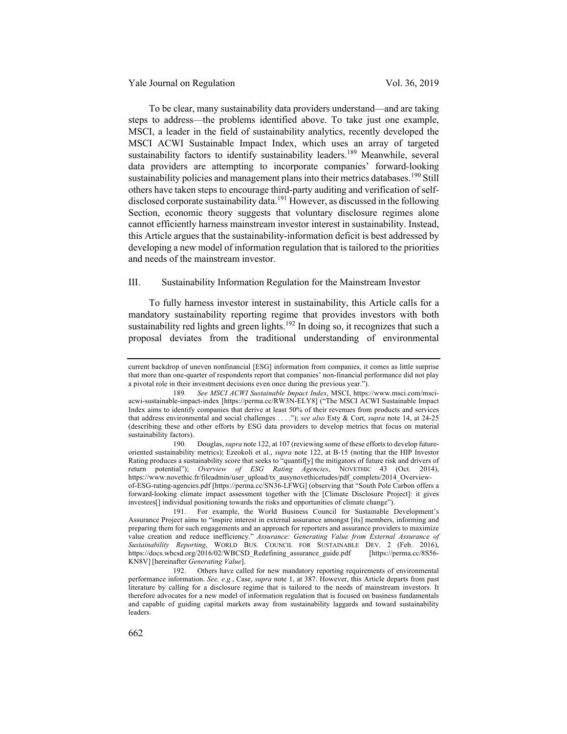To be clear, many sustainability data providers understand—and are taking steps to address—the problems identified above. To take just one example, MSCI, a leader in the field of sustainability analytics, recently developed the MSCI ACWI Sustainable Impact Index, which uses an array of targeted sustainability factors to identify sustainability leaders.<sup>189</sup> Meanwhile, several data providers are attempting to incorporate companies' forward-looking sustainability policies and management plans into their metrics databases.<sup>190</sup> Still others have taken steps to encourage third-party auditing and verification of selfdisclosed corporate sustainability data.<sup>191</sup> However, as discussed in the following Section, economic theory suggests that voluntary disclosure regimes alone cannot efficiently harness mainstream investor interest in sustainability. Instead, this Article argues that the sustainability-information deficit is best addressed by developing a new model of information regulation that is tailored to the priorities and needs of the mainstream investor.

# III. Sustainability Information Regulation for the Mainstream Investor

To fully harness investor interest in sustainability, this Article calls for a mandatory sustainability reporting regime that provides investors with both sustainability red lights and green lights.<sup>192</sup> In doing so, it recognizes that such a proposal deviates from the traditional understanding of environmental

current backdrop of uneven nonfinancial [ESG] information from companies, it comes as little surprise that more than one-quarter of respondents report that companies' non-financial performance did not play a pivotal role in their investment decisions even once during the previous year.").

<sup>189</sup>*. See MSCI ACWI Sustainable Impact Index*, MSCI, https://www.msci.com/msciacwi-sustainable-impact-index [https://perma.cc/RW3N-ELY8] ("The MSCI ACWI Sustainable Impact Index aims to identify companies that derive at least 50% of their revenues from products and services that address environmental and social challenges . . . ."); *see also* Esty & Cort, *supra* note 14, at 24-25 (describing these and other efforts by ESG data providers to develop metrics that focus on material sustainability factors).

<sup>190.</sup> Douglas, *supra* note 122, at 107 (reviewing some of these efforts to develop futureoriented sustainability metrics); Ezeokoli et al., *supra* note 122, at B-15 (noting that the HIP Investor Rating produces a sustainability score that seeks to "quantif[y] the mitigators of future risk and drivers of return potential"); *Overview of ESG Rating Agencies*, NOVETHIC 43 (Oct. 2014), https://www.novethic.fr/fileadmin/user\_upload/tx\_ausynovethicetudes/pdf\_complets/2014\_Overviewof-ESG-rating-agencies.pdf [https://perma.cc/SN36-LFWG] (observing that "South Pole Carbon offers a

forward-looking climate impact assessment together with the [Climate Disclosure Project]: it gives investees[] individual positioning towards the risks and opportunities of climate change").

<sup>191.</sup> For example, the World Business Council for Sustainable Development's Assurance Project aims to "inspire interest in external assurance amongst [its] members, informing and preparing them for such engagements and an approach for reporters and assurance providers to maximize value creation and reduce inefficiency." *Assurance: Generating Value from External Assurance of Sustainability Reporting*, WORLD BUS. COUNCIL FOR SUSTAINABLE DEV. 2 (Feb. 2016), https://docs.wbcsd.org/2016/02/WBCSD\_Redefining\_assurance\_guide.pdf KN8V] [hereinafter *Generating Value*].

<sup>192.</sup> Others have called for new mandatory reporting requirements of environmental performance information. *See, e.g.*, Case, *supra* note 1, at 387. However, this Article departs from past literature by calling for a disclosure regime that is tailored to the needs of mainstream investors. It therefore advocates for a new model of information regulation that is focused on business fundamentals and capable of guiding capital markets away from sustainability laggards and toward sustainability leaders.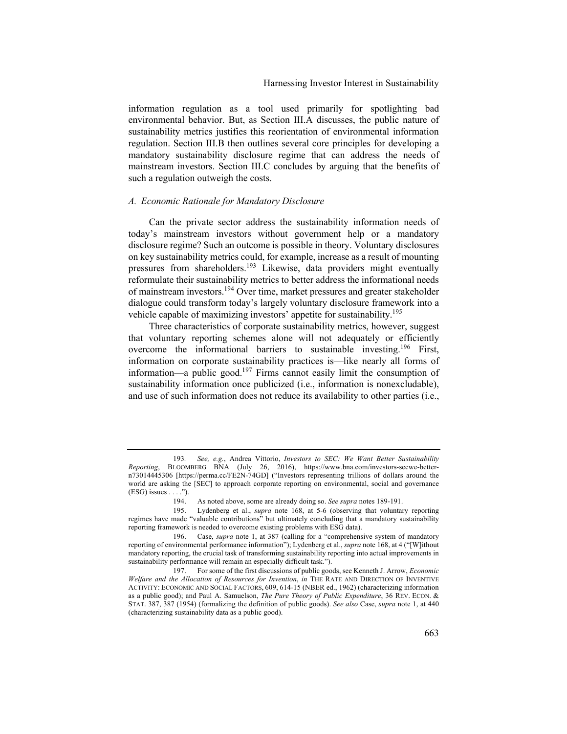information regulation as a tool used primarily for spotlighting bad environmental behavior. But, as Section III.A discusses, the public nature of sustainability metrics justifies this reorientation of environmental information regulation. Section III.B then outlines several core principles for developing a mandatory sustainability disclosure regime that can address the needs of mainstream investors. Section III.C concludes by arguing that the benefits of such a regulation outweigh the costs.

# *A. Economic Rationale for Mandatory Disclosure*

Can the private sector address the sustainability information needs of today's mainstream investors without government help or a mandatory disclosure regime? Such an outcome is possible in theory. Voluntary disclosures on key sustainability metrics could, for example, increase as a result of mounting pressures from shareholders.<sup>193</sup> Likewise, data providers might eventually reformulate their sustainability metrics to better address the informational needs of mainstream investors.<sup>194</sup> Over time, market pressures and greater stakeholder dialogue could transform today's largely voluntary disclosure framework into a vehicle capable of maximizing investors' appetite for sustainability.<sup>195</sup>

Three characteristics of corporate sustainability metrics, however, suggest that voluntary reporting schemes alone will not adequately or efficiently overcome the informational barriers to sustainable investing.<sup>196</sup> First, information on corporate sustainability practices is—like nearly all forms of information—a public good.197 Firms cannot easily limit the consumption of sustainability information once publicized (i.e., information is nonexcludable), and use of such information does not reduce its availability to other parties (i.e.,

<sup>193</sup>*. See, e.g.*, Andrea Vittorio, *Investors to SEC: We Want Better Sustainability Reporting*, BLOOMBERG BNA (July 26, 2016), https://www.bna.com/investors-secwe-bettern73014445306 [https://perma.cc/FE2N-74GD] ("Investors representing trillions of dollars around the world are asking the [SEC] to approach corporate reporting on environmental, social and governance  $(ESG)$  issues  $\dots$ .").

<sup>194.</sup> As noted above, some are already doing so. *See supra* notes 189-191.

<sup>195.</sup> Lydenberg et al., *supra* note 168, at 5-6 (observing that voluntary reporting regimes have made "valuable contributions" but ultimately concluding that a mandatory sustainability reporting framework is needed to overcome existing problems with ESG data).

<sup>196.</sup> Case, *supra* note 1, at 387 (calling for a "comprehensive system of mandatory reporting of environmental performance information"); Lydenberg et al., *supra* note 168, at 4 ("[W]ithout mandatory reporting, the crucial task of transforming sustainability reporting into actual improvements in sustainability performance will remain an especially difficult task.").

<sup>197.</sup> For some of the first discussions of public goods, see Kenneth J. Arrow, *Economic Welfare and the Allocation of Resources for Invention*, *in* THE RATE AND DIRECTION OF INVENTIVE ACTIVITY: ECONOMIC AND SOCIAL FACTORS, 609, 614-15 (NBER ed., 1962) (characterizing information as a public good); and Paul A. Samuelson, *The Pure Theory of Public Expenditure*, 36 REV. ECON. & STAT. 387, 387 (1954) (formalizing the definition of public goods). *See also* Case, *supra* note 1, at 440 (characterizing sustainability data as a public good).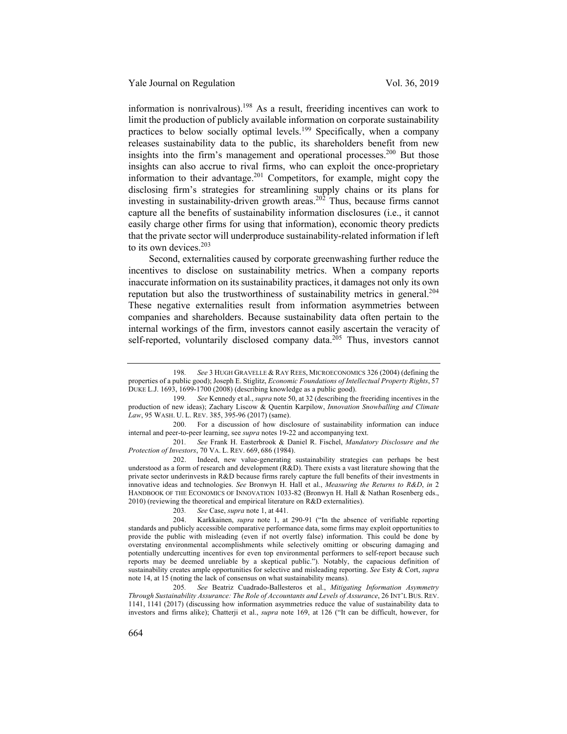information is nonrivalrous).<sup>198</sup> As a result, freeriding incentives can work to limit the production of publicly available information on corporate sustainability practices to below socially optimal levels.<sup>199</sup> Specifically, when a company releases sustainability data to the public, its shareholders benefit from new insights into the firm's management and operational processes.<sup>200</sup> But those insights can also accrue to rival firms, who can exploit the once-proprietary information to their advantage.<sup>201</sup> Competitors, for example, might copy the disclosing firm's strategies for streamlining supply chains or its plans for investing in sustainability-driven growth areas.<sup>202</sup> Thus, because firms cannot capture all the benefits of sustainability information disclosures (i.e., it cannot easily charge other firms for using that information), economic theory predicts that the private sector will underproduce sustainability-related information if left to its own devices.<sup>203</sup>

Second, externalities caused by corporate greenwashing further reduce the incentives to disclose on sustainability metrics. When a company reports inaccurate information on its sustainability practices, it damages not only its own reputation but also the trustworthiness of sustainability metrics in general.<sup>204</sup> These negative externalities result from information asymmetries between companies and shareholders. Because sustainability data often pertain to the internal workings of the firm, investors cannot easily ascertain the veracity of self-reported, voluntarily disclosed company data. $2^{05}$  Thus, investors cannot

200. For a discussion of how disclosure of sustainability information can induce internal and peer-to-peer learning, see *supra* notes 19-22 and accompanying text.

201*. See* Frank H. Easterbrook & Daniel R. Fischel, *Mandatory Disclosure and the Protection of Investors*, 70 VA. L. REV. 669, 686 (1984).

202. Indeed, new value-generating sustainability strategies can perhaps be best understood as a form of research and development (R&D). There exists a vast literature showing that the private sector underinvests in R&D because firms rarely capture the full benefits of their investments in innovative ideas and technologies. *See* Bronwyn H. Hall et al., *Measuring the Returns to R&D*, *in* 2 HANDBOOK OF THE ECONOMICS OF INNOVATION 1033-82 (Bronwyn H. Hall & Nathan Rosenberg eds., 2010) (reviewing the theoretical and empirical literature on R&D externalities).

203*. See* Case, *supra* note 1, at 441.

204. Karkkainen, *supra* note 1, at 290-91 ("In the absence of verifiable reporting standards and publicly accessible comparative performance data, some firms may exploit opportunities to provide the public with misleading (even if not overtly false) information. This could be done by overstating environmental accomplishments while selectively omitting or obscuring damaging and potentially undercutting incentives for even top environmental performers to self-report because such reports may be deemed unreliable by a skeptical public."). Notably, the capacious definition of sustainability creates ample opportunities for selective and misleading reporting. *See* Esty & Cort, *supra*  note 14, at 15 (noting the lack of consensus on what sustainability means).

205*. See* Beatriz Cuadrado-Ballesteros et al., *Mitigating Information Asymmetry Through Sustainability Assurance: The Role of Accountants and Levels of Assurance*, 26 INT'L BUS. REV. 1141, 1141 (2017) (discussing how information asymmetries reduce the value of sustainability data to investors and firms alike); Chatterji et al., *supra* note 169, at 126 ("It can be difficult, however, for

<sup>198</sup>*. See* 3 HUGH GRAVELLE & RAY REES, MICROECONOMICS 326 (2004) (defining the properties of a public good); Joseph E. Stiglitz, *Economic Foundations of Intellectual Property Rights*, 57 DUKE L.J. 1693, 1699-1700 (2008) (describing knowledge as a public good).

<sup>199</sup>*. See* Kennedy et al., *supra* note 50, at 32 (describing the freeriding incentives in the production of new ideas); Zachary Liscow & Quentin Karpilow, *Innovation Snowballing and Climate Law*, 95 WASH. U. L. REV. 385, 395-96 (2017) (same).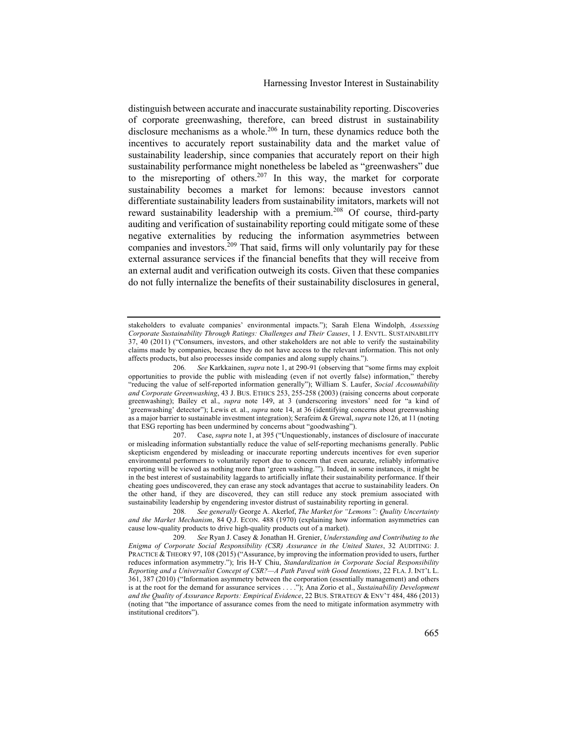distinguish between accurate and inaccurate sustainability reporting. Discoveries of corporate greenwashing, therefore, can breed distrust in sustainability disclosure mechanisms as a whole.<sup>206</sup> In turn, these dynamics reduce both the incentives to accurately report sustainability data and the market value of sustainability leadership, since companies that accurately report on their high sustainability performance might nonetheless be labeled as "greenwashers" due to the misreporting of others.<sup>207</sup> In this way, the market for corporate sustainability becomes a market for lemons: because investors cannot differentiate sustainability leaders from sustainability imitators, markets will not reward sustainability leadership with a premium.<sup>208</sup> Of course, third-party auditing and verification of sustainability reporting could mitigate some of these negative externalities by reducing the information asymmetries between companies and investors.<sup>209</sup> That said, firms will only voluntarily pay for these external assurance services if the financial benefits that they will receive from an external audit and verification outweigh its costs. Given that these companies do not fully internalize the benefits of their sustainability disclosures in general,

207. Case, *supra* note 1, at 395 ("Unquestionably, instances of disclosure of inaccurate or misleading information substantially reduce the value of self-reporting mechanisms generally. Public skepticism engendered by misleading or inaccurate reporting undercuts incentives for even superior environmental performers to voluntarily report due to concern that even accurate, reliably informative reporting will be viewed as nothing more than 'green washing.'"). Indeed, in some instances, it might be in the best interest of sustainability laggards to artificially inflate their sustainability performance. If their cheating goes undiscovered, they can erase any stock advantages that accrue to sustainability leaders. On the other hand, if they are discovered, they can still reduce any stock premium associated with sustainability leadership by engendering investor distrust of sustainability reporting in general.

stakeholders to evaluate companies' environmental impacts."); Sarah Elena Windolph, *Assessing Corporate Sustainability Through Ratings: Challenges and Their Causes*, 1 J. ENVTL. SUSTAINABILITY 37, 40 (2011) ("Consumers, investors, and other stakeholders are not able to verify the sustainability claims made by companies, because they do not have access to the relevant information. This not only affects products, but also processes inside companies and along supply chains.").

<sup>206</sup>*. See* Karkkainen, *supra* note 1, at 290-91 (observing that "some firms may exploit opportunities to provide the public with misleading (even if not overtly false) information," thereby "reducing the value of self-reported information generally"); William S. Laufer, *Social Accountability and Corporate Greenwashing*, 43 J. BUS. ETHICS 253, 255-258 (2003) (raising concerns about corporate greenwashing); Bailey et al., *supra* note 149, at 3 (underscoring investors' need for "a kind of 'greenwashing' detector"); Lewis et. al., *supra* note 14, at 36 (identifying concerns about greenwashing as a major barrier to sustainable investment integration); Serafeim & Grewal, *supra* note 126, at 11 (noting that ESG reporting has been undermined by concerns about "goodwashing").

<sup>208</sup>*. See generally* George A. Akerlof, *The Market for "Lemons": Quality Uncertainty and the Market Mechanism*, 84 Q.J. ECON. 488 (1970) (explaining how information asymmetries can cause low-quality products to drive high-quality products out of a market).

<sup>209</sup>*. See* Ryan J. Casey & Jonathan H. Grenier, *Understanding and Contributing to the Enigma of Corporate Social Responsibility (CSR) Assurance in the United States*, 32 AUDITING: J. PRACTICE & THEORY 97, 108 (2015) ("Assurance, by improving the information provided to users, further reduces information asymmetry."); Iris H-Y Chiu, *Standardization in Corporate Social Responsibility Reporting and a Universalist Concept of CSR?—A Path Paved with Good Intentions*, 22 FLA. J. INT'L L. 361, 387 (2010) ("Information asymmetry between the corporation (essentially management) and others is at the root for the demand for assurance services . . . ."); Ana Zorio et al., *Sustainability Development and the Quality of Assurance Reports: Empirical Evidence*, 22 BUS. STRATEGY & ENV'T 484, 486 (2013) (noting that "the importance of assurance comes from the need to mitigate information asymmetry with institutional creditors").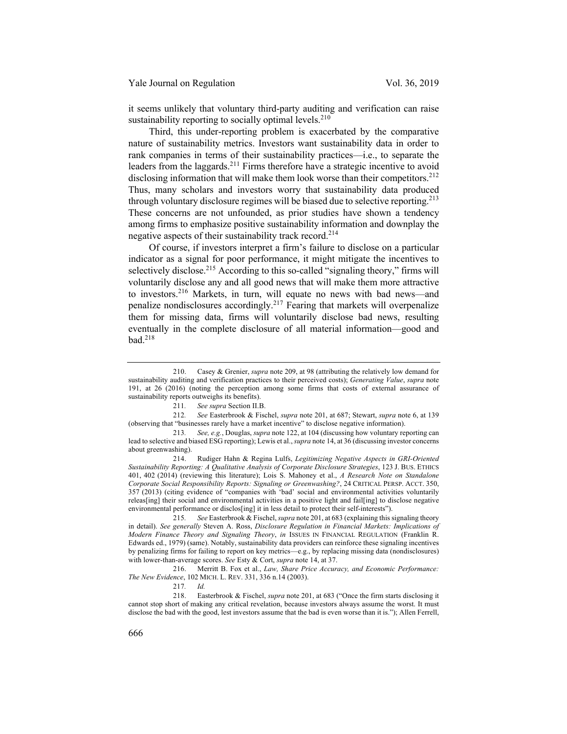it seems unlikely that voluntary third-party auditing and verification can raise sustainability reporting to socially optimal levels. $210$ 

Third, this under-reporting problem is exacerbated by the comparative nature of sustainability metrics. Investors want sustainability data in order to rank companies in terms of their sustainability practices—i.e., to separate the leaders from the laggards.<sup>211</sup> Firms therefore have a strategic incentive to avoid disclosing information that will make them look worse than their competitors.<sup>212</sup> Thus, many scholars and investors worry that sustainability data produced through voluntary disclosure regimes will be biased due to selective reporting.<sup>213</sup> These concerns are not unfounded, as prior studies have shown a tendency among firms to emphasize positive sustainability information and downplay the negative aspects of their sustainability track record.<sup>214</sup>

Of course, if investors interpret a firm's failure to disclose on a particular indicator as a signal for poor performance, it might mitigate the incentives to selectively disclose.<sup>215</sup> According to this so-called "signaling theory," firms will voluntarily disclose any and all good news that will make them more attractive to investors.<sup>216</sup> Markets, in turn, will equate no news with bad news—and penalize nondisclosures accordingly.<sup>217</sup> Fearing that markets will overpenalize them for missing data, firms will voluntarily disclose bad news, resulting eventually in the complete disclosure of all material information—good and  $bad.<sup>218</sup>$ 

216. Merritt B. Fox et al., *Law, Share Price Accuracy, and Economic Performance: The New Evidence*, 102 MICH. L. REV. 331, 336 n.14 (2003).

217*. Id.*

218. Easterbrook & Fischel, *supra* note 201, at 683 ("Once the firm starts disclosing it cannot stop short of making any critical revelation, because investors always assume the worst. It must disclose the bad with the good, lest investors assume that the bad is even worse than it is."); Allen Ferrell,

<sup>210.</sup> Casey & Grenier, *supra* note 209, at 98 (attributing the relatively low demand for sustainability auditing and verification practices to their perceived costs); *Generating Value*, *supra* note 191, at 26 (2016) (noting the perception among some firms that costs of external assurance of sustainability reports outweighs its benefits).

<sup>211</sup>*. See supra* Section II.B.

<sup>212</sup>*. See* Easterbrook & Fischel, *supra* note 201, at 687; Stewart, *supra* note 6, at 139 (observing that "businesses rarely have a market incentive" to disclose negative information).

<sup>213</sup>*. See, e.g.*, Douglas, *supra* note 122, at 104 (discussing how voluntary reporting can lead to selective and biased ESG reporting); Lewis et al.,*supra* note 14, at 36 (discussing investor concerns about greenwashing).

<sup>214.</sup> Rudiger Hahn & Regina Lulfs, *Legitimizing Negative Aspects in GRI-Oriented Sustainability Reporting: A Qualitative Analysis of Corporate Disclosure Strategies*, 123 J. BUS. ETHICS 401, 402 (2014) (reviewing this literature); Lois S. Mahoney et al., *A Research Note on Standalone Corporate Social Responsibility Reports: Signaling or Greenwashing?*, 24 CRITICAL PERSP. ACCT. 350, 357 (2013) (citing evidence of "companies with 'bad' social and environmental activities voluntarily releas[ing] their social and environmental activities in a positive light and fail[ing] to disclose negative environmental performance or disclos[ing] it in less detail to protect their self-interests").

<sup>215</sup>*. See* Easterbrook & Fischel, *supra* note 201, at 683 (explaining this signaling theory in detail). *See generally* Steven A. Ross, *Disclosure Regulation in Financial Markets: Implications of Modern Finance Theory and Signaling Theory*, *in* ISSUES IN FINANCIAL REGULATION (Franklin R. Edwards ed., 1979) (same). Notably, sustainability data providers can reinforce these signaling incentives by penalizing firms for failing to report on key metrics—e.g., by replacing missing data (nondisclosures) with lower-than-average scores. *See* Esty & Cort, *supra* note 14, at 37.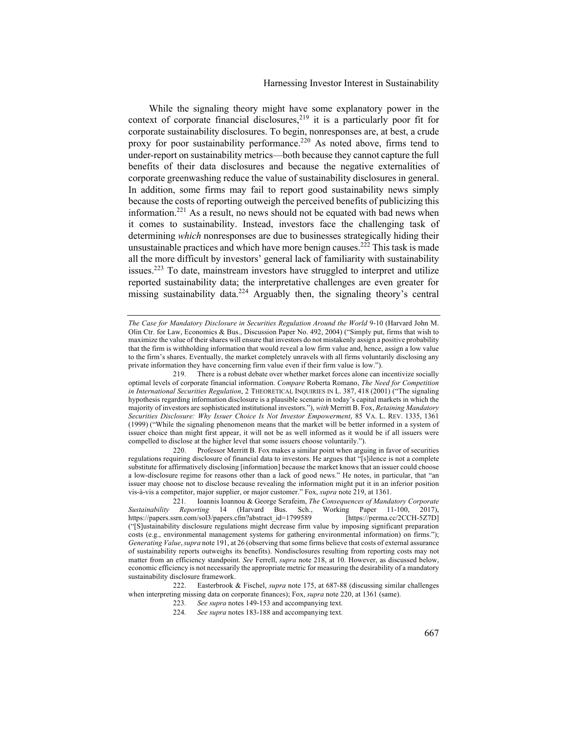# Harnessing Investor Interest in Sustainability

While the signaling theory might have some explanatory power in the context of corporate financial disclosures,<sup>219</sup> it is a particularly poor fit for corporate sustainability disclosures. To begin, nonresponses are, at best, a crude proxy for poor sustainability performance.<sup>220</sup> As noted above, firms tend to under-report on sustainability metrics—both because they cannot capture the full benefits of their data disclosures and because the negative externalities of corporate greenwashing reduce the value of sustainability disclosures in general. In addition, some firms may fail to report good sustainability news simply because the costs of reporting outweigh the perceived benefits of publicizing this information.221 As a result, no news should not be equated with bad news when it comes to sustainability. Instead, investors face the challenging task of determining *which* nonresponses are due to businesses strategically hiding their unsustainable practices and which have more benign causes.<sup>222</sup> This task is made all the more difficult by investors' general lack of familiarity with sustainability issues.<sup>223</sup> To date, mainstream investors have struggled to interpret and utilize reported sustainability data; the interpretative challenges are even greater for missing sustainability data.<sup>224</sup> Arguably then, the signaling theory's central

220. Professor Merritt B. Fox makes a similar point when arguing in favor of securities regulations requiring disclosure of financial data to investors. He argues that "[s]ilence is not a complete substitute for affirmatively disclosing [information] because the market knows that an issuer could choose a low-disclosure regime for reasons other than a lack of good news." He notes, in particular, that "an issuer may choose not to disclose because revealing the information might put it in an inferior position vis-à-vis a competitor, major supplier, or major customer." Fox, *supra* note 219, at 1361.

- 223*. See supra* notes 149-153 and accompanying text.
- 224*. See supra* notes 183-188 and accompanying text.

*The Case for Mandatory Disclosure in Securities Regulation Around the World* 9-10 (Harvard John M. Olin Ctr. for Law, Economics & Bus., Discussion Paper No. 492, 2004) ("Simply put, firms that wish to maximize the value of their shares will ensure that investors do not mistakenly assign a positive probability that the firm is withholding information that would reveal a low firm value and, hence, assign a low value to the firm's shares. Eventually, the market completely unravels with all firms voluntarily disclosing any private information they have concerning firm value even if their firm value is low.").

<sup>219.</sup> There is a robust debate over whether market forces alone can incentivize socially optimal levels of corporate financial information. *Compare* Roberta Romano, *The Need for Competition in International Securities Regulation, 2 THEORETICAL INQUIRIES IN L. 387, 418 (2001)* ("The signaling hypothesis regarding information disclosure is a plausible scenario in today's capital markets in which the majority of investors are sophisticated institutional investors."), *with* Merritt B. Fox, *Retaining Mandatory Securities Disclosure: Why Issuer Choice Is Not Investor Empowerment*, 85 VA. L. REV. 1335, 1361 (1999) ("While the signaling phenomenon means that the market will be better informed in a system of issuer choice than might first appear, it will not be as well informed as it would be if all issuers were compelled to disclose at the higher level that some issuers choose voluntarily.").

<sup>221</sup>*.* Ioannis Ioannou & George Serafeim, *The Consequences of Mandatory Corporate Sustainability Reporting* 14 (Harvard Bus. Sch., Working Paper 11-100, 2017), https://papers.ssrn.com/sol3/papers.cfm?abstract\_id=1799589 ("[S]ustainability disclosure regulations might decrease firm value by imposing significant preparation costs (e.g., environmental management systems for gathering environmental information) on firms."); *Generating Value*,*supra* note 191, at 26 (observing that some firms believe that costs of external assurance of sustainability reports outweighs its benefits). Nondisclosures resulting from reporting costs may not matter from an efficiency standpoint. *See* Ferrell, *supra* note 218, at 10. However, as discussed below, economic efficiency is not necessarily the appropriate metric for measuring the desirability of a mandatory sustainability disclosure framework.

<sup>222.</sup> Easterbrook & Fischel, *supra* note 175, at 687-88 (discussing similar challenges when interpreting missing data on corporate finances); Fox, *supra* note 220, at 1361 (same).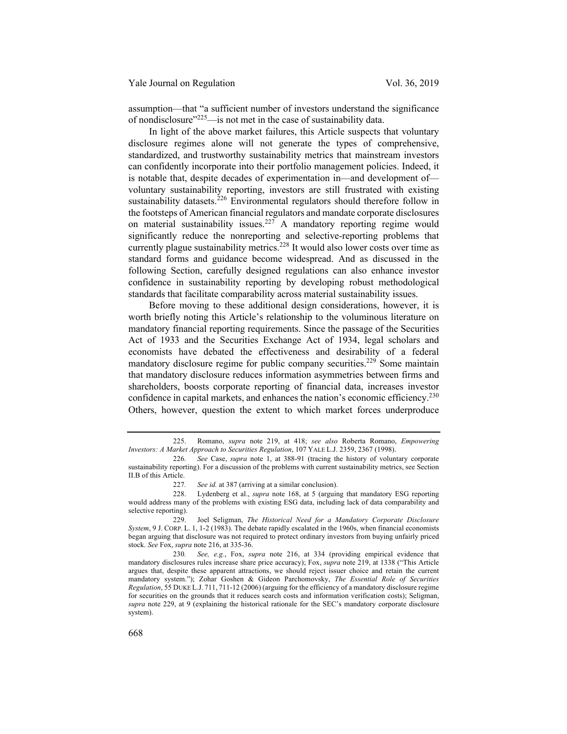assumption—that "a sufficient number of investors understand the significance of nondisclosure" $225$ —is not met in the case of sustainability data.

In light of the above market failures, this Article suspects that voluntary disclosure regimes alone will not generate the types of comprehensive, standardized, and trustworthy sustainability metrics that mainstream investors can confidently incorporate into their portfolio management policies. Indeed, it is notable that, despite decades of experimentation in—and development of voluntary sustainability reporting, investors are still frustrated with existing sustainability datasets.<sup>226</sup> Environmental regulators should therefore follow in the footsteps of American financial regulators and mandate corporate disclosures on material sustainability issues.<sup>227</sup> A mandatory reporting regime would significantly reduce the nonreporting and selective-reporting problems that currently plague sustainability metrics.<sup>228</sup> It would also lower costs over time as standard forms and guidance become widespread. And as discussed in the following Section, carefully designed regulations can also enhance investor confidence in sustainability reporting by developing robust methodological standards that facilitate comparability across material sustainability issues.

Before moving to these additional design considerations, however, it is worth briefly noting this Article's relationship to the voluminous literature on mandatory financial reporting requirements. Since the passage of the Securities Act of 1933 and the Securities Exchange Act of 1934, legal scholars and economists have debated the effectiveness and desirability of a federal mandatory disclosure regime for public company securities.<sup>229</sup> Some maintain that mandatory disclosure reduces information asymmetries between firms and shareholders, boosts corporate reporting of financial data, increases investor confidence in capital markets, and enhances the nation's economic efficiency.<sup>230</sup> Others, however, question the extent to which market forces underproduce

<sup>225.</sup> Romano, *supra* note 219, at 418; *see also* Roberta Romano, *Empowering Investors: A Market Approach to Securities Regulation*, 107 YALE L.J. 2359, 2367 (1998).

<sup>226</sup>*. See* Case, *supra* note 1, at 388-91 (tracing the history of voluntary corporate sustainability reporting). For a discussion of the problems with current sustainability metrics, see Section II.B of this Article.

<sup>227</sup>*. See id.* at 387 (arriving at a similar conclusion).

<sup>228.</sup> Lydenberg et al., *supra* note 168, at 5 (arguing that mandatory ESG reporting would address many of the problems with existing ESG data, including lack of data comparability and selective reporting).

<sup>229.</sup> Joel Seligman, *The Historical Need for a Mandatory Corporate Disclosure System*, 9 J. CORP. L. 1, 1-2 (1983). The debate rapidly escalated in the 1960s, when financial economists began arguing that disclosure was not required to protect ordinary investors from buying unfairly priced stock. *See* Fox, *supra* note 216, at 335-36.

<sup>230</sup>*. See, e.g.*, Fox, *supra* note 216, at 334 (providing empirical evidence that mandatory disclosures rules increase share price accuracy); Fox, *supra* note 219, at 1338 ("This Article argues that, despite these apparent attractions, we should reject issuer choice and retain the current mandatory system."); Zohar Goshen & Gideon Parchomovsky, *The Essential Role of Securities Regulation*, 55 DUKE L.J. 711, 711-12 (2006) (arguing for the efficiency of a mandatory disclosure regime for securities on the grounds that it reduces search costs and information verification costs); Seligman, *supra* note 229, at 9 (explaining the historical rationale for the SEC's mandatory corporate disclosure system).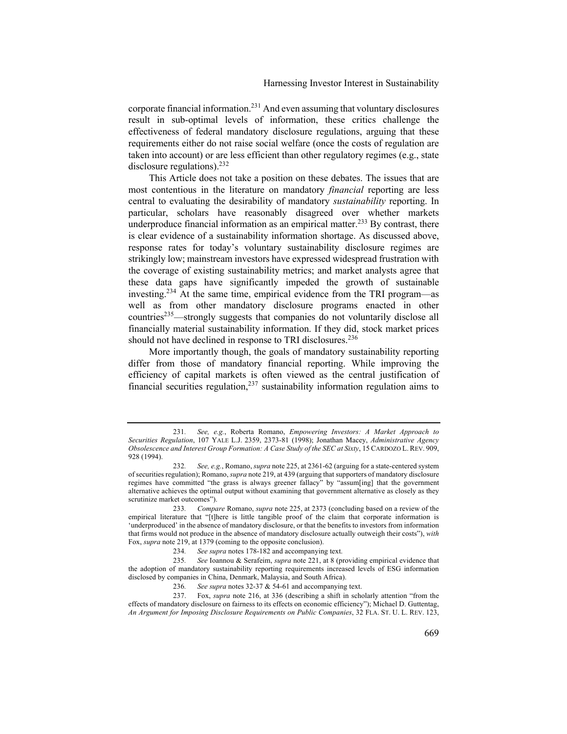corporate financial information.<sup>231</sup> And even assuming that voluntary disclosures result in sub-optimal levels of information, these critics challenge the effectiveness of federal mandatory disclosure regulations, arguing that these requirements either do not raise social welfare (once the costs of regulation are taken into account) or are less efficient than other regulatory regimes (e.g., state disclosure regulations). $^{232}$ 

This Article does not take a position on these debates. The issues that are most contentious in the literature on mandatory *financial* reporting are less central to evaluating the desirability of mandatory *sustainability* reporting. In particular, scholars have reasonably disagreed over whether markets underproduce financial information as an empirical matter.<sup>233</sup> By contrast, there is clear evidence of a sustainability information shortage. As discussed above, response rates for today's voluntary sustainability disclosure regimes are strikingly low; mainstream investors have expressed widespread frustration with the coverage of existing sustainability metrics; and market analysts agree that these data gaps have significantly impeded the growth of sustainable investing.<sup>234</sup> At the same time, empirical evidence from the TRI program—as well as from other mandatory disclosure programs enacted in other countries<sup>235</sup>—strongly suggests that companies do not voluntarily disclose all financially material sustainability information. If they did, stock market prices should not have declined in response to TRI disclosures.<sup>236</sup>

More importantly though, the goals of mandatory sustainability reporting differ from those of mandatory financial reporting. While improving the efficiency of capital markets is often viewed as the central justification of financial securities regulation,<sup>237</sup> sustainability information regulation aims to

<sup>231</sup>*. See, e.g.*, Roberta Romano, *Empowering Investors: A Market Approach to Securities Regulation*, 107 YALE L.J. 2359, 2373-81 (1998); Jonathan Macey, *Administrative Agency Obsolescence and Interest Group Formation: A Case Study of the SEC at Sixty*, 15 CARDOZO L. REV. 909, 928 (1994).

<sup>232</sup>*. See, e.g.*, Romano, *supra* note 225, at 2361-62 (arguing for a state-centered system of securities regulation); Romano, *supra* note 219, at 439 (arguing that supporters of mandatory disclosure regimes have committed "the grass is always greener fallacy" by "assum[ing] that the government alternative achieves the optimal output without examining that government alternative as closely as they scrutinize market outcomes").

<sup>233</sup>*. Compare* Romano, *supra* note 225, at 2373 (concluding based on a review of the empirical literature that "[t]here is little tangible proof of the claim that corporate information is 'underproduced' in the absence of mandatory disclosure, or that the benefits to investors from information that firms would not produce in the absence of mandatory disclosure actually outweigh their costs"), *with* Fox, *supra* note 219, at 1379 (coming to the opposite conclusion).

<sup>234</sup>*. See supra* notes 178-182 and accompanying text.

<sup>235</sup>*. See* Ioannou & Serafeim, *supra* note 221, at 8 (providing empirical evidence that the adoption of mandatory sustainability reporting requirements increased levels of ESG information disclosed by companies in China, Denmark, Malaysia, and South Africa).

<sup>236</sup>*. See supra* notes 32-37 & 54-61 and accompanying text.

<sup>237.</sup> Fox, *supra* note 216, at 336 (describing a shift in scholarly attention "from the effects of mandatory disclosure on fairness to its effects on economic efficiency"); Michael D. Guttentag, *An Argument for Imposing Disclosure Requirements on Public Companies*, 32 FLA. ST. U. L. REV. 123,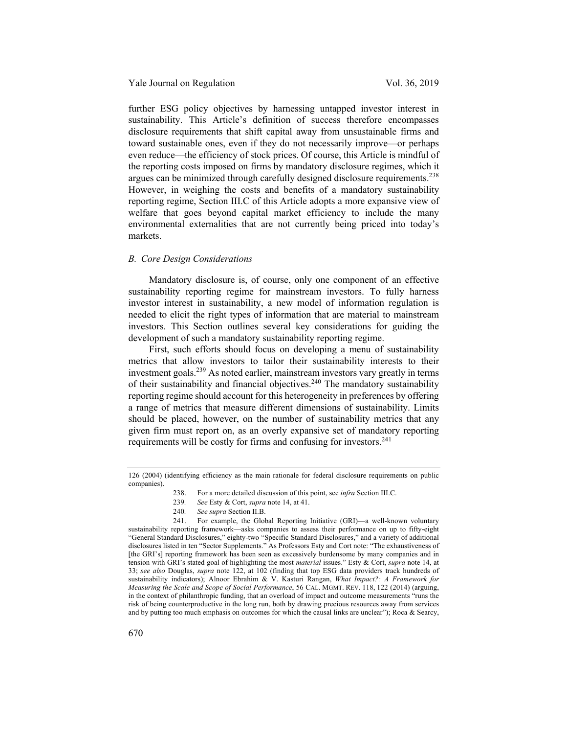further ESG policy objectives by harnessing untapped investor interest in sustainability. This Article's definition of success therefore encompasses disclosure requirements that shift capital away from unsustainable firms and toward sustainable ones, even if they do not necessarily improve—or perhaps even reduce—the efficiency of stock prices. Of course, this Article is mindful of the reporting costs imposed on firms by mandatory disclosure regimes, which it argues can be minimized through carefully designed disclosure requirements.<sup>238</sup> However, in weighing the costs and benefits of a mandatory sustainability reporting regime, Section III.C of this Article adopts a more expansive view of welfare that goes beyond capital market efficiency to include the many environmental externalities that are not currently being priced into today's markets.

# *B. Core Design Considerations*

Mandatory disclosure is, of course, only one component of an effective sustainability reporting regime for mainstream investors. To fully harness investor interest in sustainability, a new model of information regulation is needed to elicit the right types of information that are material to mainstream investors. This Section outlines several key considerations for guiding the development of such a mandatory sustainability reporting regime.

First, such efforts should focus on developing a menu of sustainability metrics that allow investors to tailor their sustainability interests to their investment goals.239 As noted earlier, mainstream investors vary greatly in terms of their sustainability and financial objectives.<sup>240</sup> The mandatory sustainability reporting regime should account for this heterogeneity in preferences by offering a range of metrics that measure different dimensions of sustainability. Limits should be placed, however, on the number of sustainability metrics that any given firm must report on, as an overly expansive set of mandatory reporting requirements will be costly for firms and confusing for investors.<sup>241</sup>

- 239*. See* Esty & Cort, *supra* note 14, at 41.
- 240*. See supra* Section II.B.

<sup>126 (2004) (</sup>identifying efficiency as the main rationale for federal disclosure requirements on public companies).

<sup>238.</sup> For a more detailed discussion of this point, see *infra* Section III.C.

<sup>241.</sup> For example, the Global Reporting Initiative (GRI)—a well-known voluntary sustainability reporting framework—asks companies to assess their performance on up to fifty-eight "General Standard Disclosures," eighty-two "Specific Standard Disclosures," and a variety of additional disclosures listed in ten "Sector Supplements." As Professors Esty and Cort note: "The exhaustiveness of [the GRI's] reporting framework has been seen as excessively burdensome by many companies and in tension with GRI's stated goal of highlighting the most *material* issues." Esty & Cort, *supra* note 14, at 33; *see also* Douglas, *supra* note 122, at 102 (finding that top ESG data providers track hundreds of sustainability indicators); Alnoor Ebrahim & V. Kasturi Rangan, *What Impact?: A Framework for Measuring the Scale and Scope of Social Performance*, 56 CAL. MGMT. REV. 118, 122 (2014) (arguing, in the context of philanthropic funding, that an overload of impact and outcome measurements "runs the risk of being counterproductive in the long run, both by drawing precious resources away from services and by putting too much emphasis on outcomes for which the causal links are unclear"); Roca & Searcy,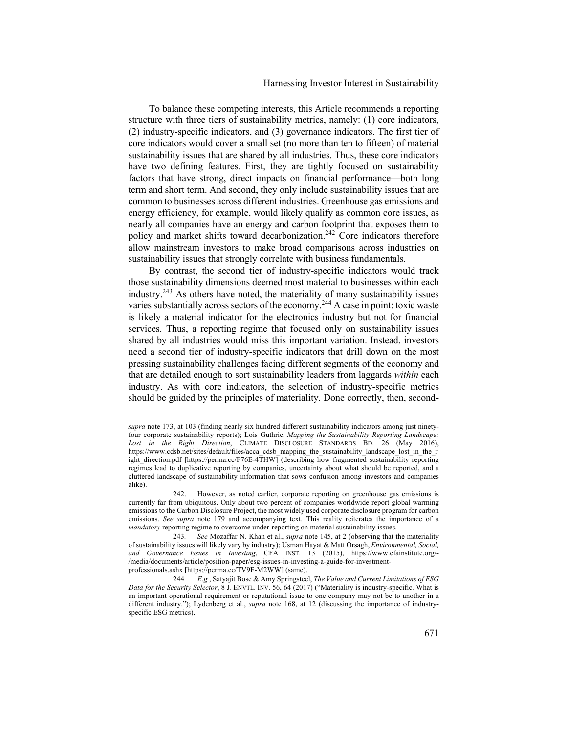#### Harnessing Investor Interest in Sustainability

To balance these competing interests, this Article recommends a reporting structure with three tiers of sustainability metrics, namely: (1) core indicators, (2) industry-specific indicators, and (3) governance indicators. The first tier of core indicators would cover a small set (no more than ten to fifteen) of material sustainability issues that are shared by all industries. Thus, these core indicators have two defining features. First, they are tightly focused on sustainability factors that have strong, direct impacts on financial performance—both long term and short term. And second, they only include sustainability issues that are common to businesses across different industries. Greenhouse gas emissions and energy efficiency, for example, would likely qualify as common core issues, as nearly all companies have an energy and carbon footprint that exposes them to policy and market shifts toward decarbonization.<sup>242</sup> Core indicators therefore allow mainstream investors to make broad comparisons across industries on sustainability issues that strongly correlate with business fundamentals.

By contrast, the second tier of industry-specific indicators would track those sustainability dimensions deemed most material to businesses within each industry.243 As others have noted, the materiality of many sustainability issues varies substantially across sectors of the economy.<sup>244</sup> A case in point: toxic waste is likely a material indicator for the electronics industry but not for financial services. Thus, a reporting regime that focused only on sustainability issues shared by all industries would miss this important variation. Instead, investors need a second tier of industry-specific indicators that drill down on the most pressing sustainability challenges facing different segments of the economy and that are detailed enough to sort sustainability leaders from laggards *within* each industry. As with core indicators, the selection of industry-specific metrics should be guided by the principles of materiality. Done correctly, then, second-

*supra* note 173, at 103 (finding nearly six hundred different sustainability indicators among just ninetyfour corporate sustainability reports); Lois Guthrie, *Mapping the Sustainability Reporting Landscape: Lost in the Right Direction*, CLIMATE DISCLOSURE STANDARDS BD. 26 (May 2016), https://www.cdsb.net/sites/default/files/acca\_cdsb\_mapping\_the\_sustainability\_landscape\_lost\_in\_the\_r ight\_direction.pdf [https://perma.cc/F76E-4THW] (describing how fragmented sustainability reporting regimes lead to duplicative reporting by companies, uncertainty about what should be reported, and a cluttered landscape of sustainability information that sows confusion among investors and companies alike).

<sup>242.</sup> However, as noted earlier, corporate reporting on greenhouse gas emissions is currently far from ubiquitous. Only about two percent of companies worldwide report global warming emissions to the Carbon Disclosure Project, the most widely used corporate disclosure program for carbon emissions. *See supra* note 179 and accompanying text. This reality reiterates the importance of a *mandatory* reporting regime to overcome under-reporting on material sustainability issues.

<sup>243</sup>*. See* Mozaffar N. Khan et al., *supra* note 145, at 2 (observing that the materiality of sustainability issues will likely vary by industry); Usman Hayat & Matt Orsagh, *Environmental, Social, and Governance Issues in Investing*, CFA INST. 13 (2015), https://www.cfainstitute.org/- /media/documents/article/position-paper/esg-issues-in-investing-a-guide-for-investmentprofessionals.ashx [https://perma.cc/TV9F-M2WW] (same).

<sup>244</sup>*. E.g.*, Satyajit Bose & Amy Springsteel, *The Value and Current Limitations of ESG Data for the Security Selector*, 8 J. ENVTL. INV. 56, 64 (2017) ("Materiality is industry-specific. What is an important operational requirement or reputational issue to one company may not be to another in a different industry."); Lydenberg et al., *supra* note 168, at 12 (discussing the importance of industryspecific ESG metrics).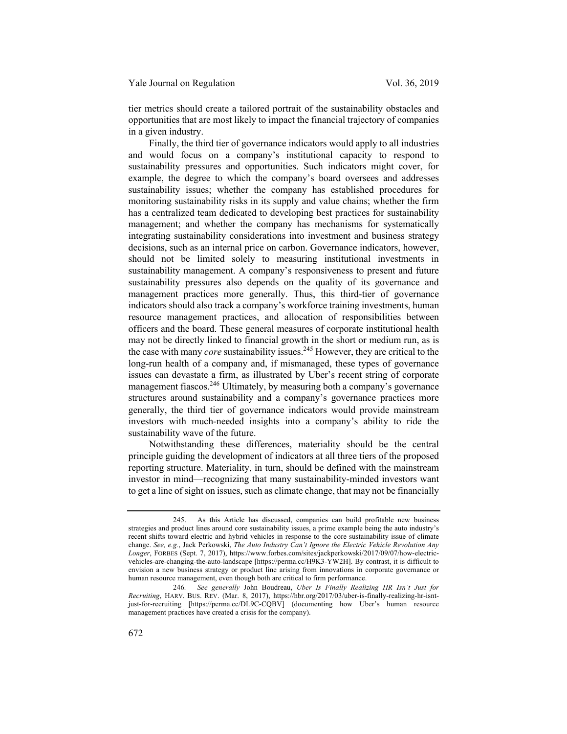tier metrics should create a tailored portrait of the sustainability obstacles and opportunities that are most likely to impact the financial trajectory of companies in a given industry.

Finally, the third tier of governance indicators would apply to all industries and would focus on a company's institutional capacity to respond to sustainability pressures and opportunities. Such indicators might cover, for example, the degree to which the company's board oversees and addresses sustainability issues; whether the company has established procedures for monitoring sustainability risks in its supply and value chains; whether the firm has a centralized team dedicated to developing best practices for sustainability management; and whether the company has mechanisms for systematically integrating sustainability considerations into investment and business strategy decisions, such as an internal price on carbon. Governance indicators, however, should not be limited solely to measuring institutional investments in sustainability management. A company's responsiveness to present and future sustainability pressures also depends on the quality of its governance and management practices more generally. Thus, this third-tier of governance indicators should also track a company's workforce training investments, human resource management practices, and allocation of responsibilities between officers and the board. These general measures of corporate institutional health may not be directly linked to financial growth in the short or medium run, as is the case with many *core* sustainability issues.245 However, they are critical to the long-run health of a company and, if mismanaged, these types of governance issues can devastate a firm, as illustrated by Uber's recent string of corporate management fiascos.<sup>246</sup> Ultimately, by measuring both a company's governance structures around sustainability and a company's governance practices more generally, the third tier of governance indicators would provide mainstream investors with much-needed insights into a company's ability to ride the sustainability wave of the future.

Notwithstanding these differences, materiality should be the central principle guiding the development of indicators at all three tiers of the proposed reporting structure. Materiality, in turn, should be defined with the mainstream investor in mind—recognizing that many sustainability-minded investors want to get a line of sight on issues, such as climate change, that may not be financially

<sup>245.</sup> As this Article has discussed, companies can build profitable new business strategies and product lines around core sustainability issues, a prime example being the auto industry's recent shifts toward electric and hybrid vehicles in response to the core sustainability issue of climate change. *See, e.g.*, Jack Perkowski, *The Auto Industry Can't Ignore the Electric Vehicle Revolution Any Longer*, FORBES (Sept. 7, 2017), https://www.forbes.com/sites/jackperkowski/2017/09/07/how-electricvehicles-are-changing-the-auto-landscape [https://perma.cc/H9K3-YW2H]. By contrast, it is difficult to envision a new business strategy or product line arising from innovations in corporate governance or human resource management, even though both are critical to firm performance.

<sup>246</sup>*. See generally* John Boudreau, *Uber Is Finally Realizing HR Isn't Just for Recruiting*, HARV. BUS. REV. (Mar. 8, 2017), https://hbr.org/2017/03/uber-is-finally-realizing-hr-isntjust-for-recruiting [https://perma.cc/DL9C-CQBV] (documenting how Uber's human resource management practices have created a crisis for the company).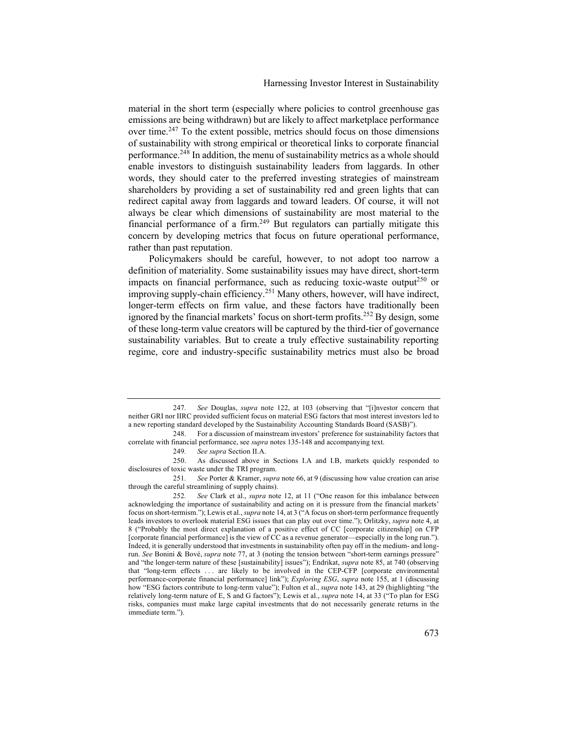material in the short term (especially where policies to control greenhouse gas emissions are being withdrawn) but are likely to affect marketplace performance over time.<sup>247</sup> To the extent possible, metrics should focus on those dimensions of sustainability with strong empirical or theoretical links to corporate financial performance.<sup>248</sup> In addition, the menu of sustainability metrics as a whole should enable investors to distinguish sustainability leaders from laggards. In other words, they should cater to the preferred investing strategies of mainstream shareholders by providing a set of sustainability red and green lights that can redirect capital away from laggards and toward leaders. Of course, it will not always be clear which dimensions of sustainability are most material to the financial performance of a firm.<sup>249</sup> But regulators can partially mitigate this concern by developing metrics that focus on future operational performance, rather than past reputation.

Policymakers should be careful, however, to not adopt too narrow a definition of materiality. Some sustainability issues may have direct, short-term impacts on financial performance, such as reducing toxic-waste output<sup>250</sup> or improving supply-chain efficiency.<sup>251</sup> Many others, however, will have indirect, longer-term effects on firm value, and these factors have traditionally been ignored by the financial markets' focus on short-term profits.<sup>252</sup> By design, some of these long-term value creators will be captured by the third-tier of governance sustainability variables. But to create a truly effective sustainability reporting regime, core and industry-specific sustainability metrics must also be broad

<sup>247</sup>*. See* Douglas, *supra* note 122, at 103 (observing that "[i]nvestor concern that neither GRI nor IIRC provided sufficient focus on material ESG factors that most interest investors led to a new reporting standard developed by the Sustainability Accounting Standards Board (SASB)").

<sup>248.</sup> For a discussion of mainstream investors' preference for sustainability factors that correlate with financial performance, see *supra* notes 135-148 and accompanying text.

<sup>249</sup>*. See supra* Section II.A.

<sup>250.</sup> As discussed above in Sections I.A and I.B, markets quickly responded to disclosures of toxic waste under the TRI program.

<sup>251</sup>*. See* Porter & Kramer, *supra* note 66, at 9 (discussing how value creation can arise through the careful streamlining of supply chains).

<sup>252</sup>*. See* Clark et al., *supra* note 12, at 11 ("One reason for this imbalance between acknowledging the importance of sustainability and acting on it is pressure from the financial markets' focus on short-termism."); Lewis et al.,*supra* note 14, at 3 ("A focus on short-term performance frequently leads investors to overlook material ESG issues that can play out over time."); Orlitzky, *supra* note 4, at 8 ("Probably the most direct explanation of a positive effect of CC [corporate citizenship] on CFP [corporate financial performance] is the view of CC as a revenue generator—especially in the long run."). Indeed, it is generally understood that investments in sustainability often pay off in the medium- and longrun. *See* Bonini & Bové, *supra* note 77, at 3 (noting the tension between "short-term earnings pressure" and "the longer-term nature of these [sustainability] issues"); Endrikat, *supra* note 85, at 740 (observing that "long-term effects . . . are likely to be involved in the CEP-CFP [corporate environmental performance-corporate financial performance] link"); *Exploring ESG*, *supra* note 155, at 1 (discussing how "ESG factors contribute to long-term value"); Fulton et al., *supra* note 143, at 29 (highlighting "the relatively long-term nature of E, S and G factors"); Lewis et al., *supra* note 14, at 33 ("To plan for ESG risks, companies must make large capital investments that do not necessarily generate returns in the immediate term.").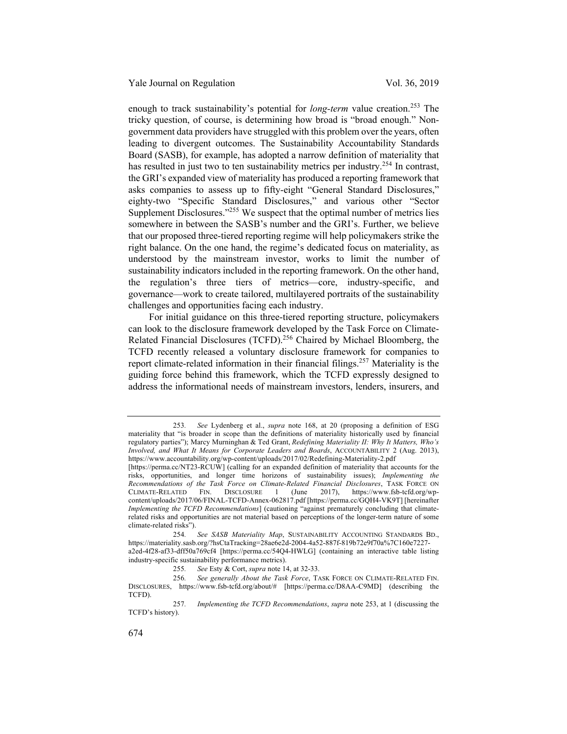enough to track sustainability's potential for *long-term* value creation.<sup>253</sup> The tricky question, of course, is determining how broad is "broad enough." Nongovernment data providers have struggled with this problem over the years, often leading to divergent outcomes. The Sustainability Accountability Standards Board (SASB), for example, has adopted a narrow definition of materiality that has resulted in just two to ten sustainability metrics per industry.<sup>254</sup> In contrast, the GRI's expanded view of materiality has produced a reporting framework that asks companies to assess up to fifty-eight "General Standard Disclosures," eighty-two "Specific Standard Disclosures," and various other "Sector Supplement Disclosures."<sup>255</sup> We suspect that the optimal number of metrics lies somewhere in between the SASB's number and the GRI's. Further, we believe that our proposed three-tiered reporting regime will help policymakers strike the right balance. On the one hand, the regime's dedicated focus on materiality, as understood by the mainstream investor, works to limit the number of sustainability indicators included in the reporting framework. On the other hand, the regulation's three tiers of metrics—core, industry-specific, and governance—work to create tailored, multilayered portraits of the sustainability challenges and opportunities facing each industry.

For initial guidance on this three-tiered reporting structure, policymakers can look to the disclosure framework developed by the Task Force on Climate-Related Financial Disclosures (TCFD).<sup>256</sup> Chaired by Michael Bloomberg, the TCFD recently released a voluntary disclosure framework for companies to report climate-related information in their financial filings.<sup>257</sup> Materiality is the guiding force behind this framework, which the TCFD expressly designed to address the informational needs of mainstream investors, lenders, insurers, and

<sup>253</sup>*. See* Lydenberg et al., *supra* note 168, at 20 (proposing a definition of ESG materiality that "is broader in scope than the definitions of materiality historically used by financial regulatory parties"); Marcy Murninghan & Ted Grant, *Redefining Materiality II: Why It Matters, Who's Involved, and What It Means for Corporate Leaders and Boards*, ACCOUNTABILITY 2 (Aug. 2013), https://www.accountability.org/wp-content/uploads/2017/02/Redefining-Materiality-2.pdf

<sup>[</sup>https://perma.cc/NT23-RCUW] (calling for an expanded definition of materiality that accounts for the risks, opportunities, and longer time horizons of sustainability issues); *Implementing the Recommendations of the Task Force on Climate-Related Financial Disclosures*, TASK FORCE ON CLIMATE-RELATED FIN. DISCLOSURE 1 (June 2017), https://www.fsb-tcfd.org/wp-CLIMATE-RELATED FIN. DISCLOSURE 1 (June 2017), https://www.fsb-tcfd.org/wpcontent/uploads/2017/06/FINAL-TCFD-Annex-062817.pdf [https://perma.cc/GQH4-VK9T] [hereinafter *Implementing the TCFD Recommendations*] (cautioning "against prematurely concluding that climaterelated risks and opportunities are not material based on perceptions of the longer-term nature of some climate-related risks").

<sup>254</sup>*. See SASB Materiality Map*, SUSTAINABILITY ACCOUNTING STANDARDS BD., https://materiality.sasb.org/?hsCtaTracking=28ae6e2d-2004-4a52-887f-819b72e9f70a%7C160e7227 a2ed-4f28-af33-dff50a769cf4 [https://perma.cc/54Q4-HWLG] (containing an interactive table listing industry-specific sustainability performance metrics).

<sup>255</sup>*. See* Esty & Cort, *supra* note 14, at 32-33.

<sup>256</sup>*. See generally About the Task Force*, TASK FORCE ON CLIMATE-RELATED FIN. DISCLOSURES, https://www.fsb-tcfd.org/about/# [https://perma.cc/D8AA-C9MD] (describing the TCFD).

<sup>257</sup>*. Implementing the TCFD Recommendations*, *supra* note 253, at 1 (discussing the TCFD's history).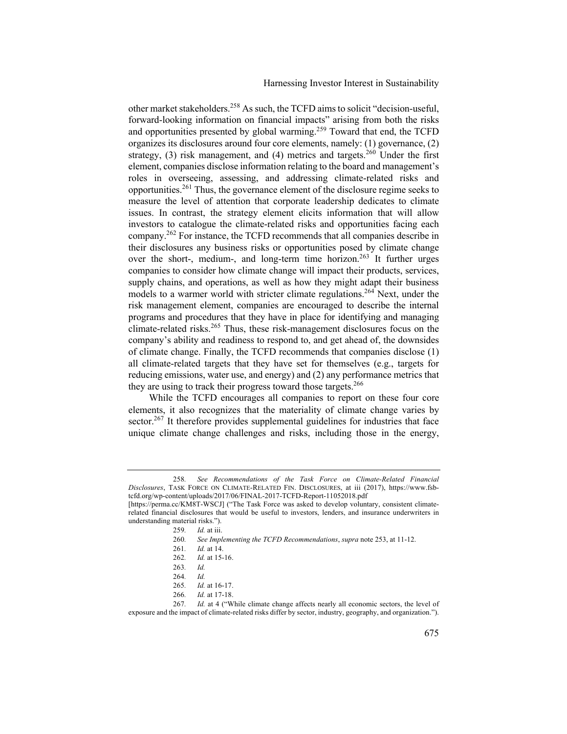Harnessing Investor Interest in Sustainability

other market stakeholders.<sup>258</sup> As such, the TCFD aims to solicit "decision-useful, forward-looking information on financial impacts" arising from both the risks and opportunities presented by global warming.<sup>259</sup> Toward that end, the TCFD organizes its disclosures around four core elements, namely: (1) governance, (2) strategy,  $(3)$  risk management, and  $(4)$  metrics and targets.<sup>260</sup> Under the first element, companies disclose information relating to the board and management's roles in overseeing, assessing, and addressing climate-related risks and opportunities.<sup>261</sup> Thus, the governance element of the disclosure regime seeks to measure the level of attention that corporate leadership dedicates to climate issues. In contrast, the strategy element elicits information that will allow investors to catalogue the climate-related risks and opportunities facing each company.262 For instance, the TCFD recommends that all companies describe in their disclosures any business risks or opportunities posed by climate change over the short-, medium-, and long-term time horizon.<sup>263</sup> It further urges companies to consider how climate change will impact their products, services, supply chains, and operations, as well as how they might adapt their business models to a warmer world with stricter climate regulations.<sup>264</sup> Next, under the risk management element, companies are encouraged to describe the internal programs and procedures that they have in place for identifying and managing climate-related risks.<sup>265</sup> Thus, these risk-management disclosures focus on the company's ability and readiness to respond to, and get ahead of, the downsides of climate change. Finally, the TCFD recommends that companies disclose (1) all climate-related targets that they have set for themselves (e.g., targets for reducing emissions, water use, and energy) and (2) any performance metrics that they are using to track their progress toward those targets.<sup>266</sup>

While the TCFD encourages all companies to report on these four core elements, it also recognizes that the materiality of climate change varies by sector.<sup>267</sup> It therefore provides supplemental guidelines for industries that face unique climate change challenges and risks, including those in the energy,

<sup>258</sup>*. See Recommendations of the Task Force on Climate-Related Financial Disclosures*, TASK FORCE ON CLIMATE-RELATED FIN. DISCLOSURES, at iii (2017), https://www.fsbtcfd.org/wp-content/uploads/2017/06/FINAL-2017-TCFD-Report-11052018.pdf

<sup>[</sup>https://perma.cc/KM8T-WSCJ] ("The Task Force was asked to develop voluntary, consistent climaterelated financial disclosures that would be useful to investors, lenders, and insurance underwriters in understanding material risks.").

<sup>259</sup>*. Id.* at iii.

<sup>260</sup>*. See Implementing the TCFD Recommendations*, *supra* note 253, at 11-12.

<sup>261</sup>*. Id.* at 14.

<sup>262</sup>*. Id.* at 15-16.

<sup>263</sup>*. Id.*

<sup>264</sup>*. Id.*

<sup>265</sup>*. Id.* at 16-17.

<sup>266</sup>*. Id.* at 17-18.

<sup>267.</sup> *Id.* at 4 ("While climate change affects nearly all economic sectors, the level of exposure and the impact of climate-related risks differ by sector, industry, geography, and organization.").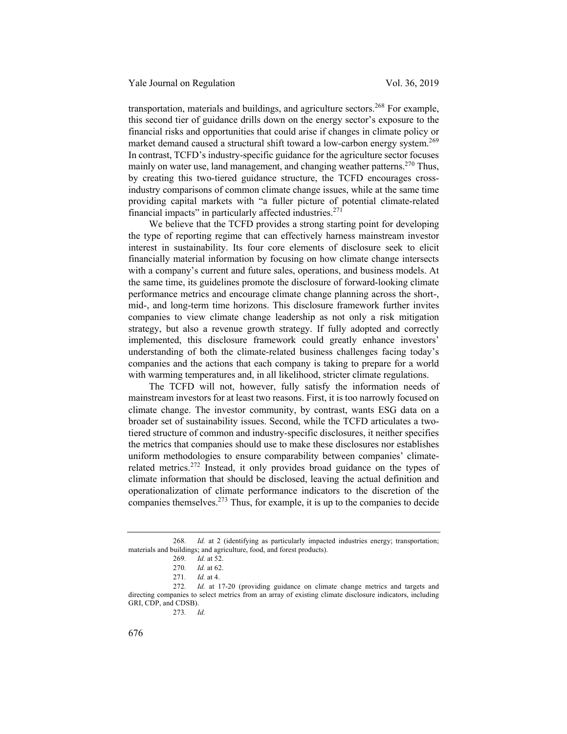transportation, materials and buildings, and agriculture sectors.<sup>268</sup> For example, this second tier of guidance drills down on the energy sector's exposure to the financial risks and opportunities that could arise if changes in climate policy or market demand caused a structural shift toward a low-carbon energy system.<sup>269</sup> In contrast, TCFD's industry-specific guidance for the agriculture sector focuses mainly on water use, land management, and changing weather patterns.<sup>270</sup> Thus, by creating this two-tiered guidance structure, the TCFD encourages crossindustry comparisons of common climate change issues, while at the same time providing capital markets with "a fuller picture of potential climate-related financial impacts" in particularly affected industries.<sup>271</sup>

We believe that the TCFD provides a strong starting point for developing the type of reporting regime that can effectively harness mainstream investor interest in sustainability. Its four core elements of disclosure seek to elicit financially material information by focusing on how climate change intersects with a company's current and future sales, operations, and business models. At the same time, its guidelines promote the disclosure of forward-looking climate performance metrics and encourage climate change planning across the short-, mid-, and long-term time horizons. This disclosure framework further invites companies to view climate change leadership as not only a risk mitigation strategy, but also a revenue growth strategy. If fully adopted and correctly implemented, this disclosure framework could greatly enhance investors' understanding of both the climate-related business challenges facing today's companies and the actions that each company is taking to prepare for a world with warming temperatures and, in all likelihood, stricter climate regulations.

The TCFD will not, however, fully satisfy the information needs of mainstream investors for at least two reasons. First, it is too narrowly focused on climate change. The investor community, by contrast, wants ESG data on a broader set of sustainability issues. Second, while the TCFD articulates a twotiered structure of common and industry-specific disclosures, it neither specifies the metrics that companies should use to make these disclosures nor establishes uniform methodologies to ensure comparability between companies' climaterelated metrics.<sup>272</sup> Instead, it only provides broad guidance on the types of climate information that should be disclosed, leaving the actual definition and operationalization of climate performance indicators to the discretion of the companies themselves.<sup>273</sup> Thus, for example, it is up to the companies to decide

<sup>268.</sup> *Id.* at 2 (identifying as particularly impacted industries energy; transportation; materials and buildings; and agriculture, food, and forest products).

<sup>269</sup>*. Id.* at 52.

<sup>270</sup>*. Id.* at 62.

<sup>271</sup>*. Id.* at 4.

<sup>272</sup>*. Id.* at 17-20 (providing guidance on climate change metrics and targets and directing companies to select metrics from an array of existing climate disclosure indicators, including GRI, CDP, and CDSB).

<sup>273</sup>*. Id.*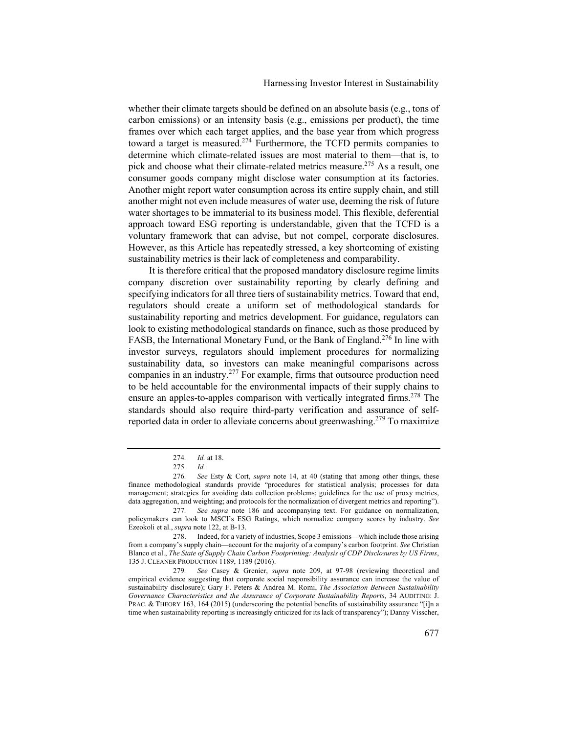whether their climate targets should be defined on an absolute basis (e.g., tons of carbon emissions) or an intensity basis (e.g., emissions per product), the time frames over which each target applies, and the base year from which progress toward a target is measured.<sup>274</sup> Furthermore, the TCFD permits companies to determine which climate-related issues are most material to them—that is, to pick and choose what their climate-related metrics measure.<sup>275</sup> As a result, one consumer goods company might disclose water consumption at its factories. Another might report water consumption across its entire supply chain, and still another might not even include measures of water use, deeming the risk of future water shortages to be immaterial to its business model. This flexible, deferential approach toward ESG reporting is understandable, given that the TCFD is a voluntary framework that can advise, but not compel, corporate disclosures. However, as this Article has repeatedly stressed, a key shortcoming of existing sustainability metrics is their lack of completeness and comparability.

It is therefore critical that the proposed mandatory disclosure regime limits company discretion over sustainability reporting by clearly defining and specifying indicators for all three tiers of sustainability metrics. Toward that end, regulators should create a uniform set of methodological standards for sustainability reporting and metrics development. For guidance, regulators can look to existing methodological standards on finance, such as those produced by FASB, the International Monetary Fund, or the Bank of England.<sup>276</sup> In line with investor surveys, regulators should implement procedures for normalizing sustainability data, so investors can make meaningful comparisons across companies in an industry.<sup>277</sup> For example, firms that outsource production need to be held accountable for the environmental impacts of their supply chains to ensure an apples-to-apples comparison with vertically integrated firms.<sup>278</sup> The standards should also require third-party verification and assurance of selfreported data in order to alleviate concerns about greenwashing.<sup>279</sup> To maximize

<sup>274</sup>*. Id.* at 18.

<sup>275</sup>*. Id.*

<sup>276</sup>*. See* Esty & Cort, *supra* note 14, at 40 (stating that among other things, these finance methodological standards provide "procedures for statistical analysis; processes for data management; strategies for avoiding data collection problems; guidelines for the use of proxy metrics, data aggregation, and weighting; and protocols for the normalization of divergent metrics and reporting").

<sup>277</sup>*. See supra* note 186 and accompanying text. For guidance on normalization, policymakers can look to MSCI's ESG Ratings, which normalize company scores by industry. *See*  Ezeokoli et al., *supra* note 122, at B-13.

<sup>278.</sup> Indeed, for a variety of industries, Scope 3 emissions—which include those arising from a company's supply chain—account for the majority of a company's carbon footprint. *See* Christian Blanco et al., *The State of Supply Chain Carbon Footprinting: Analysis of CDP Disclosures by US Firms*, 135 J. CLEANER PRODUCTION 1189, 1189 (2016).

<sup>279</sup>*. See* Casey & Grenier, *supra* note 209, at 97-98 (reviewing theoretical and empirical evidence suggesting that corporate social responsibility assurance can increase the value of sustainability disclosure); Gary F. Peters & Andrea M. Romi, *The Association Between Sustainability Governance Characteristics and the Assurance of Corporate Sustainability Reports*, 34 AUDITING: J. PRAC. & THEORY 163, 164 (2015) (underscoring the potential benefits of sustainability assurance "[i]n a time when sustainability reporting is increasingly criticized for its lack of transparency"); Danny Visscher,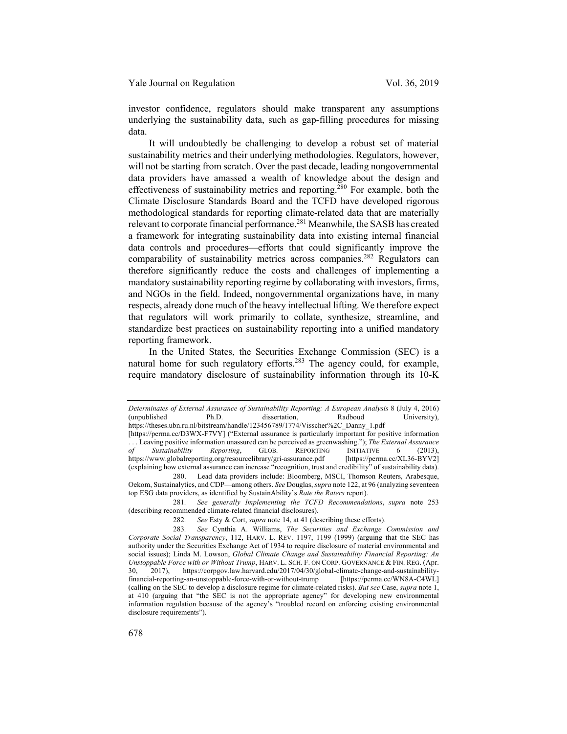investor confidence, regulators should make transparent any assumptions underlying the sustainability data, such as gap-filling procedures for missing data.

It will undoubtedly be challenging to develop a robust set of material sustainability metrics and their underlying methodologies. Regulators, however, will not be starting from scratch. Over the past decade, leading nongovernmental data providers have amassed a wealth of knowledge about the design and effectiveness of sustainability metrics and reporting.<sup>280</sup> For example, both the Climate Disclosure Standards Board and the TCFD have developed rigorous methodological standards for reporting climate-related data that are materially relevant to corporate financial performance.<sup>281</sup> Meanwhile, the SASB has created a framework for integrating sustainability data into existing internal financial data controls and procedures—efforts that could significantly improve the comparability of sustainability metrics across companies.<sup>282</sup> Regulators can therefore significantly reduce the costs and challenges of implementing a mandatory sustainability reporting regime by collaborating with investors, firms, and NGOs in the field. Indeed, nongovernmental organizations have, in many respects, already done much of the heavy intellectual lifting. We therefore expect that regulators will work primarily to collate, synthesize, streamline, and standardize best practices on sustainability reporting into a unified mandatory reporting framework.

In the United States, the Securities Exchange Commission (SEC) is a natural home for such regulatory efforts.<sup>283</sup> The agency could, for example, require mandatory disclosure of sustainability information through its 10-K

281*. See generally Implementing the TCFD Recommendations*, *supra* note 253 (describing recommended climate-related financial disclosures).

*Determinates of External Assurance of Sustainability Reporting: A European Analysis* 8 (July 4, 2016) (unpublished Ph.D. dissertation, Radboud University), https://theses.ubn.ru.nl/bitstream/handle/123456789/1774/Visscher%2C\_Danny\_1.pdf

<sup>[</sup>https://perma.cc/D3WX-F7VY] ("External assurance is particularly important for positive information . . . Leaving positive information unassured can be perceived as greenwashing."); *The External Assurance of Sustainability Reporting*, GLOB. REPORTING INITIATIVE 6 (2013), https://www.globalreporting.org/resourcelibrary/gri-assurance.pdf [https://perma.cc/XL36-BYV2] https://www.globalreporting.org/resourcelibrary/gri-assurance.pdf (explaining how external assurance can increase "recognition, trust and credibility" of sustainability data).

<sup>280.</sup> Lead data providers include: Bloomberg, MSCI, Thomson Reuters, Arabesque, Oekom, Sustainalytics, and CDP—among others. *See* Douglas, *supra* note 122, at 96 (analyzing seventeen top ESG data providers, as identified by SustainAbility's *Rate the Raters* report).

<sup>282</sup>*. See* Esty & Cort, *supra* note 14, at 41 (describing these efforts).

<sup>283</sup>*. See* Cynthia A. Williams, *The Securities and Exchange Commission and Corporate Social Transparency*, 112, HARV. L. REV. 1197, 1199 (1999) (arguing that the SEC has authority under the Securities Exchange Act of 1934 to require disclosure of material environmental and social issues); Linda M. Lowson, *Global Climate Change and Sustainability Financial Reporting: An Unstoppable Force with or Without Trump*, HARV. L. SCH. F. ON CORP. GOVERNANCE & FIN. REG. (Apr. 30, 2017), https://corpgov.law.harvard.edu/2017/04/30/global-climate-change-and-sustainabilityfinancial-reporting-an-unstoppable-force-with-or-without-trump (calling on the SEC to develop a disclosure regime for climate-related risks). *But see* Case, *supra* note 1, at 410 (arguing that "the SEC is not the appropriate agency" for developing new environmental information regulation because of the agency's "troubled record on enforcing existing environmental disclosure requirements").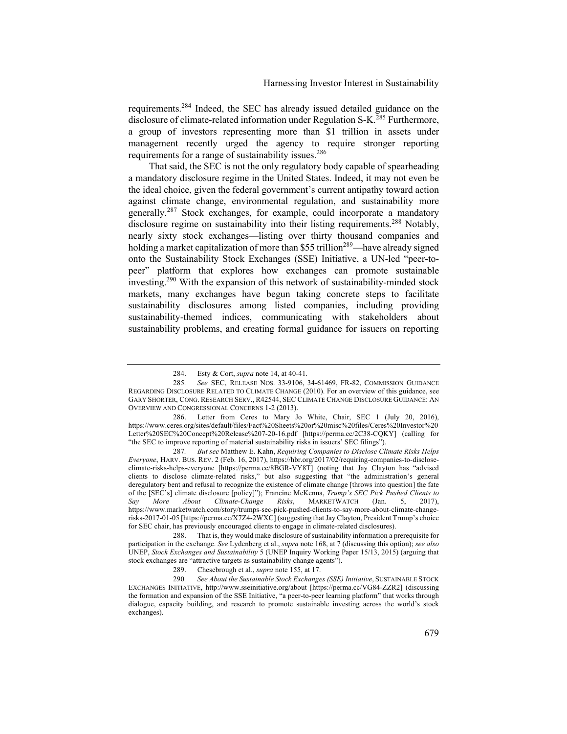requirements.284 Indeed, the SEC has already issued detailed guidance on the disclosure of climate-related information under Regulation S-K.<sup>285</sup> Furthermore, a group of investors representing more than \$1 trillion in assets under management recently urged the agency to require stronger reporting requirements for a range of sustainability issues.<sup>286</sup>

That said, the SEC is not the only regulatory body capable of spearheading a mandatory disclosure regime in the United States. Indeed, it may not even be the ideal choice, given the federal government's current antipathy toward action against climate change, environmental regulation, and sustainability more generally.<sup>287</sup> Stock exchanges, for example, could incorporate a mandatory disclosure regime on sustainability into their listing requirements.<sup>288</sup> Notably, nearly sixty stock exchanges—listing over thirty thousand companies and holding a market capitalization of more than \$55 trillion<sup>289</sup>—have already signed onto the Sustainability Stock Exchanges (SSE) Initiative, a UN-led "peer-topeer" platform that explores how exchanges can promote sustainable investing.<sup>290</sup> With the expansion of this network of sustainability-minded stock markets, many exchanges have begun taking concrete steps to facilitate sustainability disclosures among listed companies, including providing sustainability-themed indices, communicating with stakeholders about sustainability problems, and creating formal guidance for issuers on reporting

287*. But see* Matthew E. Kahn, *Requiring Companies to Disclose Climate Risks Helps Everyone*, HARV. BUS. REV. 2 (Feb. 16, 2017), https://hbr.org/2017/02/requiring-companies-to-discloseclimate-risks-helps-everyone [https://perma.cc/8BGR-VY8T] (noting that Jay Clayton has "advised clients to disclose climate-related risks," but also suggesting that "the administration's general deregulatory bent and refusal to recognize the existence of climate change [throws into question] the fate of the [SEC's] climate disclosure [policy]"); Francine McKenna, *Trump's SEC Pick Pushed Clients to Say More About Climate-Change Risks*, MARKETWATCH (Jan. 5, 2017), https://www.marketwatch.com/story/trumps-sec-pick-pushed-clients-to-say-more-about-climate-changerisks-2017-01-05 [https://perma.cc/X7Z4-2WXC] (suggesting that Jay Clayton, President Trump's choice for SEC chair, has previously encouraged clients to engage in climate-related disclosures).

<sup>284.</sup> Esty & Cort, *supra* note 14, at 40-41.

<sup>285</sup>*. See* SEC, RELEASE NOS. 33-9106, 34-61469, FR-82, COMMISSION GUIDANCE REGARDING DISCLOSURE RELATED TO CLIMATE CHANGE (2010). For an overview of this guidance, see GARY SHORTER, CONG. RESEARCH SERV., R42544, SEC CLIMATE CHANGE DISCLOSURE GUIDANCE: AN OVERVIEW AND CONGRESSIONAL CONCERNS 1-2 (2013).

<sup>286.</sup> Letter from Ceres to Mary Jo White, Chair, SEC 1 (July 20, 2016), https://www.ceres.org/sites/default/files/Fact%20Sheets%20or%20misc%20files/Ceres%20Investor%20 Letter%20SEC%20Concept%20Release%207-20-16.pdf [https://perma.cc/2C38-CQKY] (calling for "the SEC to improve reporting of material sustainability risks in issuers' SEC filings").

<sup>288.</sup> That is, they would make disclosure of sustainability information a prerequisite for participation in the exchange. *See* Lydenberg et al., *supra* note 168, at 7 (discussing this option); *see also* UNEP, *Stock Exchanges and Sustainability* 5 (UNEP Inquiry Working Paper 15/13, 2015) (arguing that stock exchanges are "attractive targets as sustainability change agents").

<sup>289.</sup> Chesebrough et al., *supra* note 155, at 17.

<sup>290</sup>*. See About the Sustainable Stock Exchanges (SSE) Initiative*, SUSTAINABLE STOCK EXCHANGES INITIATIVE, http://www.sseinitiative.org/about [https://perma.cc/VG84-ZZR2] (discussing the formation and expansion of the SSE Initiative, "a peer-to-peer learning platform" that works through dialogue, capacity building, and research to promote sustainable investing across the world's stock exchanges).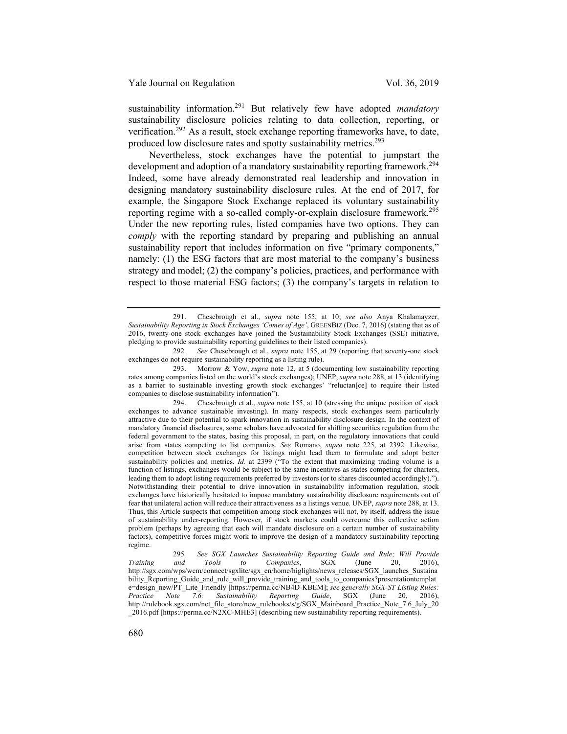sustainability information.<sup>291</sup> But relatively few have adopted *mandatory* sustainability disclosure policies relating to data collection, reporting, or verification.<sup>292</sup> As a result, stock exchange reporting frameworks have, to date, produced low disclosure rates and spotty sustainability metrics.<sup>293</sup>

Nevertheless, stock exchanges have the potential to jumpstart the development and adoption of a mandatory sustainability reporting framework.<sup>294</sup> Indeed, some have already demonstrated real leadership and innovation in designing mandatory sustainability disclosure rules. At the end of 2017, for example, the Singapore Stock Exchange replaced its voluntary sustainability reporting regime with a so-called comply-or-explain disclosure framework.<sup>295</sup> Under the new reporting rules, listed companies have two options. They can *comply* with the reporting standard by preparing and publishing an annual sustainability report that includes information on five "primary components," namely: (1) the ESG factors that are most material to the company's business strategy and model; (2) the company's policies, practices, and performance with respect to those material ESG factors; (3) the company's targets in relation to

<sup>291.</sup> Chesebrough et al., *supra* note 155, at 10; *see also* Anya Khalamayzer, *Sustainability Reporting in Stock Exchanges 'Comes of Age'*, GREENBIZ (Dec. 7, 2016) (stating that as of 2016, twenty-one stock exchanges have joined the Sustainability Stock Exchanges (SSE) initiative, pledging to provide sustainability reporting guidelines to their listed companies).

<sup>292</sup>*. See* Chesebrough et al., *supra* note 155, at 29 (reporting that seventy-one stock exchanges do not require sustainability reporting as a listing rule).

<sup>293.</sup> Morrow & Yow, *supra* note 12, at 5 (documenting low sustainability reporting rates among companies listed on the world's stock exchanges); UNEP, *supra* note 288, at 13 (identifying as a barrier to sustainable investing growth stock exchanges' "reluctan[ce] to require their listed companies to disclose sustainability information").

<sup>294.</sup> Chesebrough et al., *supra* note 155, at 10 (stressing the unique position of stock exchanges to advance sustainable investing). In many respects, stock exchanges seem particularly attractive due to their potential to spark innovation in sustainability disclosure design. In the context of mandatory financial disclosures, some scholars have advocated for shifting securities regulation from the federal government to the states, basing this proposal, in part, on the regulatory innovations that could arise from states competing to list companies. *See* Romano, *supra* note 225, at 2392. Likewise, competition between stock exchanges for listings might lead them to formulate and adopt better sustainability policies and metrics. *Id.* at 2399 ("To the extent that maximizing trading volume is a function of listings, exchanges would be subject to the same incentives as states competing for charters, leading them to adopt listing requirements preferred by investors (or to shares discounted accordingly)."). Notwithstanding their potential to drive innovation in sustainability information regulation, stock exchanges have historically hesitated to impose mandatory sustainability disclosure requirements out of fear that unilateral action will reduce their attractiveness as a listings venue. UNEP, *supra* note 288, at 13. Thus, this Article suspects that competition among stock exchanges will not, by itself, address the issue of sustainability under-reporting. However, if stock markets could overcome this collective action problem (perhaps by agreeing that each will mandate disclosure on a certain number of sustainability factors), competitive forces might work to improve the design of a mandatory sustainability reporting regime.

<sup>295</sup>*. See SGX Launches Sustainability Reporting Guide and Rule; Will Provide Training and Tools to Companies*, SGX (June 20, 2016), http://sgx.com/wps/wcm/connect/sgxlite/sgx\_en/home/higlights/news\_releases/SGX\_launches\_Sustaina bility\_Reporting\_Guide\_and\_rule\_will\_provide\_training\_and\_tools\_to\_companies?presentationtemplat e=design\_new/PT\_Lite\_Friendly [https://perma.cc/NB4D-KBEM]; *see generally SGX-ST Listing Rules: Practice Note 7.6: Sustainability Reporting Guide*, SGX (June 20, 2016), http://rulebook.sgx.com/net\_file\_store/new\_rulebooks/s/g/SGX\_Mainboard\_Practice\_Note\_7.6\_July\_20  $\_2016$ .pdf [https://perma.cc $\overline{N}$ 2 $\overline{XC}$ -MHE3] (describing new sustainability reporting requirements).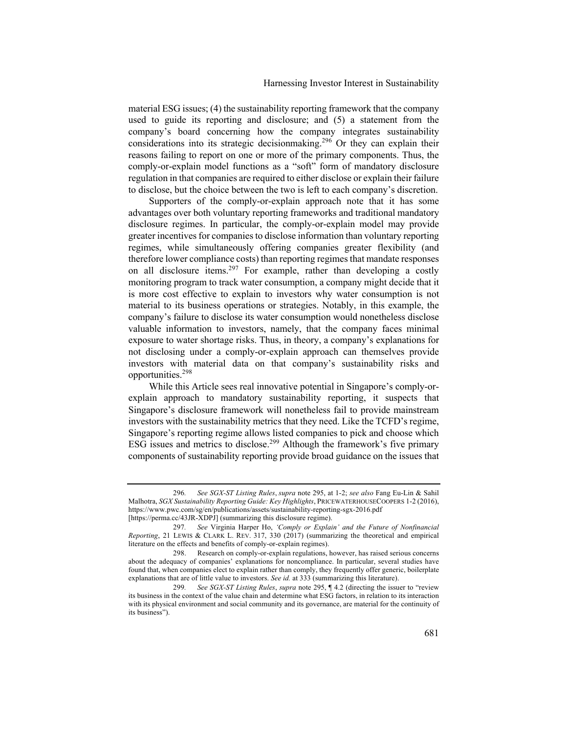material ESG issues; (4) the sustainability reporting framework that the company used to guide its reporting and disclosure; and (5) a statement from the company's board concerning how the company integrates sustainability considerations into its strategic decision making.<sup>296</sup> Or they can explain their reasons failing to report on one or more of the primary components. Thus, the comply-or-explain model functions as a "soft" form of mandatory disclosure regulation in that companies are required to either disclose or explain their failure to disclose, but the choice between the two is left to each company's discretion.

Supporters of the comply-or-explain approach note that it has some advantages over both voluntary reporting frameworks and traditional mandatory disclosure regimes. In particular, the comply-or-explain model may provide greater incentives for companies to disclose information than voluntary reporting regimes, while simultaneously offering companies greater flexibility (and therefore lower compliance costs) than reporting regimes that mandate responses on all disclosure items.<sup>297</sup> For example, rather than developing a costly monitoring program to track water consumption, a company might decide that it is more cost effective to explain to investors why water consumption is not material to its business operations or strategies. Notably, in this example, the company's failure to disclose its water consumption would nonetheless disclose valuable information to investors, namely, that the company faces minimal exposure to water shortage risks. Thus, in theory, a company's explanations for not disclosing under a comply-or-explain approach can themselves provide investors with material data on that company's sustainability risks and opportunities.<sup>298</sup>

While this Article sees real innovative potential in Singapore's comply-orexplain approach to mandatory sustainability reporting, it suspects that Singapore's disclosure framework will nonetheless fail to provide mainstream investors with the sustainability metrics that they need. Like the TCFD's regime, Singapore's reporting regime allows listed companies to pick and choose which ESG issues and metrics to disclose.<sup>299</sup> Although the framework's five primary components of sustainability reporting provide broad guidance on the issues that

<sup>296</sup>*. See SGX-ST Listing Rules*, *supra* note 295, at 1-2; *see also* Fang Eu-Lin & Sahil Malhotra, *SGX Sustainability Reporting Guide: Key Highlights*, PRICEWATERHOUSECOOPERS 1-2 (2016), https://www.pwc.com/sg/en/publications/assets/sustainability-reporting-sgx-2016.pdf [https://perma.cc/43JR-XDPJ] (summarizing this disclosure regime).

<sup>297</sup>*. See* Virginia Harper Ho, *'Comply or Explain' and the Future of Nonfinancial Reporting*, 21 LEWIS & CLARK L. REV. 317, 330 (2017) (summarizing the theoretical and empirical literature on the effects and benefits of comply-or-explain regimes).

<sup>298.</sup> Research on comply-or-explain regulations, however, has raised serious concerns about the adequacy of companies' explanations for noncompliance. In particular, several studies have found that, when companies elect to explain rather than comply, they frequently offer generic, boilerplate explanations that are of little value to investors. *See id.* at 333 (summarizing this literature).

<sup>299</sup>*. See SGX-ST Listing Rules*, *supra* note 295, ¶ 4.2 (directing the issuer to "review its business in the context of the value chain and determine what ESG factors, in relation to its interaction with its physical environment and social community and its governance, are material for the continuity of its business").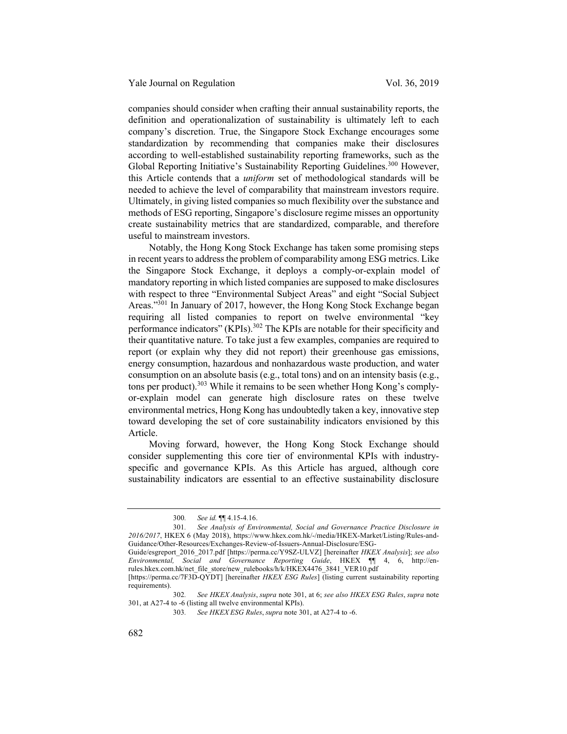companies should consider when crafting their annual sustainability reports, the definition and operationalization of sustainability is ultimately left to each company's discretion. True, the Singapore Stock Exchange encourages some standardization by recommending that companies make their disclosures according to well-established sustainability reporting frameworks, such as the Global Reporting Initiative's Sustainability Reporting Guidelines.<sup>300</sup> However, this Article contends that a *uniform* set of methodological standards will be needed to achieve the level of comparability that mainstream investors require. Ultimately, in giving listed companies so much flexibility over the substance and methods of ESG reporting, Singapore's disclosure regime misses an opportunity create sustainability metrics that are standardized, comparable, and therefore useful to mainstream investors.

Notably, the Hong Kong Stock Exchange has taken some promising steps in recent years to address the problem of comparability among ESG metrics. Like the Singapore Stock Exchange, it deploys a comply-or-explain model of mandatory reporting in which listed companies are supposed to make disclosures with respect to three "Environmental Subject Areas" and eight "Social Subject Areas."<sup>301</sup> In January of 2017, however, the Hong Kong Stock Exchange began requiring all listed companies to report on twelve environmental "key performance indicators" (KPIs).<sup>302</sup> The KPIs are notable for their specificity and their quantitative nature. To take just a few examples, companies are required to report (or explain why they did not report) their greenhouse gas emissions, energy consumption, hazardous and nonhazardous waste production, and water consumption on an absolute basis (e.g., total tons) and on an intensity basis (e.g., tons per product).<sup>303</sup> While it remains to be seen whether Hong Kong's complyor-explain model can generate high disclosure rates on these twelve environmental metrics, Hong Kong has undoubtedly taken a key, innovative step toward developing the set of core sustainability indicators envisioned by this Article.

Moving forward, however, the Hong Kong Stock Exchange should consider supplementing this core tier of environmental KPIs with industryspecific and governance KPIs. As this Article has argued, although core sustainability indicators are essential to an effective sustainability disclosure

Guide/esgreport\_2016\_2017.pdf [https://perma.cc/Y9SZ-ULVZ] [hereinafter *HKEX Analysis*]; *see also Environmental, Social and Governance Reporting Guide*, HKEX ¶¶ 4, 6, http://enrules.hkex.com.hk/net\_file\_store/new\_rulebooks/h/k/HKEX4476\_3841\_VER10.pdf

<sup>300</sup>*. See id.* ¶¶ 4.15-4.16.

<sup>301</sup>*. See Analysis of Environmental, Social and Governance Practice Disclosure in 2016/2017*, HKEX 6 (May 2018), https://www.hkex.com.hk/-/media/HKEX-Market/Listing/Rules-and-Guidance/Other-Resources/Exchanges-Review-of-Issuers-Annual-Disclosure/ESG-

<sup>[</sup>https://perma.cc/7F3D-QYDT] [hereinafter *HKEX ESG Rules*] (listing current sustainability reporting requirements).

<sup>302</sup>*. See HKEX Analysis*, *supra* note 301, at 6; *see also HKEX ESG Rules*, *supra* note 301, at A27-4 to -6 (listing all twelve environmental KPIs).

<sup>303</sup>*. See HKEX ESG Rules*, *supra* note 301, at A27-4 to -6.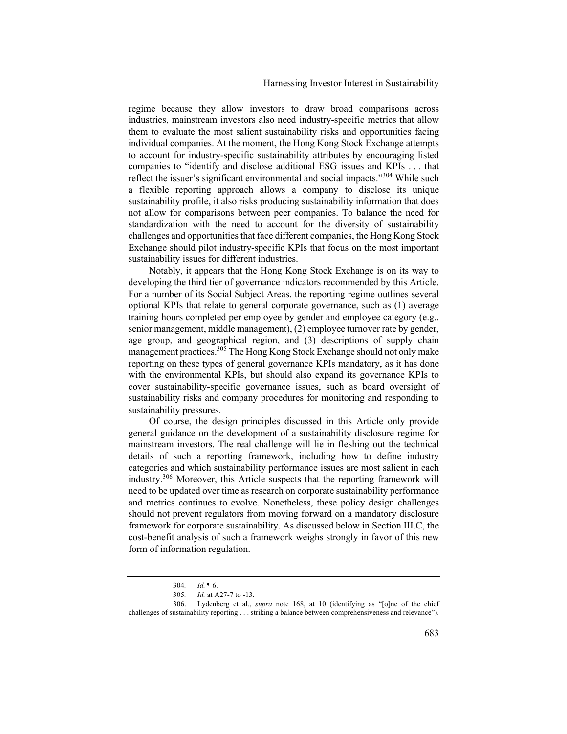regime because they allow investors to draw broad comparisons across industries, mainstream investors also need industry-specific metrics that allow them to evaluate the most salient sustainability risks and opportunities facing individual companies. At the moment, the Hong Kong Stock Exchange attempts to account for industry-specific sustainability attributes by encouraging listed companies to "identify and disclose additional ESG issues and KPIs . . . that reflect the issuer's significant environmental and social impacts."<sup>304</sup> While such a flexible reporting approach allows a company to disclose its unique sustainability profile, it also risks producing sustainability information that does not allow for comparisons between peer companies. To balance the need for standardization with the need to account for the diversity of sustainability challenges and opportunities that face different companies, the Hong Kong Stock Exchange should pilot industry-specific KPIs that focus on the most important sustainability issues for different industries.

Notably, it appears that the Hong Kong Stock Exchange is on its way to developing the third tier of governance indicators recommended by this Article. For a number of its Social Subject Areas, the reporting regime outlines several optional KPIs that relate to general corporate governance, such as (1) average training hours completed per employee by gender and employee category (e.g., senior management, middle management), (2) employee turnover rate by gender, age group, and geographical region, and (3) descriptions of supply chain management practices.<sup>305</sup> The Hong Kong Stock Exchange should not only make reporting on these types of general governance KPIs mandatory, as it has done with the environmental KPIs, but should also expand its governance KPIs to cover sustainability-specific governance issues, such as board oversight of sustainability risks and company procedures for monitoring and responding to sustainability pressures.

Of course, the design principles discussed in this Article only provide general guidance on the development of a sustainability disclosure regime for mainstream investors. The real challenge will lie in fleshing out the technical details of such a reporting framework, including how to define industry categories and which sustainability performance issues are most salient in each industry.306 Moreover, this Article suspects that the reporting framework will need to be updated over time as research on corporate sustainability performance and metrics continues to evolve. Nonetheless, these policy design challenges should not prevent regulators from moving forward on a mandatory disclosure framework for corporate sustainability. As discussed below in Section III.C, the cost-benefit analysis of such a framework weighs strongly in favor of this new form of information regulation.

<sup>304</sup>*. Id.* ¶ 6.

<sup>305</sup>*. Id.* at A27-7 to -13.

<sup>306.</sup> Lydenberg et al., *supra* note 168, at 10 (identifying as "[o]ne of the chief challenges of sustainability reporting . . . striking a balance between comprehensiveness and relevance").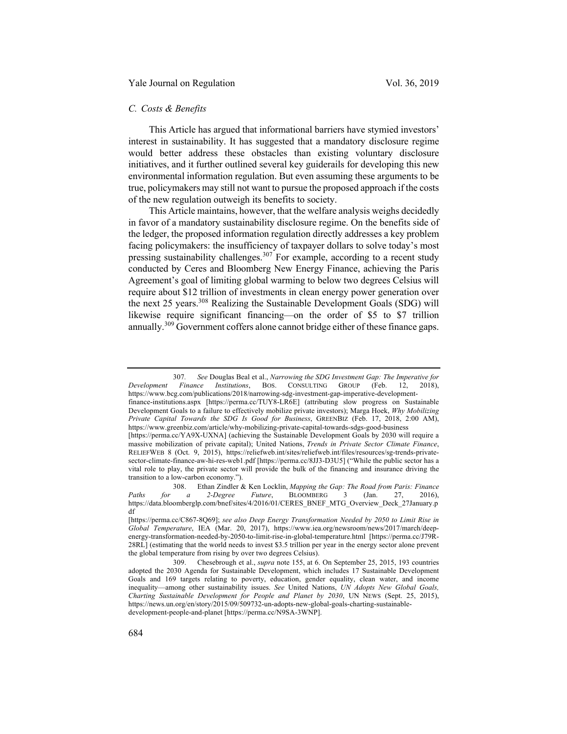### *C. Costs & Benefits*

This Article has argued that informational barriers have stymied investors' interest in sustainability. It has suggested that a mandatory disclosure regime would better address these obstacles than existing voluntary disclosure initiatives, and it further outlined several key guiderails for developing this new environmental information regulation. But even assuming these arguments to be true, policymakers may still not want to pursue the proposed approach if the costs of the new regulation outweigh its benefits to society.

This Article maintains, however, that the welfare analysis weighs decidedly in favor of a mandatory sustainability disclosure regime. On the benefits side of the ledger, the proposed information regulation directly addresses a key problem facing policymakers: the insufficiency of taxpayer dollars to solve today's most pressing sustainability challenges.<sup>307</sup> For example, according to a recent study conducted by Ceres and Bloomberg New Energy Finance, achieving the Paris Agreement's goal of limiting global warming to below two degrees Celsius will require about \$12 trillion of investments in clean energy power generation over the next 25 years.<sup>308</sup> Realizing the Sustainable Development Goals (SDG) will likewise require significant financing—on the order of \$5 to \$7 trillion annually.<sup>309</sup> Government coffers alone cannot bridge either of these finance gaps.

<sup>307</sup>*. See* Douglas Beal et al., *Narrowing the SDG Investment Gap: The Imperative for Development Finance Institutions*, BOS. CONSULTING GROUP (Feb. 12, 2018),

https://www.bcg.com/publications/2018/narrowing-sdg-investment-gap-imperative-developmentfinance-institutions.aspx [https://perma.cc/TUY8-LR6E] (attributing slow progress on Sustainable Development Goals to a failure to effectively mobilize private investors); Marga Hoek, *Why Mobilizing Private Capital Towards the SDG Is Good for Business*, GREENBIZ (Feb. 17, 2018, 2:00 AM), https://www.greenbiz.com/article/why-mobilizing-private-capital-towards-sdgs-good-business

<sup>[</sup>https://perma.cc/YA9X-UXNA] (achieving the Sustainable Development Goals by 2030 will require a massive mobilization of private capital); United Nations, *Trends in Private Sector Climate Finance*, RELIEFWEB 8 (Oct. 9, 2015), https://reliefweb.int/sites/reliefweb.int/files/resources/sg-trends-privatesector-climate-finance-aw-hi-res-web1.pdf [https://perma.cc/8JJ3-D3U5] ("While the public sector has a vital role to play, the private sector will provide the bulk of the financing and insurance driving the transition to a low-carbon economy.").

<sup>308.</sup> Ethan Zindler & Ken Locklin, *Mapping the Gap: The Road from Paris: Finance Paths for a 2-Degree Future*, BLOOMBERG 3 (Jan. 27, 2016), https://data.bloomberglp.com/bnef/sites/4/2016/01/CERES\_BNEF\_MTG\_Overview\_Deck\_27January.p df

<sup>[</sup>https://perma.cc/C867-8Q69]; *see also Deep Energy Transformation Needed by 2050 to Limit Rise in Global Temperature*, IEA (Mar. 20, 2017), https://www.iea.org/newsroom/news/2017/march/deepenergy-transformation-needed-by-2050-to-limit-rise-in-global-temperature.html [https://perma.cc/J79R-28RL] (estimating that the world needs to invest \$3.5 trillion per year in the energy sector alone prevent the global temperature from rising by over two degrees Celsius).

<sup>309.</sup> Chesebrough et al., *supra* note 155, at 6. On September 25, 2015, 193 countries adopted the 2030 Agenda for Sustainable Development, which includes 17 Sustainable Development Goals and 169 targets relating to poverty, education, gender equality, clean water, and income inequality—among other sustainability issues. *See* United Nations, *UN Adopts New Global Goals, Charting Sustainable Development for People and Planet by 2030*, UN NEWS (Sept. 25, 2015), https://news.un.org/en/story/2015/09/509732-un-adopts-new-global-goals-charting-sustainabledevelopment-people-and-planet [https://perma.cc/N9SA-3WNP].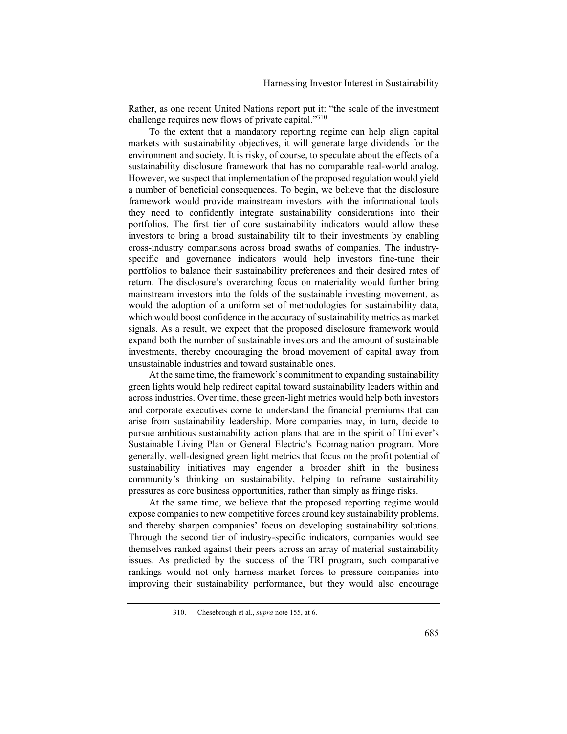Rather, as one recent United Nations report put it: "the scale of the investment challenge requires new flows of private capital."<sup>310</sup>

To the extent that a mandatory reporting regime can help align capital markets with sustainability objectives, it will generate large dividends for the environment and society. It is risky, of course, to speculate about the effects of a sustainability disclosure framework that has no comparable real-world analog. However, we suspect that implementation of the proposed regulation would yield a number of beneficial consequences. To begin, we believe that the disclosure framework would provide mainstream investors with the informational tools they need to confidently integrate sustainability considerations into their portfolios. The first tier of core sustainability indicators would allow these investors to bring a broad sustainability tilt to their investments by enabling cross-industry comparisons across broad swaths of companies. The industryspecific and governance indicators would help investors fine-tune their portfolios to balance their sustainability preferences and their desired rates of return. The disclosure's overarching focus on materiality would further bring mainstream investors into the folds of the sustainable investing movement, as would the adoption of a uniform set of methodologies for sustainability data, which would boost confidence in the accuracy of sustainability metrics as market signals. As a result, we expect that the proposed disclosure framework would expand both the number of sustainable investors and the amount of sustainable investments, thereby encouraging the broad movement of capital away from unsustainable industries and toward sustainable ones.

At the same time, the framework's commitment to expanding sustainability green lights would help redirect capital toward sustainability leaders within and across industries. Over time, these green-light metrics would help both investors and corporate executives come to understand the financial premiums that can arise from sustainability leadership. More companies may, in turn, decide to pursue ambitious sustainability action plans that are in the spirit of Unilever's Sustainable Living Plan or General Electric's Ecomagination program. More generally, well-designed green light metrics that focus on the profit potential of sustainability initiatives may engender a broader shift in the business community's thinking on sustainability, helping to reframe sustainability pressures as core business opportunities, rather than simply as fringe risks.

At the same time, we believe that the proposed reporting regime would expose companies to new competitive forces around key sustainability problems, and thereby sharpen companies' focus on developing sustainability solutions. Through the second tier of industry-specific indicators, companies would see themselves ranked against their peers across an array of material sustainability issues. As predicted by the success of the TRI program, such comparative rankings would not only harness market forces to pressure companies into improving their sustainability performance, but they would also encourage

<sup>310.</sup> Chesebrough et al., *supra* note 155, at 6.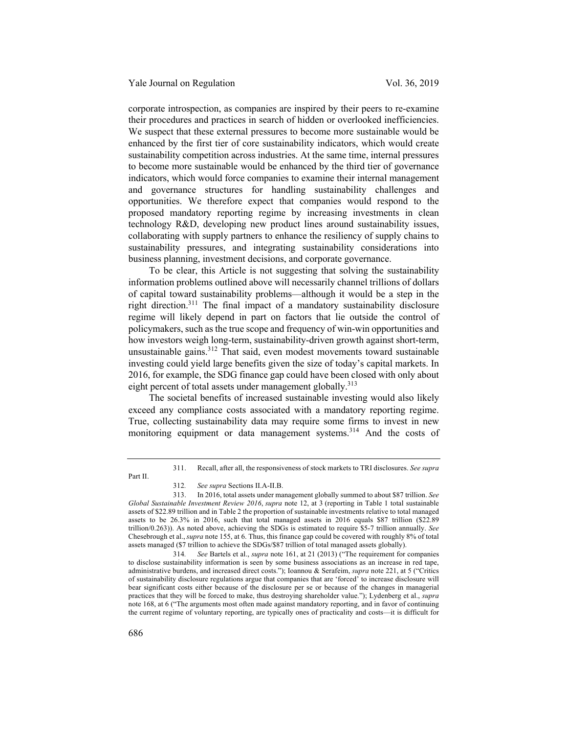corporate introspection, as companies are inspired by their peers to re-examine their procedures and practices in search of hidden or overlooked inefficiencies. We suspect that these external pressures to become more sustainable would be enhanced by the first tier of core sustainability indicators, which would create sustainability competition across industries. At the same time, internal pressures to become more sustainable would be enhanced by the third tier of governance indicators, which would force companies to examine their internal management and governance structures for handling sustainability challenges and opportunities. We therefore expect that companies would respond to the proposed mandatory reporting regime by increasing investments in clean technology R&D, developing new product lines around sustainability issues, collaborating with supply partners to enhance the resiliency of supply chains to sustainability pressures, and integrating sustainability considerations into business planning, investment decisions, and corporate governance.

To be clear, this Article is not suggesting that solving the sustainability information problems outlined above will necessarily channel trillions of dollars of capital toward sustainability problems—although it would be a step in the right direction.311 The final impact of a mandatory sustainability disclosure regime will likely depend in part on factors that lie outside the control of policymakers, such as the true scope and frequency of win-win opportunities and how investors weigh long-term, sustainability-driven growth against short-term, unsustainable gains.<sup>312</sup> That said, even modest movements toward sustainable investing could yield large benefits given the size of today's capital markets. In 2016, for example, the SDG finance gap could have been closed with only about eight percent of total assets under management globally.<sup>313</sup>

The societal benefits of increased sustainable investing would also likely exceed any compliance costs associated with a mandatory reporting regime. True, collecting sustainability data may require some firms to invest in new monitoring equipment or data management systems.<sup>314</sup> And the costs of

<sup>311.</sup> Recall, after all, the responsiveness of stock markets to TRI disclosures. *See supra* 

Part II.

<sup>312</sup>*. See supra* Sections II.A-II.B.

<sup>313.</sup> In 2016, total assets under management globally summed to about \$87 trillion. *See Global Sustainable Investment Review 2016*, *supra* note 12, at 3 (reporting in Table 1 total sustainable assets of \$22.89 trillion and in Table 2 the proportion of sustainable investments relative to total managed assets to be 26.3% in 2016, such that total managed assets in 2016 equals \$87 trillion (\$22.89 trillion/0.263)). As noted above, achieving the SDGs is estimated to require \$5-7 trillion annually. *See*  Chesebrough et al.,*supra* note 155, at 6. Thus, this finance gap could be covered with roughly 8% of total assets managed (\$7 trillion to achieve the SDGs/\$87 trillion of total managed assets globally).

<sup>314</sup>*. See* Bartels et al., *supra* note 161, at 21 (2013) ("The requirement for companies to disclose sustainability information is seen by some business associations as an increase in red tape, administrative burdens, and increased direct costs."); Ioannou & Serafeim, *supra* note 221, at 5 ("Critics of sustainability disclosure regulations argue that companies that are 'forced' to increase disclosure will bear significant costs either because of the disclosure per se or because of the changes in managerial practices that they will be forced to make, thus destroying shareholder value."); Lydenberg et al., *supra*  note 168, at 6 ("The arguments most often made against mandatory reporting, and in favor of continuing the current regime of voluntary reporting, are typically ones of practicality and costs—it is difficult for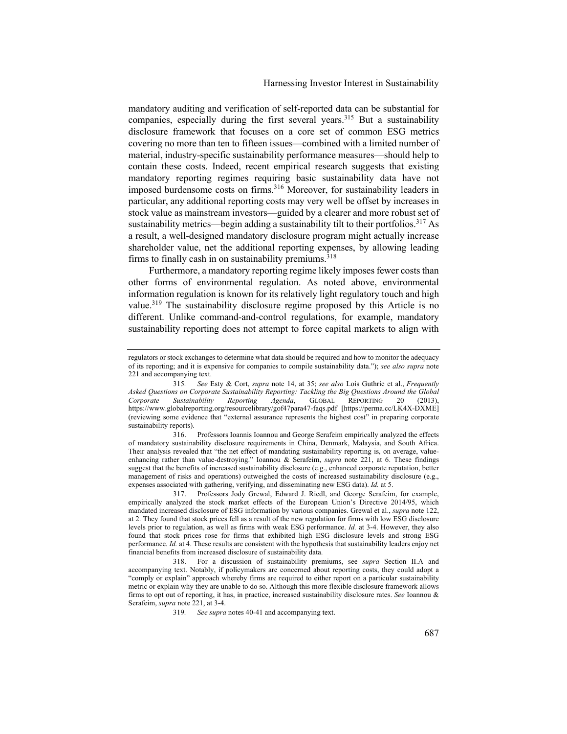mandatory auditing and verification of self-reported data can be substantial for companies, especially during the first several years.<sup>315</sup> But a sustainability disclosure framework that focuses on a core set of common ESG metrics covering no more than ten to fifteen issues—combined with a limited number of material, industry-specific sustainability performance measures—should help to contain these costs. Indeed, recent empirical research suggests that existing mandatory reporting regimes requiring basic sustainability data have not imposed burdensome costs on firms.<sup>316</sup> Moreover, for sustainability leaders in particular, any additional reporting costs may very well be offset by increases in stock value as mainstream investors—guided by a clearer and more robust set of sustainability metrics—begin adding a sustainability tilt to their portfolios.<sup>317</sup> As a result, a well-designed mandatory disclosure program might actually increase shareholder value, net the additional reporting expenses, by allowing leading firms to finally cash in on sustainability premiums.<sup>318</sup>

Furthermore, a mandatory reporting regime likely imposes fewer costs than other forms of environmental regulation. As noted above, environmental information regulation is known for its relatively light regulatory touch and high value.<sup>319</sup> The sustainability disclosure regime proposed by this Article is no different. Unlike command-and-control regulations, for example, mandatory sustainability reporting does not attempt to force capital markets to align with

316. Professors Ioannis Ioannou and George Serafeim empirically analyzed the effects of mandatory sustainability disclosure requirements in China, Denmark, Malaysia, and South Africa. Their analysis revealed that "the net effect of mandating sustainability reporting is, on average, valueenhancing rather than value-destroying." Ioannou & Serafeim, *supra* note 221, at 6. These findings suggest that the benefits of increased sustainability disclosure (e.g., enhanced corporate reputation, better management of risks and operations) outweighed the costs of increased sustainability disclosure (e.g., expenses associated with gathering, verifying, and disseminating new ESG data). *Id.* at 5.

317. Professors Jody Grewal, Edward J. Riedl, and George Serafeim, for example, empirically analyzed the stock market effects of the European Union's Directive 2014/95, which mandated increased disclosure of ESG information by various companies. Grewal et al., *supra* note 122, at 2. They found that stock prices fell as a result of the new regulation for firms with low ESG disclosure levels prior to regulation, as well as firms with weak ESG performance. *Id.* at 3-4. However, they also found that stock prices rose for firms that exhibited high ESG disclosure levels and strong ESG performance. *Id.* at 4. These results are consistent with the hypothesis that sustainability leaders enjoy net financial benefits from increased disclosure of sustainability data.

318. For a discussion of sustainability premiums, see *supra* Section II.A and accompanying text. Notably, if policymakers are concerned about reporting costs, they could adopt a "comply or explain" approach whereby firms are required to either report on a particular sustainability metric or explain why they are unable to do so. Although this more flexible disclosure framework allows firms to opt out of reporting, it has, in practice, increased sustainability disclosure rates. *See* Ioannou & Serafeim, *supra* note 221, at 3-4.

regulators or stock exchanges to determine what data should be required and how to monitor the adequacy of its reporting; and it is expensive for companies to compile sustainability data."); *see also supra* note 221 and accompanying text.

<sup>315</sup>*. See* Esty & Cort, *supra* note 14, at 35; *see also* Lois Guthrie et al., *Frequently Asked Questions on Corporate Sustainability Reporting: Tackling the Big Questions Around the Global Corporate Sustainability Reporting Agenda*, GLOBAL REPORTING 20 (2013), https://www.globalreporting.org/resourcelibrary/gof47para47-faqs.pdf [https://perma.cc/LK4X-DXME] (reviewing some evidence that "external assurance represents the highest cost" in preparing corporate sustainability reports).

<sup>319</sup>*. See supra* notes 40-41 and accompanying text.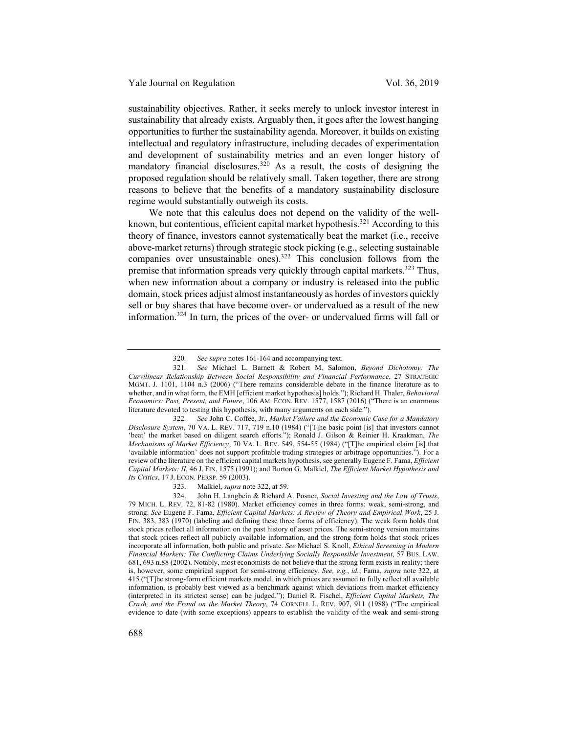sustainability objectives. Rather, it seeks merely to unlock investor interest in sustainability that already exists. Arguably then, it goes after the lowest hanging opportunities to further the sustainability agenda. Moreover, it builds on existing intellectual and regulatory infrastructure, including decades of experimentation and development of sustainability metrics and an even longer history of mandatory financial disclosures.<sup>320</sup> As a result, the costs of designing the proposed regulation should be relatively small. Taken together, there are strong reasons to believe that the benefits of a mandatory sustainability disclosure regime would substantially outweigh its costs.

We note that this calculus does not depend on the validity of the wellknown, but contentious, efficient capital market hypothesis.<sup>321</sup> According to this theory of finance, investors cannot systematically beat the market (i.e., receive above-market returns) through strategic stock picking (e.g., selecting sustainable companies over unsustainable ones).<sup>322</sup> This conclusion follows from the premise that information spreads very quickly through capital markets.<sup>323</sup> Thus, when new information about a company or industry is released into the public domain, stock prices adjust almost instantaneously as hordes of investors quickly sell or buy shares that have become over- or undervalued as a result of the new information.324 In turn, the prices of the over- or undervalued firms will fall or

323. Malkiel, *supra* note 322, at 59.

<sup>320</sup>*. See supra* notes 161-164 and accompanying text.

<sup>321</sup>*. See* Michael L. Barnett & Robert M. Salomon, *Beyond Dichotomy: The Curvilinear Relationship Between Social Responsibility and Financial Performance*, 27 STRATEGIC MGMT. J. 1101, 1104 n.3 (2006) ("There remains considerable debate in the finance literature as to whether, and in what form, the EMH [efficient market hypothesis] holds."); Richard H. Thaler, *Behavioral Economics: Past, Present, and Future*, 106 AM. ECON. REV. 1577, 1587 (2016) ("There is an enormous literature devoted to testing this hypothesis, with many arguments on each side.").

<sup>322</sup>*. See* John C. Coffee, Jr., *Market Failure and the Economic Case for a Mandatory Disclosure System*, 70 VA. L. REV. 717, 719 n.10 (1984) ("[T]he basic point [is] that investors cannot 'beat' the market based on diligent search efforts."); Ronald J. Gilson & Reinier H. Kraakman, *The Mechanisms of Market Efficiency*, 70 VA. L. REV. 549, 554-55 (1984) ("[T]he empirical claim [is] that 'available information' does not support profitable trading strategies or arbitrage opportunities."). For a review of the literature on the efficient capital markets hypothesis, see generally Eugene F. Fama, *Efficient Capital Markets: II*, 46 J. FIN. 1575 (1991); and Burton G. Malkiel, *The Efficient Market Hypothesis and Its Critics*, 17 J. ECON. PERSP. 59 (2003).

<sup>324.</sup> John H. Langbein & Richard A. Posner, *Social Investing and the Law of Trusts*, 79 MICH. L. REV. 72, 81-82 (1980). Market efficiency comes in three forms: weak, semi-strong, and strong. *See* Eugene F. Fama, *Efficient Capital Markets: A Review of Theory and Empirical Work*, 25 J. FIN. 383, 383 (1970) (labeling and defining these three forms of efficiency). The weak form holds that stock prices reflect all information on the past history of asset prices. The semi-strong version maintains that stock prices reflect all publicly available information, and the strong form holds that stock prices incorporate all information, both public and private. *See* Michael S. Knoll, *Ethical Screening in Modern Financial Markets: The Conflicting Claims Underlying Socially Responsible Investment*, 57 BUS. LAW. 681, 693 n.88 (2002). Notably, most economists do not believe that the strong form exists in reality; there is, however, some empirical support for semi-strong efficiency. *See, e.g.*, *id.*; Fama, *supra* note 322, at 415 ("[T]he strong-form efficient markets model, in which prices are assumed to fully reflect all available information, is probably best viewed as a benchmark against which deviations from market efficiency (interpreted in its strictest sense) can be judged."); Daniel R. Fischel, *Efficient Capital Markets, The Crash, and the Fraud on the Market Theory*, 74 CORNELL L. REV. 907, 911 (1988) ("The empirical evidence to date (with some exceptions) appears to establish the validity of the weak and semi-strong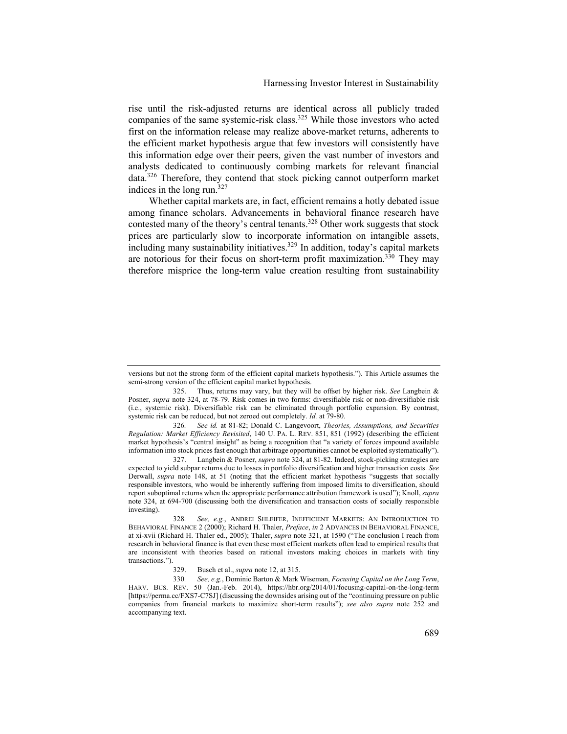rise until the risk-adjusted returns are identical across all publicly traded companies of the same systemic-risk class.<sup>325</sup> While those investors who acted first on the information release may realize above-market returns, adherents to the efficient market hypothesis argue that few investors will consistently have this information edge over their peers, given the vast number of investors and analysts dedicated to continuously combing markets for relevant financial data.<sup>326</sup> Therefore, they contend that stock picking cannot outperform market indices in the long run. $327$ 

Whether capital markets are, in fact, efficient remains a hotly debated issue among finance scholars. Advancements in behavioral finance research have contested many of the theory's central tenants.<sup>328</sup> Other work suggests that stock prices are particularly slow to incorporate information on intangible assets, including many sustainability initiatives.<sup>329</sup> In addition, today's capital markets are notorious for their focus on short-term profit maximization.<sup>330</sup> They may therefore misprice the long-term value creation resulting from sustainability

326*. See id.* at 81-82; Donald C. Langevoort, *Theories, Assumptions, and Securities Regulation: Market Efficiency Revisited*, 140 U. PA. L. REV. 851, 851 (1992) (describing the efficient market hypothesis's "central insight" as being a recognition that "a variety of forces impound available information into stock prices fast enough that arbitrage opportunities cannot be exploited systematically").

327. Langbein & Posner, *supra* note 324, at 81-82. Indeed, stock-picking strategies are expected to yield subpar returns due to losses in portfolio diversification and higher transaction costs. *See*  Derwall, *supra* note 148, at 51 (noting that the efficient market hypothesis "suggests that socially responsible investors, who would be inherently suffering from imposed limits to diversification, should report suboptimal returns when the appropriate performance attribution framework is used"); Knoll, *supra*  note 324, at 694-700 (discussing both the diversification and transaction costs of socially responsible investing).

328*. See, e.g.*, ANDREI SHLEIFER, INEFFICIENT MARKETS: AN INTRODUCTION TO BEHAVIORAL FINANCE 2 (2000); Richard H. Thaler, *Preface*, *in* 2 ADVANCES IN BEHAVIORAL FINANCE, at xi-xvii (Richard H. Thaler ed., 2005); Thaler, *supra* note 321, at 1590 ("The conclusion I reach from research in behavioral finance is that even these most efficient markets often lead to empirical results that are inconsistent with theories based on rational investors making choices in markets with tiny transactions.").

329. Busch et al., *supra* note 12, at 315.

330*. See, e.g.*, Dominic Barton & Mark Wiseman, *Focusing Capital on the Long Term*, HARV. BUS. REV. 50 (Jan.-Feb. 2014), https://hbr.org/2014/01/focusing-capital-on-the-long-term [https://perma.cc/FXS7-C7SJ] (discussing the downsides arising out of the "continuing pressure on public companies from financial markets to maximize short-term results"); *see also supra* note 252 and accompanying text.

versions but not the strong form of the efficient capital markets hypothesis."). This Article assumes the semi-strong version of the efficient capital market hypothesis.

<sup>325.</sup> Thus, returns may vary, but they will be offset by higher risk. *See* Langbein & Posner, *supra* note 324, at 78-79. Risk comes in two forms: diversifiable risk or non-diversifiable risk (i.e., systemic risk). Diversifiable risk can be eliminated through portfolio expansion. By contrast, systemic risk can be reduced, but not zeroed out completely. *Id.* at 79-80.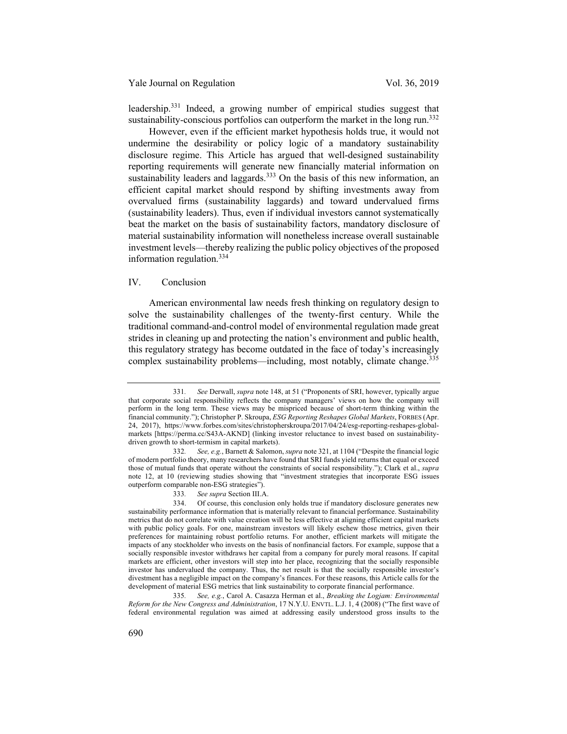leadership.<sup>331</sup> Indeed, a growing number of empirical studies suggest that sustainability-conscious portfolios can outperform the market in the long run.<sup>332</sup>

However, even if the efficient market hypothesis holds true, it would not undermine the desirability or policy logic of a mandatory sustainability disclosure regime. This Article has argued that well-designed sustainability reporting requirements will generate new financially material information on sustainability leaders and laggards.<sup>333</sup> On the basis of this new information, an efficient capital market should respond by shifting investments away from overvalued firms (sustainability laggards) and toward undervalued firms (sustainability leaders). Thus, even if individual investors cannot systematically beat the market on the basis of sustainability factors, mandatory disclosure of material sustainability information will nonetheless increase overall sustainable investment levels—thereby realizing the public policy objectives of the proposed information regulation.<sup>334</sup>

# IV. Conclusion

American environmental law needs fresh thinking on regulatory design to solve the sustainability challenges of the twenty-first century. While the traditional command-and-control model of environmental regulation made great strides in cleaning up and protecting the nation's environment and public health, this regulatory strategy has become outdated in the face of today's increasingly complex sustainability problems—including, most notably, climate change.<sup>335</sup>

335*. See, e.g.*, Carol A. Casazza Herman et al., *Breaking the Logjam: Environmental Reform for the New Congress and Administration*, 17 N.Y.U. ENVTL. L.J. 1, 4 (2008) ("The first wave of federal environmental regulation was aimed at addressing easily understood gross insults to the

<sup>331</sup>*. See* Derwall, *supra* note 148, at 51 ("Proponents of SRI, however, typically argue that corporate social responsibility reflects the company managers' views on how the company will perform in the long term. These views may be mispriced because of short-term thinking within the financial community."); Christopher P. Skroupa, *ESG Reporting Reshapes Global Markets*, FORBES (Apr. 24, 2017), https://www.forbes.com/sites/christopherskroupa/2017/04/24/esg-reporting-reshapes-globalmarkets [https://perma.cc/S43A-AKND] (linking investor reluctance to invest based on sustainabilitydriven growth to short-termism in capital markets).

<sup>332</sup>*. See, e.g.*, Barnett & Salomon, *supra* note 321, at 1104 ("Despite the financial logic of modern portfolio theory, many researchers have found that SRI funds yield returns that equal or exceed those of mutual funds that operate without the constraints of social responsibility."); Clark et al., *supra*  note 12, at 10 (reviewing studies showing that "investment strategies that incorporate ESG issues outperform comparable non-ESG strategies").

<sup>333</sup>*. See supra* Section III.A.

<sup>334.</sup> Of course, this conclusion only holds true if mandatory disclosure generates new sustainability performance information that is materially relevant to financial performance. Sustainability metrics that do not correlate with value creation will be less effective at aligning efficient capital markets with public policy goals. For one, mainstream investors will likely eschew those metrics, given their preferences for maintaining robust portfolio returns. For another, efficient markets will mitigate the impacts of any stockholder who invests on the basis of nonfinancial factors. For example, suppose that a socially responsible investor withdraws her capital from a company for purely moral reasons. If capital markets are efficient, other investors will step into her place, recognizing that the socially responsible investor has undervalued the company. Thus, the net result is that the socially responsible investor's divestment has a negligible impact on the company's finances. For these reasons, this Article calls for the development of material ESG metrics that link sustainability to corporate financial performance.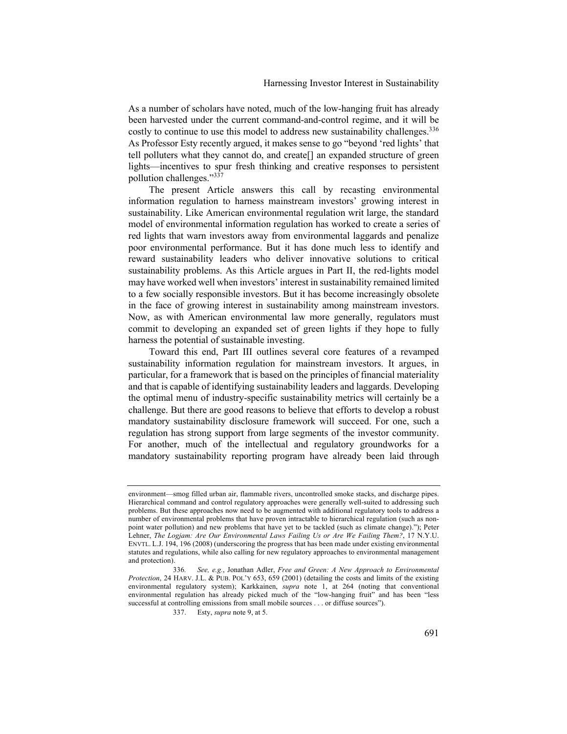As a number of scholars have noted, much of the low-hanging fruit has already been harvested under the current command-and-control regime, and it will be costly to continue to use this model to address new sustainability challenges.<sup>336</sup> As Professor Esty recently argued, it makes sense to go "beyond 'red lights' that tell polluters what they cannot do, and create[] an expanded structure of green lights—incentives to spur fresh thinking and creative responses to persistent pollution challenges."337

The present Article answers this call by recasting environmental information regulation to harness mainstream investors' growing interest in sustainability. Like American environmental regulation writ large, the standard model of environmental information regulation has worked to create a series of red lights that warn investors away from environmental laggards and penalize poor environmental performance. But it has done much less to identify and reward sustainability leaders who deliver innovative solutions to critical sustainability problems. As this Article argues in Part II, the red-lights model may have worked well when investors' interest in sustainability remained limited to a few socially responsible investors. But it has become increasingly obsolete in the face of growing interest in sustainability among mainstream investors. Now, as with American environmental law more generally, regulators must commit to developing an expanded set of green lights if they hope to fully harness the potential of sustainable investing.

Toward this end, Part III outlines several core features of a revamped sustainability information regulation for mainstream investors. It argues, in particular, for a framework that is based on the principles of financial materiality and that is capable of identifying sustainability leaders and laggards. Developing the optimal menu of industry-specific sustainability metrics will certainly be a challenge. But there are good reasons to believe that efforts to develop a robust mandatory sustainability disclosure framework will succeed. For one, such a regulation has strong support from large segments of the investor community. For another, much of the intellectual and regulatory groundworks for a mandatory sustainability reporting program have already been laid through

environment—smog filled urban air, flammable rivers, uncontrolled smoke stacks, and discharge pipes. Hierarchical command and control regulatory approaches were generally well-suited to addressing such problems. But these approaches now need to be augmented with additional regulatory tools to address a number of environmental problems that have proven intractable to hierarchical regulation (such as nonpoint water pollution) and new problems that have yet to be tackled (such as climate change)."); Peter Lehner, *The Logjam: Are Our Environmental Laws Failing Us or Are We Failing Them?*, 17 N.Y.U. ENVTL. L.J. 194, 196 (2008) (underscoring the progress that has been made under existing environmental statutes and regulations, while also calling for new regulatory approaches to environmental management and protection).

<sup>336</sup>*. See, e.g.*, Jonathan Adler, *Free and Green: A New Approach to Environmental Protection*, 24 HARV. J.L. & PUB. POL'Y 653, 659 (2001) (detailing the costs and limits of the existing environmental regulatory system); Karkkainen, *supra* note 1, at 264 (noting that conventional environmental regulation has already picked much of the "low-hanging fruit" and has been "less successful at controlling emissions from small mobile sources . . . or diffuse sources").

<sup>337.</sup> Esty, *supra* note 9, at 5.